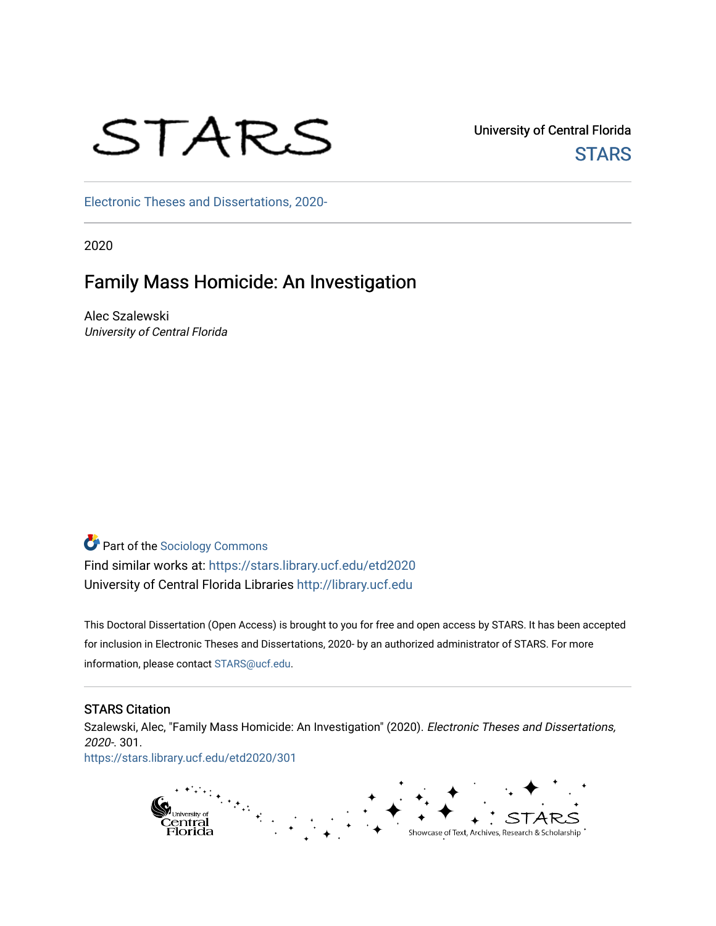# STARS

University of Central Florida **STARS** 

[Electronic Theses and Dissertations, 2020-](https://stars.library.ucf.edu/etd2020) 

2020

# Family Mass Homicide: An Investigation

Alec Szalewski University of Central Florida

Part of the [Sociology Commons](http://network.bepress.com/hgg/discipline/416?utm_source=stars.library.ucf.edu%2Fetd2020%2F301&utm_medium=PDF&utm_campaign=PDFCoverPages) Find similar works at: <https://stars.library.ucf.edu/etd2020> University of Central Florida Libraries [http://library.ucf.edu](http://library.ucf.edu/) 

This Doctoral Dissertation (Open Access) is brought to you for free and open access by STARS. It has been accepted for inclusion in Electronic Theses and Dissertations, 2020- by an authorized administrator of STARS. For more information, please contact [STARS@ucf.edu.](mailto:STARS@ucf.edu)

### STARS Citation

Szalewski, Alec, "Family Mass Homicide: An Investigation" (2020). Electronic Theses and Dissertations, 2020-. 301.

[https://stars.library.ucf.edu/etd2020/301](https://stars.library.ucf.edu/etd2020/301?utm_source=stars.library.ucf.edu%2Fetd2020%2F301&utm_medium=PDF&utm_campaign=PDFCoverPages) 

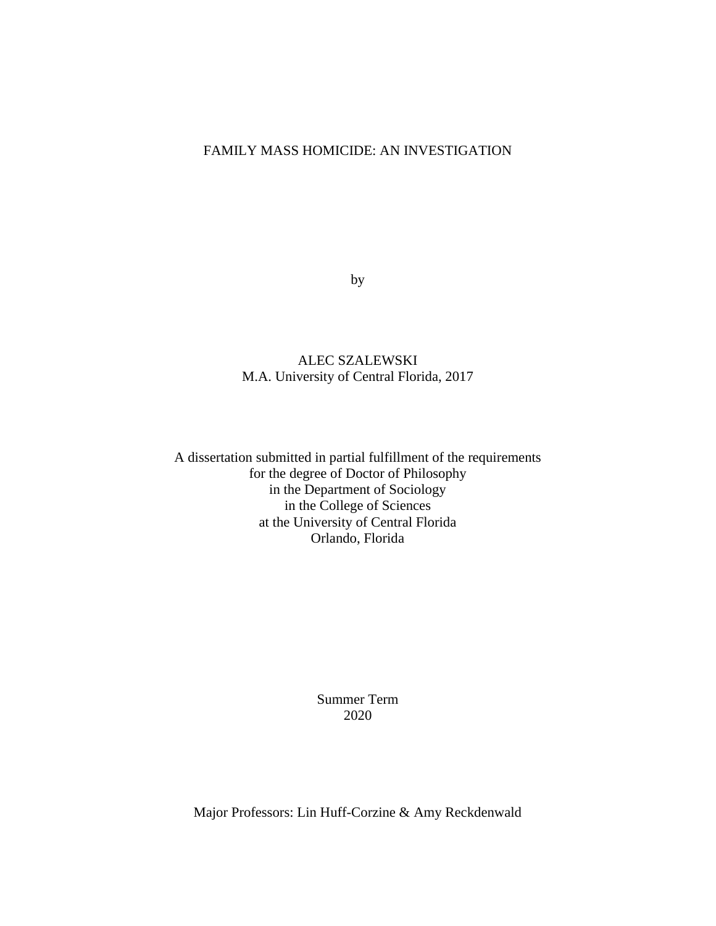# FAMILY MASS HOMICIDE: AN INVESTIGATION

by

## ALEC SZALEWSKI M.A. University of Central Florida, 2017

A dissertation submitted in partial fulfillment of the requirements for the degree of Doctor of Philosophy in the Department of Sociology in the College of Sciences at the University of Central Florida Orlando, Florida

> Summer Term 2020

Major Professors: Lin Huff-Corzine & Amy Reckdenwald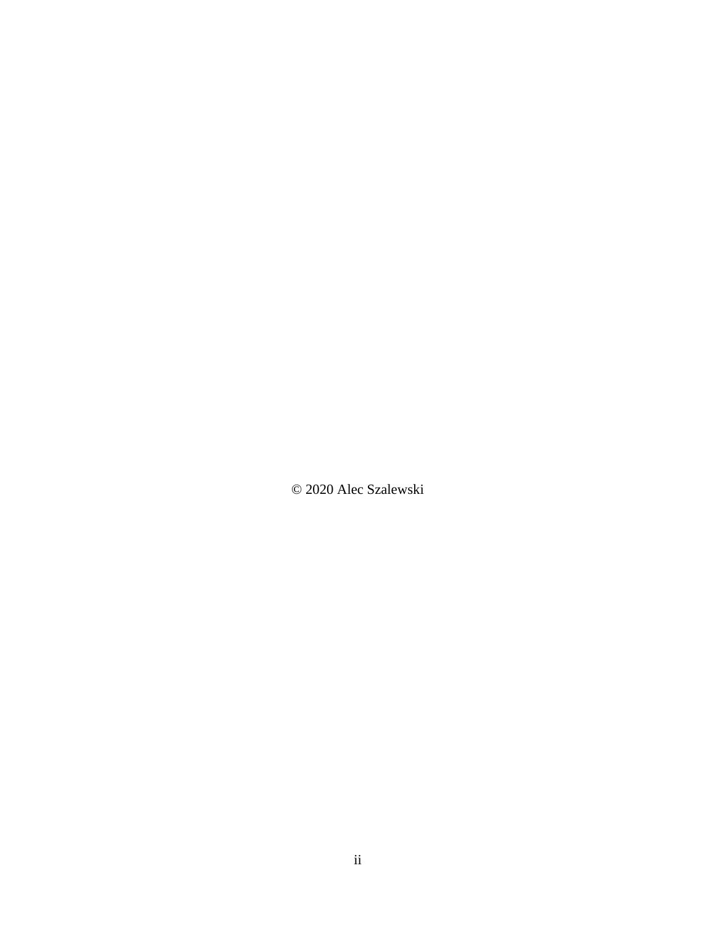© 2020 Alec Szalewski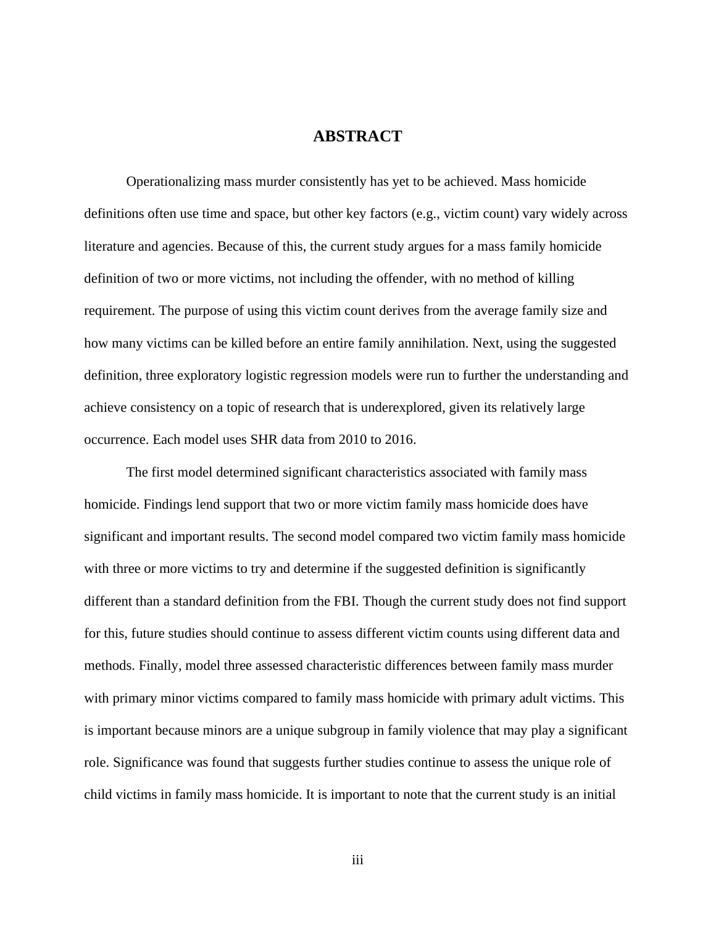## **ABSTRACT**

Operationalizing mass murder consistently has yet to be achieved. Mass homicide definitions often use time and space, but other key factors (e.g., victim count) vary widely across literature and agencies. Because of this, the current study argues for a mass family homicide definition of two or more victims, not including the offender, with no method of killing requirement. The purpose of using this victim count derives from the average family size and how many victims can be killed before an entire family annihilation. Next, using the suggested definition, three exploratory logistic regression models were run to further the understanding and achieve consistency on a topic of research that is underexplored, given its relatively large occurrence. Each model uses SHR data from 2010 to 2016.

The first model determined significant characteristics associated with family mass homicide. Findings lend support that two or more victim family mass homicide does have significant and important results. The second model compared two victim family mass homicide with three or more victims to try and determine if the suggested definition is significantly different than a standard definition from the FBI. Though the current study does not find support for this, future studies should continue to assess different victim counts using different data and methods. Finally, model three assessed characteristic differences between family mass murder with primary minor victims compared to family mass homicide with primary adult victims. This is important because minors are a unique subgroup in family violence that may play a significant role. Significance was found that suggests further studies continue to assess the unique role of child victims in family mass homicide. It is important to note that the current study is an initial

iii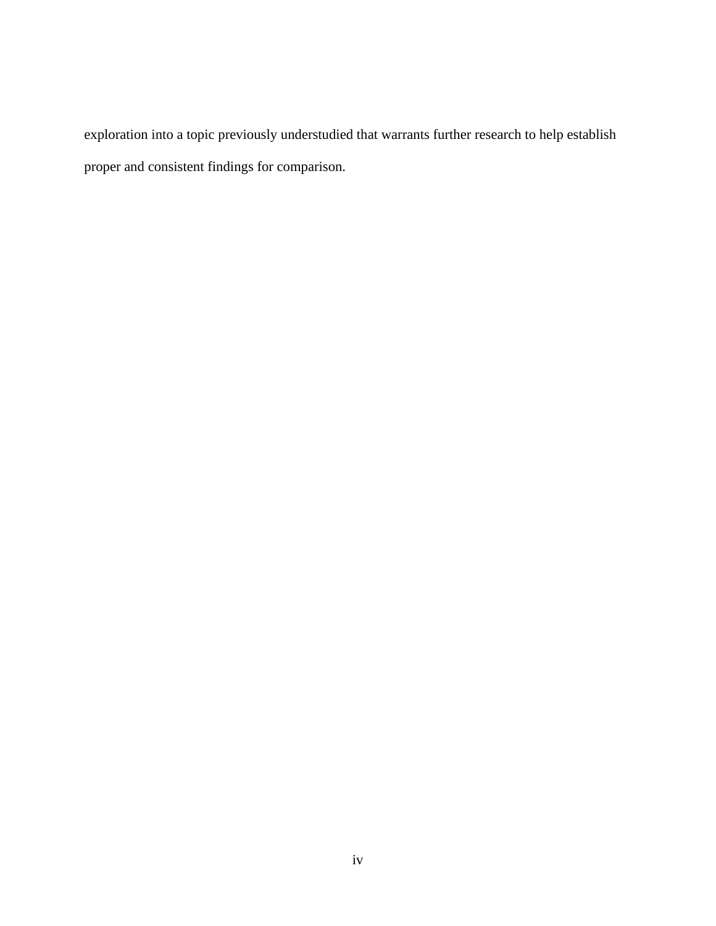exploration into a topic previously understudied that warrants further research to help establish proper and consistent findings for comparison.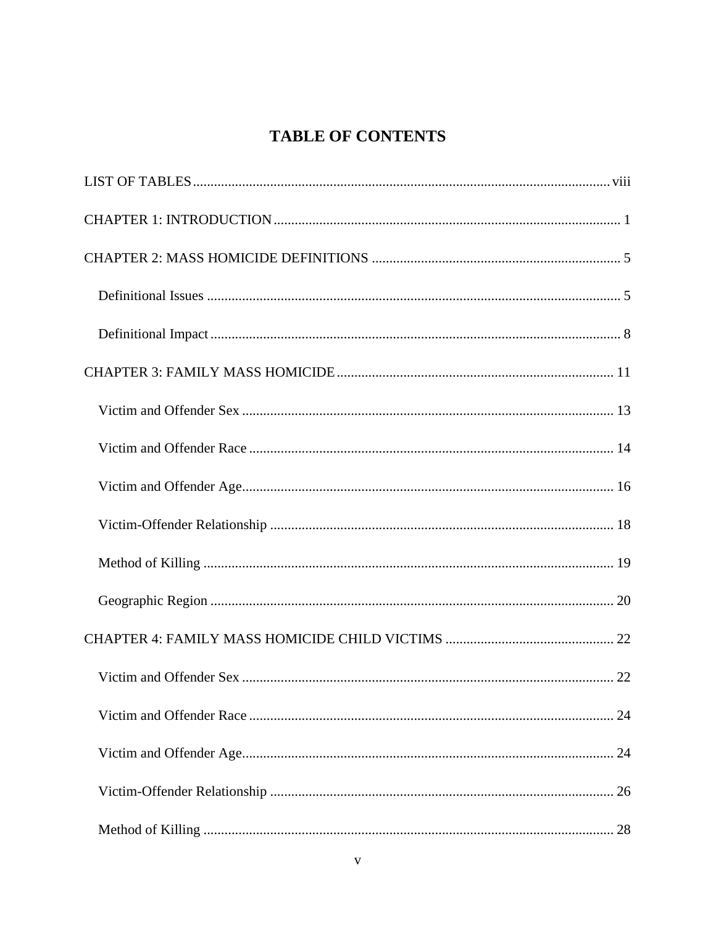# **TABLE OF CONTENTS**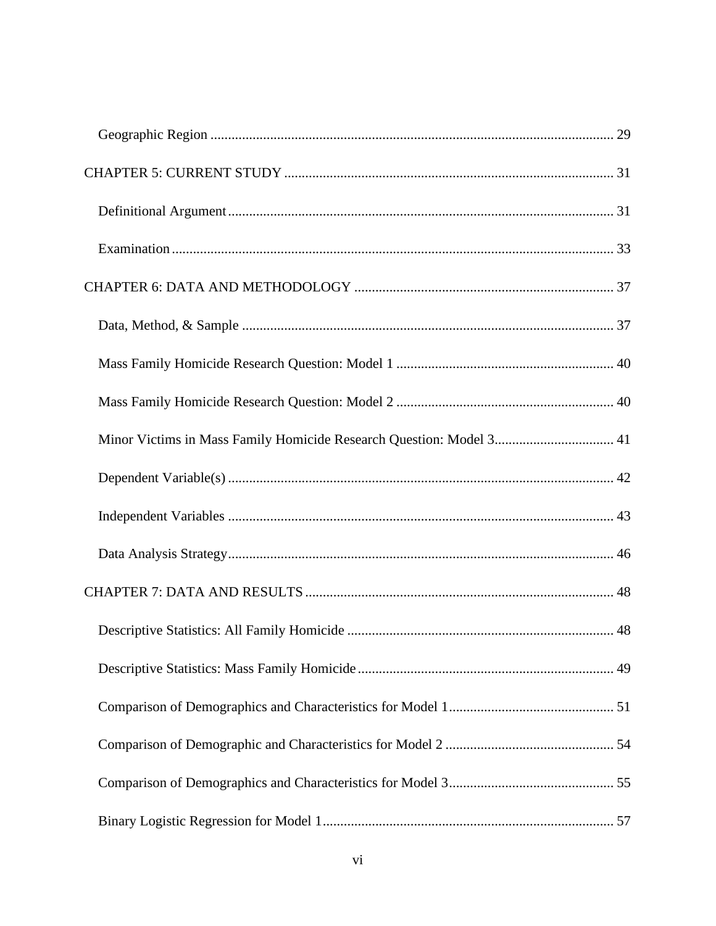| Minor Victims in Mass Family Homicide Research Question: Model 3 41 |
|---------------------------------------------------------------------|
|                                                                     |
|                                                                     |
|                                                                     |
|                                                                     |
|                                                                     |
|                                                                     |
|                                                                     |
|                                                                     |
|                                                                     |
|                                                                     |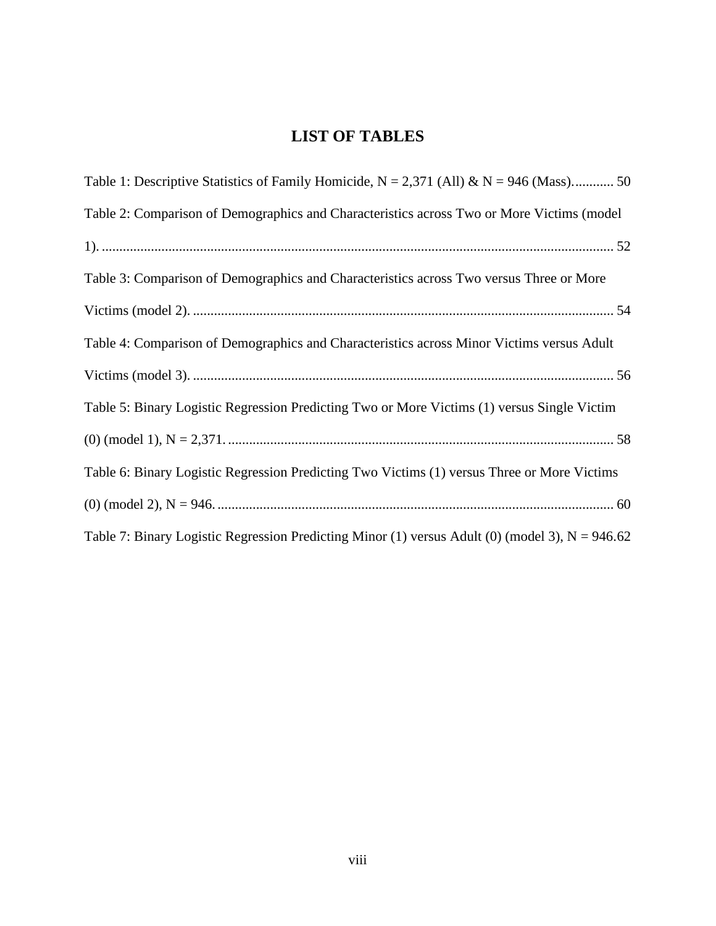# **LIST OF TABLES**

<span id="page-8-0"></span>

| Table 1: Descriptive Statistics of Family Homicide, $N = 2,371$ (All) & $N = 946$ (Mass) 50       |
|---------------------------------------------------------------------------------------------------|
| Table 2: Comparison of Demographics and Characteristics across Two or More Victims (model         |
|                                                                                                   |
| Table 3: Comparison of Demographics and Characteristics across Two versus Three or More           |
|                                                                                                   |
| Table 4: Comparison of Demographics and Characteristics across Minor Victims versus Adult         |
|                                                                                                   |
| Table 5: Binary Logistic Regression Predicting Two or More Victims (1) versus Single Victim       |
|                                                                                                   |
| Table 6: Binary Logistic Regression Predicting Two Victims (1) versus Three or More Victims       |
|                                                                                                   |
| Table 7: Binary Logistic Regression Predicting Minor (1) versus Adult (0) (model 3), $N = 946.62$ |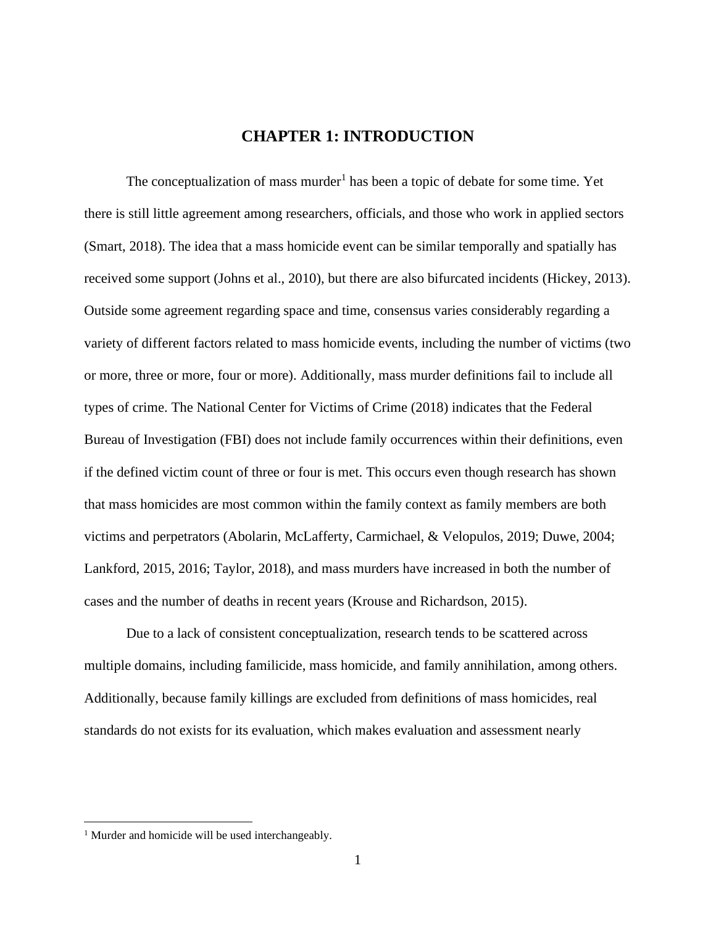# **CHAPTER 1: INTRODUCTION**

<span id="page-9-0"></span>The conceptualization of mass murder<sup>1</sup> has been a topic of debate for some time. Yet there is still little agreement among researchers, officials, and those who work in applied sectors (Smart, 2018). The idea that a mass homicide event can be similar temporally and spatially has received some support (Johns et al., 2010), but there are also bifurcated incidents (Hickey, 2013). Outside some agreement regarding space and time, consensus varies considerably regarding a variety of different factors related to mass homicide events, including the number of victims (two or more, three or more, four or more). Additionally, mass murder definitions fail to include all types of crime. The National Center for Victims of Crime (2018) indicates that the Federal Bureau of Investigation (FBI) does not include family occurrences within their definitions, even if the defined victim count of three or four is met. This occurs even though research has shown that mass homicides are most common within the family context as family members are both victims and perpetrators (Abolarin, McLafferty, Carmichael, & Velopulos, 2019; Duwe, 2004; Lankford, 2015, 2016; Taylor, 2018), and mass murders have increased in both the number of cases and the number of deaths in recent years (Krouse and Richardson, 2015).

Due to a lack of consistent conceptualization, research tends to be scattered across multiple domains, including familicide, mass homicide, and family annihilation, among others. Additionally, because family killings are excluded from definitions of mass homicides, real standards do not exists for its evaluation, which makes evaluation and assessment nearly

<sup>&</sup>lt;sup>1</sup> Murder and homicide will be used interchangeably.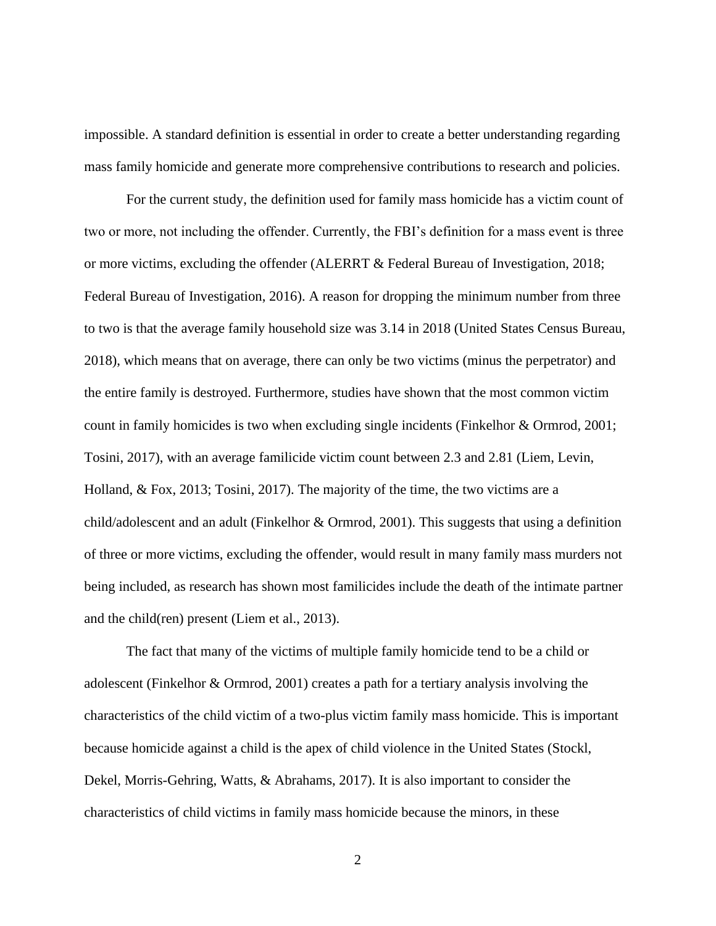impossible. A standard definition is essential in order to create a better understanding regarding mass family homicide and generate more comprehensive contributions to research and policies.

For the current study, the definition used for family mass homicide has a victim count of two or more, not including the offender. Currently, the FBI's definition for a mass event is three or more victims, excluding the offender (ALERRT & Federal Bureau of Investigation, 2018; Federal Bureau of Investigation, 2016). A reason for dropping the minimum number from three to two is that the average family household size was 3.14 in 2018 (United States Census Bureau, 2018), which means that on average, there can only be two victims (minus the perpetrator) and the entire family is destroyed. Furthermore, studies have shown that the most common victim count in family homicides is two when excluding single incidents (Finkelhor & Ormrod, 2001; Tosini, 2017), with an average familicide victim count between 2.3 and 2.81 (Liem, Levin, Holland, & Fox, 2013; Tosini, 2017). The majority of the time, the two victims are a child/adolescent and an adult (Finkelhor & Ormrod, 2001). This suggests that using a definition of three or more victims, excluding the offender, would result in many family mass murders not being included, as research has shown most familicides include the death of the intimate partner and the child(ren) present (Liem et al., 2013).

The fact that many of the victims of multiple family homicide tend to be a child or adolescent (Finkelhor & Ormrod, 2001) creates a path for a tertiary analysis involving the characteristics of the child victim of a two-plus victim family mass homicide. This is important because homicide against a child is the apex of child violence in the United States (Stockl, Dekel, Morris-Gehring, Watts, & Abrahams, 2017). It is also important to consider the characteristics of child victims in family mass homicide because the minors, in these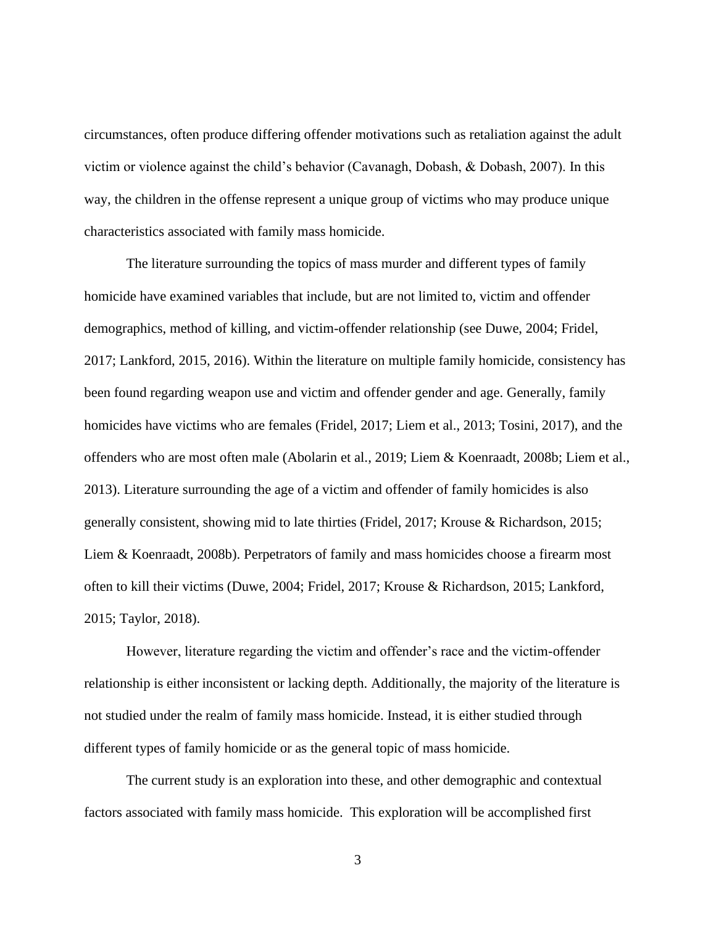circumstances, often produce differing offender motivations such as retaliation against the adult victim or violence against the child's behavior (Cavanagh, Dobash, & Dobash, 2007). In this way, the children in the offense represent a unique group of victims who may produce unique characteristics associated with family mass homicide.

The literature surrounding the topics of mass murder and different types of family homicide have examined variables that include, but are not limited to, victim and offender demographics, method of killing, and victim-offender relationship (see Duwe, 2004; Fridel, 2017; Lankford, 2015, 2016). Within the literature on multiple family homicide, consistency has been found regarding weapon use and victim and offender gender and age. Generally, family homicides have victims who are females (Fridel, 2017; Liem et al., 2013; Tosini, 2017), and the offenders who are most often male (Abolarin et al., 2019; Liem & Koenraadt, 2008b; Liem et al., 2013). Literature surrounding the age of a victim and offender of family homicides is also generally consistent, showing mid to late thirties (Fridel, 2017; Krouse & Richardson, 2015; Liem & Koenraadt, 2008b). Perpetrators of family and mass homicides choose a firearm most often to kill their victims (Duwe, 2004; Fridel, 2017; Krouse & Richardson, 2015; Lankford, 2015; Taylor, 2018).

However, literature regarding the victim and offender's race and the victim-offender relationship is either inconsistent or lacking depth. Additionally, the majority of the literature is not studied under the realm of family mass homicide. Instead, it is either studied through different types of family homicide or as the general topic of mass homicide.

The current study is an exploration into these, and other demographic and contextual factors associated with family mass homicide. This exploration will be accomplished first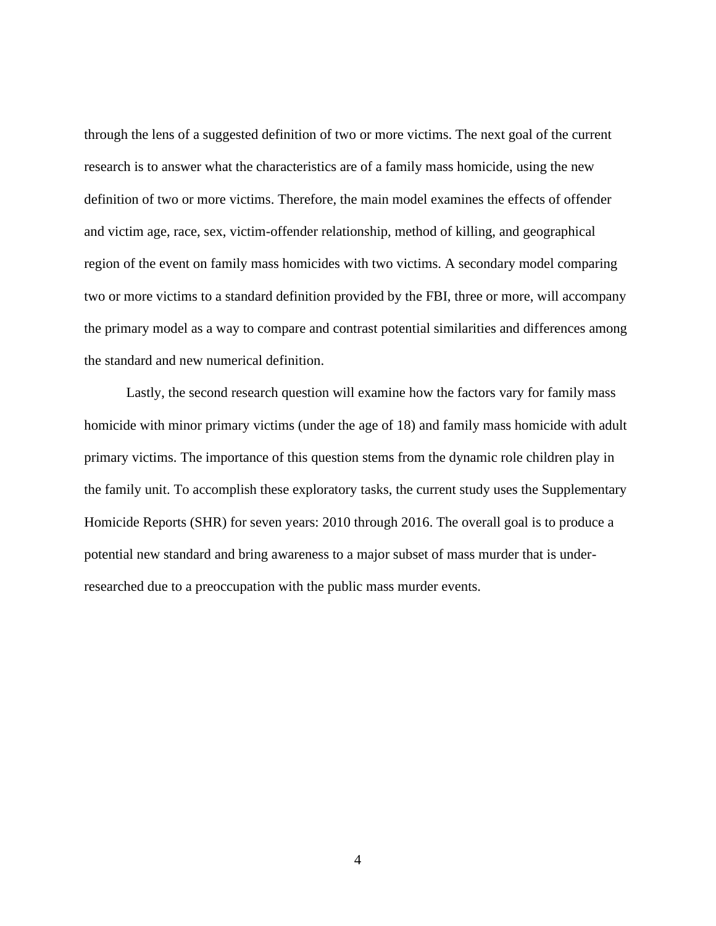through the lens of a suggested definition of two or more victims. The next goal of the current research is to answer what the characteristics are of a family mass homicide, using the new definition of two or more victims. Therefore, the main model examines the effects of offender and victim age, race, sex, victim-offender relationship, method of killing, and geographical region of the event on family mass homicides with two victims. A secondary model comparing two or more victims to a standard definition provided by the FBI, three or more, will accompany the primary model as a way to compare and contrast potential similarities and differences among the standard and new numerical definition.

Lastly, the second research question will examine how the factors vary for family mass homicide with minor primary victims (under the age of 18) and family mass homicide with adult primary victims. The importance of this question stems from the dynamic role children play in the family unit. To accomplish these exploratory tasks, the current study uses the Supplementary Homicide Reports (SHR) for seven years: 2010 through 2016. The overall goal is to produce a potential new standard and bring awareness to a major subset of mass murder that is underresearched due to a preoccupation with the public mass murder events.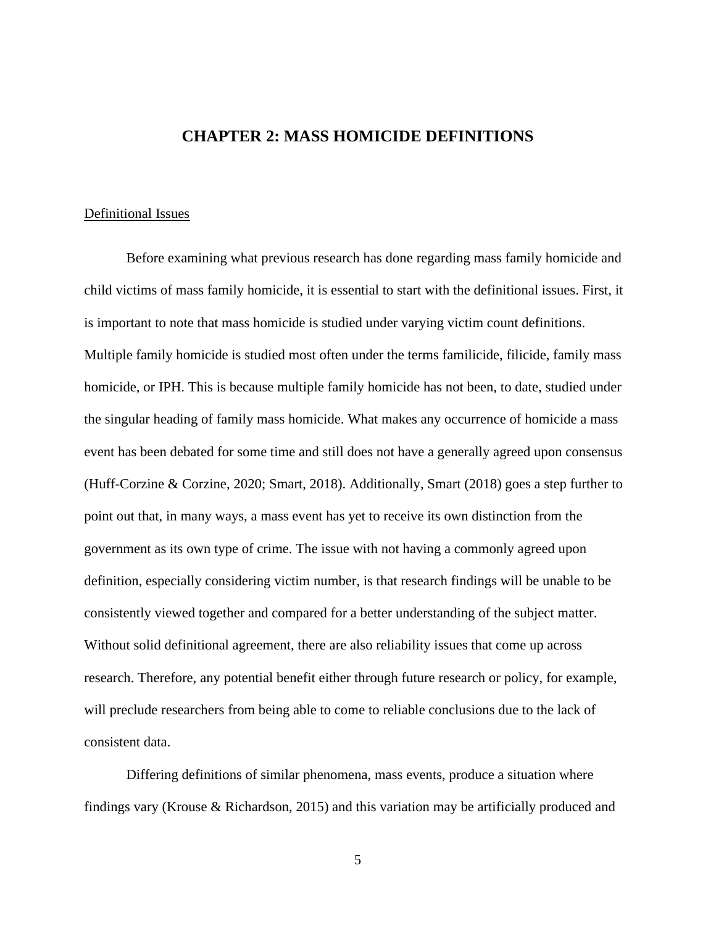# **CHAPTER 2: MASS HOMICIDE DEFINITIONS**

#### <span id="page-13-1"></span><span id="page-13-0"></span>Definitional Issues

Before examining what previous research has done regarding mass family homicide and child victims of mass family homicide, it is essential to start with the definitional issues. First, it is important to note that mass homicide is studied under varying victim count definitions. Multiple family homicide is studied most often under the terms familicide, filicide, family mass homicide, or IPH. This is because multiple family homicide has not been, to date, studied under the singular heading of family mass homicide. What makes any occurrence of homicide a mass event has been debated for some time and still does not have a generally agreed upon consensus (Huff-Corzine & Corzine, 2020; Smart, 2018). Additionally, Smart (2018) goes a step further to point out that, in many ways, a mass event has yet to receive its own distinction from the government as its own type of crime. The issue with not having a commonly agreed upon definition, especially considering victim number, is that research findings will be unable to be consistently viewed together and compared for a better understanding of the subject matter. Without solid definitional agreement, there are also reliability issues that come up across research. Therefore, any potential benefit either through future research or policy, for example, will preclude researchers from being able to come to reliable conclusions due to the lack of consistent data.

Differing definitions of similar phenomena, mass events, produce a situation where findings vary (Krouse & Richardson, 2015) and this variation may be artificially produced and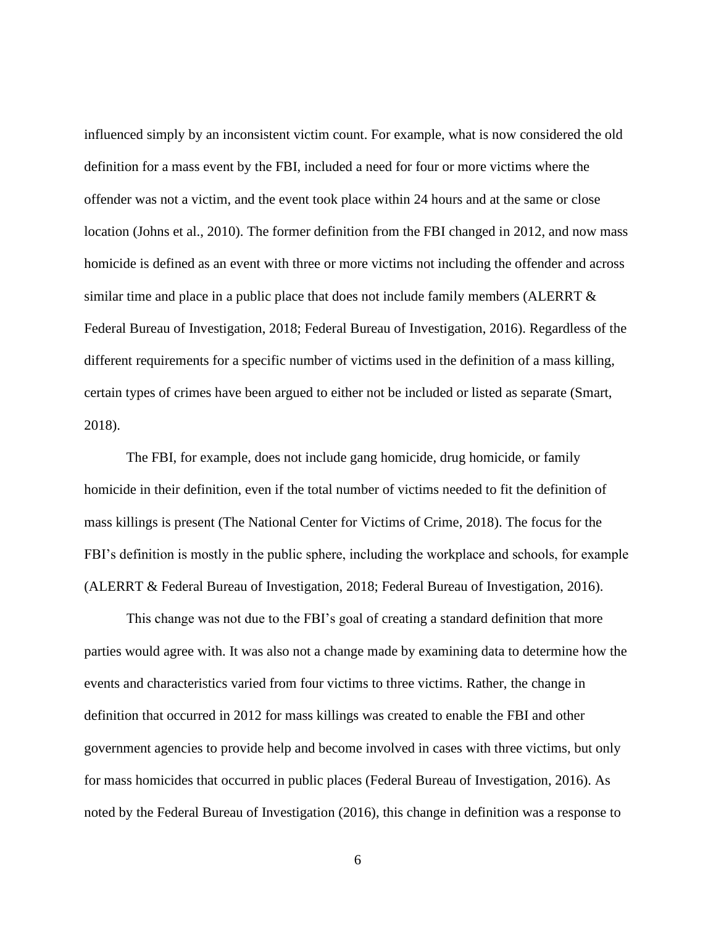influenced simply by an inconsistent victim count. For example, what is now considered the old definition for a mass event by the FBI, included a need for four or more victims where the offender was not a victim, and the event took place within 24 hours and at the same or close location (Johns et al., 2010). The former definition from the FBI changed in 2012, and now mass homicide is defined as an event with three or more victims not including the offender and across similar time and place in a public place that does not include family members (ALERRT  $\&$ Federal Bureau of Investigation, 2018; Federal Bureau of Investigation, 2016). Regardless of the different requirements for a specific number of victims used in the definition of a mass killing, certain types of crimes have been argued to either not be included or listed as separate (Smart, 2018).

The FBI, for example, does not include gang homicide, drug homicide, or family homicide in their definition, even if the total number of victims needed to fit the definition of mass killings is present (The National Center for Victims of Crime, 2018). The focus for the FBI's definition is mostly in the public sphere, including the workplace and schools, for example (ALERRT & Federal Bureau of Investigation, 2018; Federal Bureau of Investigation, 2016).

This change was not due to the FBI's goal of creating a standard definition that more parties would agree with. It was also not a change made by examining data to determine how the events and characteristics varied from four victims to three victims. Rather, the change in definition that occurred in 2012 for mass killings was created to enable the FBI and other government agencies to provide help and become involved in cases with three victims, but only for mass homicides that occurred in public places (Federal Bureau of Investigation, 2016). As noted by the Federal Bureau of Investigation (2016), this change in definition was a response to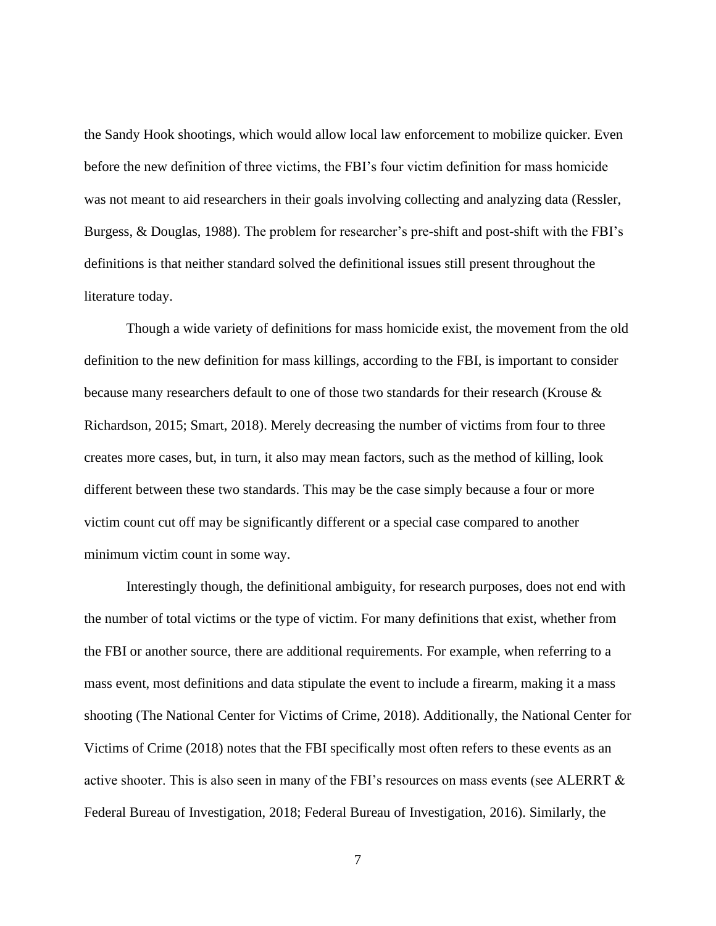the Sandy Hook shootings, which would allow local law enforcement to mobilize quicker. Even before the new definition of three victims, the FBI's four victim definition for mass homicide was not meant to aid researchers in their goals involving collecting and analyzing data (Ressler, Burgess, & Douglas, 1988). The problem for researcher's pre-shift and post-shift with the FBI's definitions is that neither standard solved the definitional issues still present throughout the literature today.

Though a wide variety of definitions for mass homicide exist, the movement from the old definition to the new definition for mass killings, according to the FBI, is important to consider because many researchers default to one of those two standards for their research (Krouse & Richardson, 2015; Smart, 2018). Merely decreasing the number of victims from four to three creates more cases, but, in turn, it also may mean factors, such as the method of killing, look different between these two standards. This may be the case simply because a four or more victim count cut off may be significantly different or a special case compared to another minimum victim count in some way.

Interestingly though, the definitional ambiguity, for research purposes, does not end with the number of total victims or the type of victim. For many definitions that exist, whether from the FBI or another source, there are additional requirements. For example, when referring to a mass event, most definitions and data stipulate the event to include a firearm, making it a mass shooting (The National Center for Victims of Crime, 2018). Additionally, the National Center for Victims of Crime (2018) notes that the FBI specifically most often refers to these events as an active shooter. This is also seen in many of the FBI's resources on mass events (see ALERRT & Federal Bureau of Investigation, 2018; Federal Bureau of Investigation, 2016). Similarly, the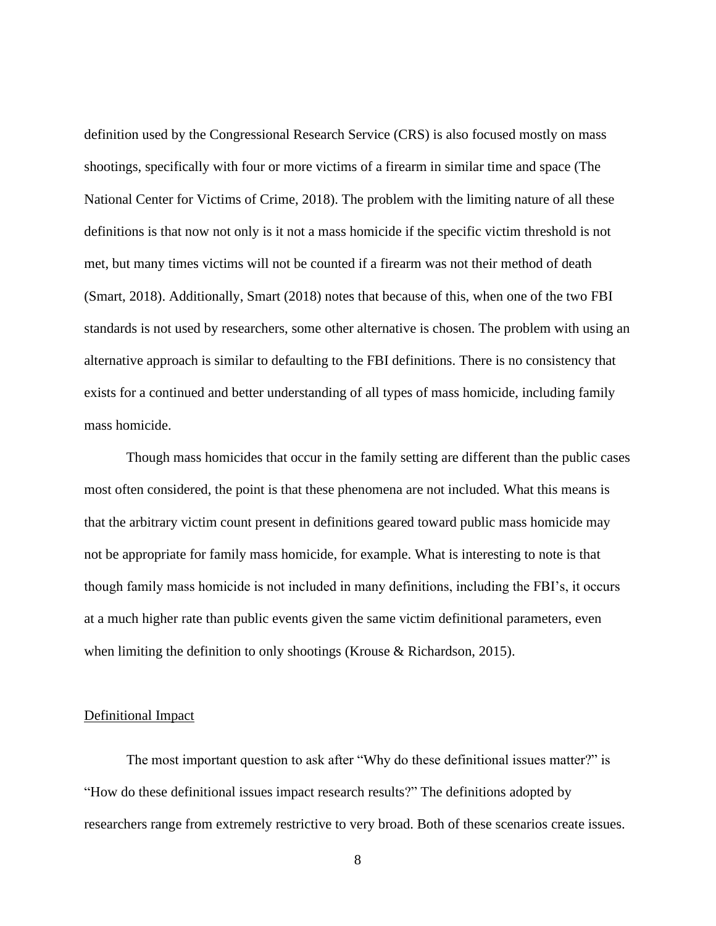definition used by the Congressional Research Service (CRS) is also focused mostly on mass shootings, specifically with four or more victims of a firearm in similar time and space (The National Center for Victims of Crime, 2018). The problem with the limiting nature of all these definitions is that now not only is it not a mass homicide if the specific victim threshold is not met, but many times victims will not be counted if a firearm was not their method of death (Smart, 2018). Additionally, Smart (2018) notes that because of this, when one of the two FBI standards is not used by researchers, some other alternative is chosen. The problem with using an alternative approach is similar to defaulting to the FBI definitions. There is no consistency that exists for a continued and better understanding of all types of mass homicide, including family mass homicide.

Though mass homicides that occur in the family setting are different than the public cases most often considered, the point is that these phenomena are not included. What this means is that the arbitrary victim count present in definitions geared toward public mass homicide may not be appropriate for family mass homicide, for example. What is interesting to note is that though family mass homicide is not included in many definitions, including the FBI's, it occurs at a much higher rate than public events given the same victim definitional parameters, even when limiting the definition to only shootings (Krouse & Richardson, 2015).

#### <span id="page-16-0"></span>Definitional Impact

The most important question to ask after "Why do these definitional issues matter?" is "How do these definitional issues impact research results?" The definitions adopted by researchers range from extremely restrictive to very broad. Both of these scenarios create issues.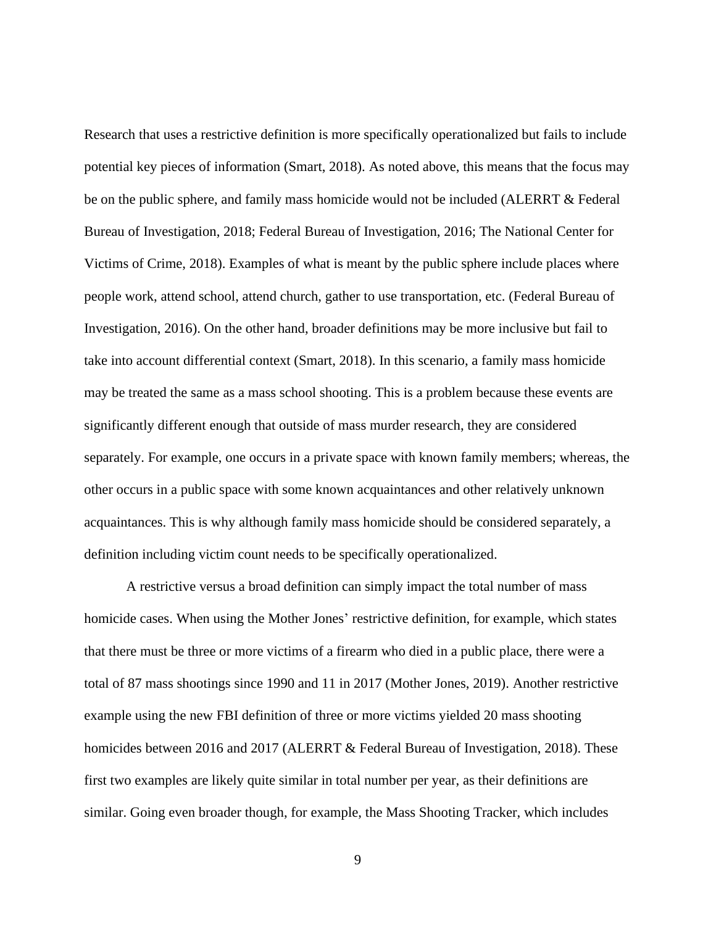Research that uses a restrictive definition is more specifically operationalized but fails to include potential key pieces of information (Smart, 2018). As noted above, this means that the focus may be on the public sphere, and family mass homicide would not be included (ALERRT & Federal Bureau of Investigation, 2018; Federal Bureau of Investigation, 2016; The National Center for Victims of Crime, 2018). Examples of what is meant by the public sphere include places where people work, attend school, attend church, gather to use transportation, etc. (Federal Bureau of Investigation, 2016). On the other hand, broader definitions may be more inclusive but fail to take into account differential context (Smart, 2018). In this scenario, a family mass homicide may be treated the same as a mass school shooting. This is a problem because these events are significantly different enough that outside of mass murder research, they are considered separately. For example, one occurs in a private space with known family members; whereas, the other occurs in a public space with some known acquaintances and other relatively unknown acquaintances. This is why although family mass homicide should be considered separately, a definition including victim count needs to be specifically operationalized.

A restrictive versus a broad definition can simply impact the total number of mass homicide cases. When using the Mother Jones' restrictive definition, for example, which states that there must be three or more victims of a firearm who died in a public place, there were a total of 87 mass shootings since 1990 and 11 in 2017 (Mother Jones, 2019). Another restrictive example using the new FBI definition of three or more victims yielded 20 mass shooting homicides between 2016 and 2017 (ALERRT & Federal Bureau of Investigation, 2018). These first two examples are likely quite similar in total number per year, as their definitions are similar. Going even broader though, for example, the Mass Shooting Tracker, which includes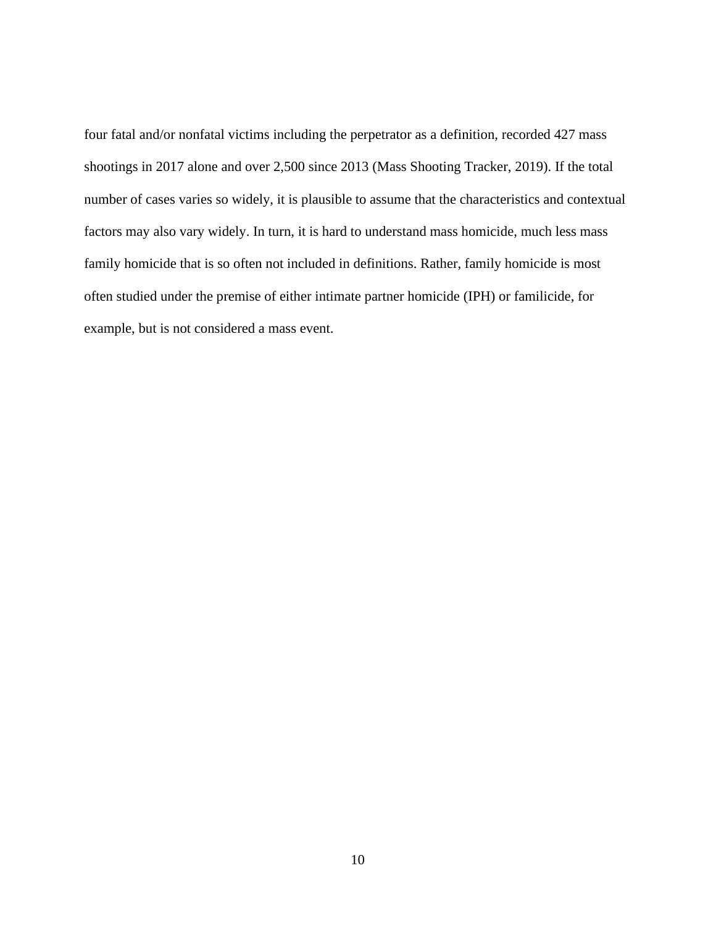four fatal and/or nonfatal victims including the perpetrator as a definition, recorded 427 mass shootings in 2017 alone and over 2,500 since 2013 (Mass Shooting Tracker, 2019). If the total number of cases varies so widely, it is plausible to assume that the characteristics and contextual factors may also vary widely. In turn, it is hard to understand mass homicide, much less mass family homicide that is so often not included in definitions. Rather, family homicide is most often studied under the premise of either intimate partner homicide (IPH) or familicide, for example, but is not considered a mass event.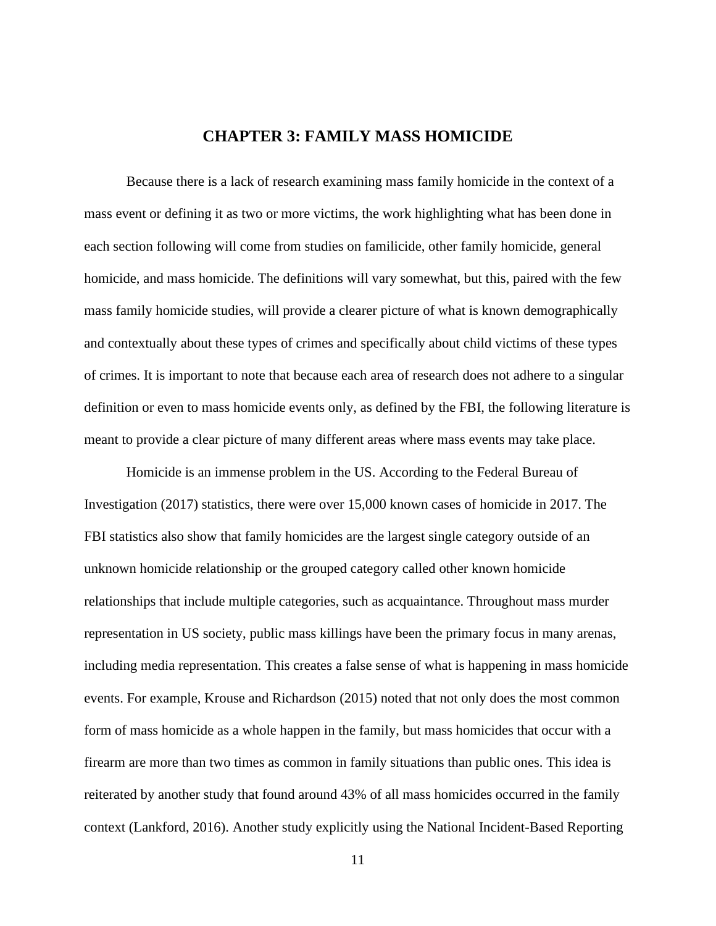# **CHAPTER 3: FAMILY MASS HOMICIDE**

<span id="page-19-0"></span>Because there is a lack of research examining mass family homicide in the context of a mass event or defining it as two or more victims, the work highlighting what has been done in each section following will come from studies on familicide, other family homicide, general homicide, and mass homicide. The definitions will vary somewhat, but this, paired with the few mass family homicide studies, will provide a clearer picture of what is known demographically and contextually about these types of crimes and specifically about child victims of these types of crimes. It is important to note that because each area of research does not adhere to a singular definition or even to mass homicide events only, as defined by the FBI, the following literature is meant to provide a clear picture of many different areas where mass events may take place.

Homicide is an immense problem in the US. According to the Federal Bureau of Investigation (2017) statistics, there were over 15,000 known cases of homicide in 2017. The FBI statistics also show that family homicides are the largest single category outside of an unknown homicide relationship or the grouped category called other known homicide relationships that include multiple categories, such as acquaintance. Throughout mass murder representation in US society, public mass killings have been the primary focus in many arenas, including media representation. This creates a false sense of what is happening in mass homicide events. For example, Krouse and Richardson (2015) noted that not only does the most common form of mass homicide as a whole happen in the family, but mass homicides that occur with a firearm are more than two times as common in family situations than public ones. This idea is reiterated by another study that found around 43% of all mass homicides occurred in the family context (Lankford, 2016). Another study explicitly using the National Incident-Based Reporting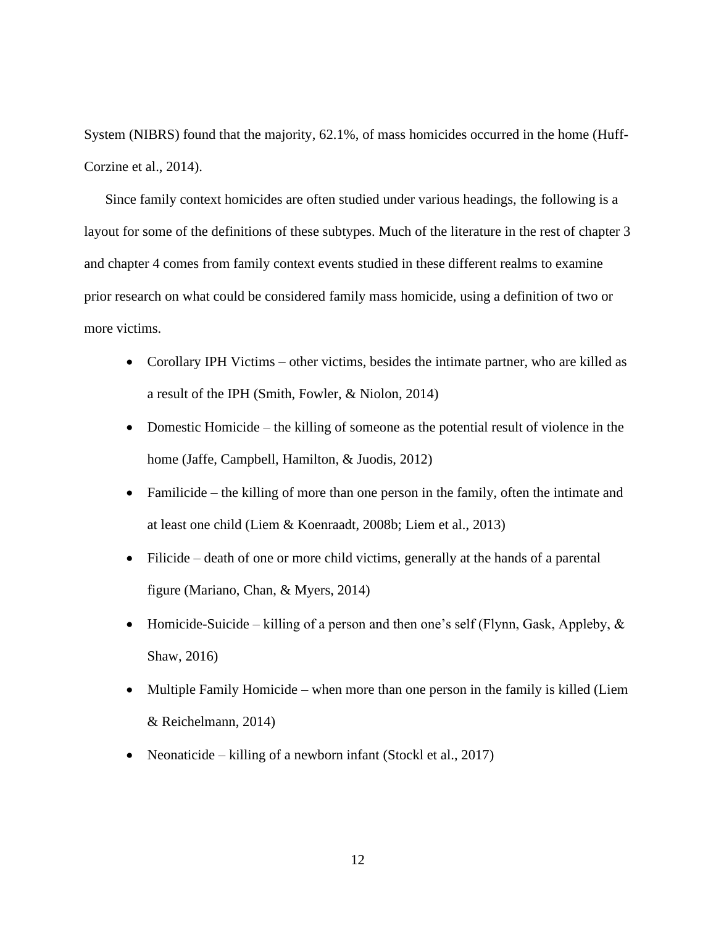System (NIBRS) found that the majority, 62.1%, of mass homicides occurred in the home (Huff-Corzine et al., 2014).

Since family context homicides are often studied under various headings, the following is a layout for some of the definitions of these subtypes. Much of the literature in the rest of chapter 3 and chapter 4 comes from family context events studied in these different realms to examine prior research on what could be considered family mass homicide, using a definition of two or more victims.

- Corollary IPH Victims other victims, besides the intimate partner, who are killed as a result of the IPH (Smith, Fowler, & Niolon, 2014)
- Domestic Homicide the killing of someone as the potential result of violence in the home (Jaffe, Campbell, Hamilton, & Juodis, 2012)
- Familicide the killing of more than one person in the family, often the intimate and at least one child (Liem & Koenraadt, 2008b; Liem et al., 2013)
- Filicide death of one or more child victims, generally at the hands of a parental figure (Mariano, Chan, & Myers, 2014)
- Homicide-Suicide killing of a person and then one's self (Flynn, Gask, Appleby,  $\&$ Shaw, 2016)
- Multiple Family Homicide when more than one person in the family is killed (Liem & Reichelmann, 2014)
- Neonaticide killing of a newborn infant (Stockl et al., 2017)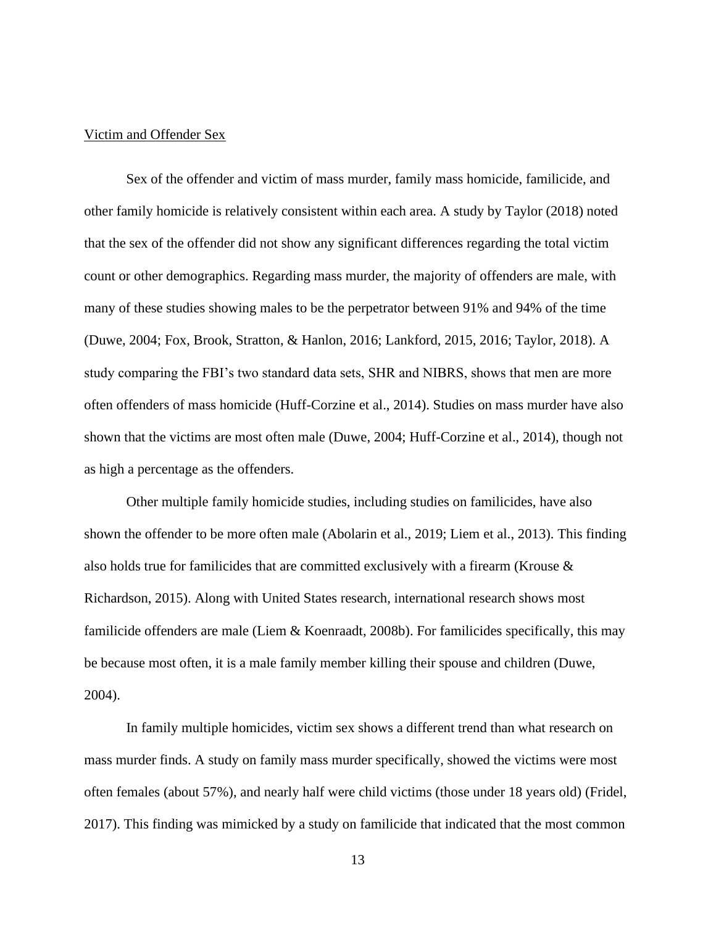#### <span id="page-21-0"></span>Victim and Offender Sex

Sex of the offender and victim of mass murder, family mass homicide, familicide, and other family homicide is relatively consistent within each area. A study by Taylor (2018) noted that the sex of the offender did not show any significant differences regarding the total victim count or other demographics. Regarding mass murder, the majority of offenders are male, with many of these studies showing males to be the perpetrator between 91% and 94% of the time (Duwe, 2004; Fox, Brook, Stratton, & Hanlon, 2016; Lankford, 2015, 2016; Taylor, 2018). A study comparing the FBI's two standard data sets, SHR and NIBRS, shows that men are more often offenders of mass homicide (Huff-Corzine et al., 2014). Studies on mass murder have also shown that the victims are most often male (Duwe, 2004; Huff-Corzine et al., 2014), though not as high a percentage as the offenders.

Other multiple family homicide studies, including studies on familicides, have also shown the offender to be more often male (Abolarin et al., 2019; Liem et al., 2013). This finding also holds true for familicides that are committed exclusively with a firearm (Krouse & Richardson, 2015). Along with United States research, international research shows most familicide offenders are male (Liem & Koenraadt, 2008b). For familicides specifically, this may be because most often, it is a male family member killing their spouse and children (Duwe, 2004).

In family multiple homicides, victim sex shows a different trend than what research on mass murder finds. A study on family mass murder specifically, showed the victims were most often females (about 57%), and nearly half were child victims (those under 18 years old) (Fridel, 2017). This finding was mimicked by a study on familicide that indicated that the most common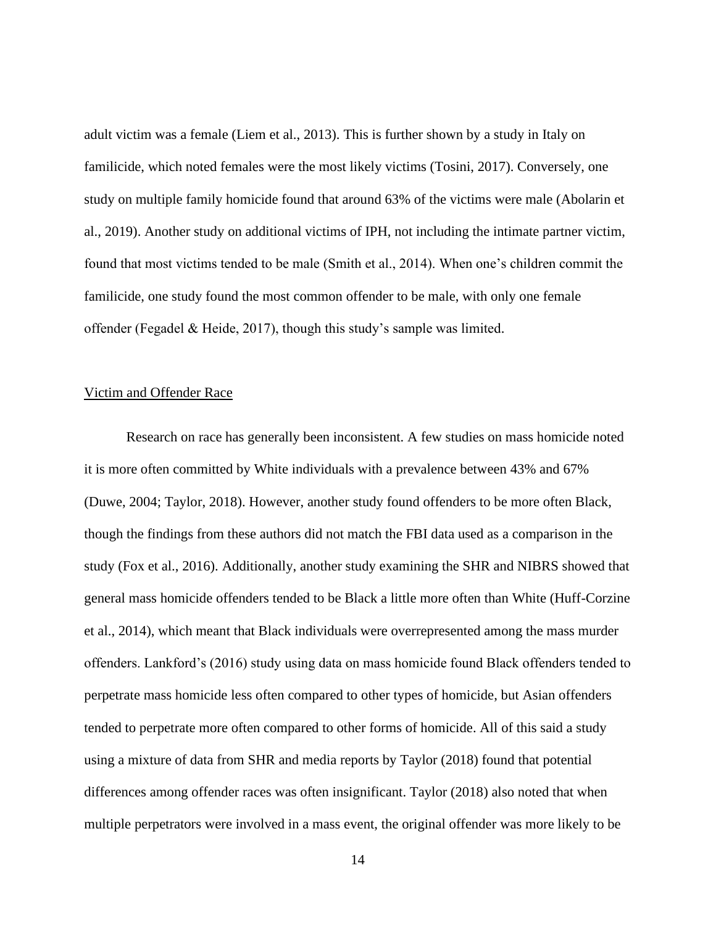adult victim was a female (Liem et al., 2013). This is further shown by a study in Italy on familicide, which noted females were the most likely victims (Tosini, 2017). Conversely, one study on multiple family homicide found that around 63% of the victims were male (Abolarin et al., 2019). Another study on additional victims of IPH, not including the intimate partner victim, found that most victims tended to be male (Smith et al., 2014). When one's children commit the familicide, one study found the most common offender to be male, with only one female offender (Fegadel & Heide, 2017), though this study's sample was limited.

#### <span id="page-22-0"></span>Victim and Offender Race

Research on race has generally been inconsistent. A few studies on mass homicide noted it is more often committed by White individuals with a prevalence between 43% and 67% (Duwe, 2004; Taylor, 2018). However, another study found offenders to be more often Black, though the findings from these authors did not match the FBI data used as a comparison in the study (Fox et al., 2016). Additionally, another study examining the SHR and NIBRS showed that general mass homicide offenders tended to be Black a little more often than White (Huff-Corzine et al., 2014), which meant that Black individuals were overrepresented among the mass murder offenders. Lankford's (2016) study using data on mass homicide found Black offenders tended to perpetrate mass homicide less often compared to other types of homicide, but Asian offenders tended to perpetrate more often compared to other forms of homicide. All of this said a study using a mixture of data from SHR and media reports by Taylor (2018) found that potential differences among offender races was often insignificant. Taylor (2018) also noted that when multiple perpetrators were involved in a mass event, the original offender was more likely to be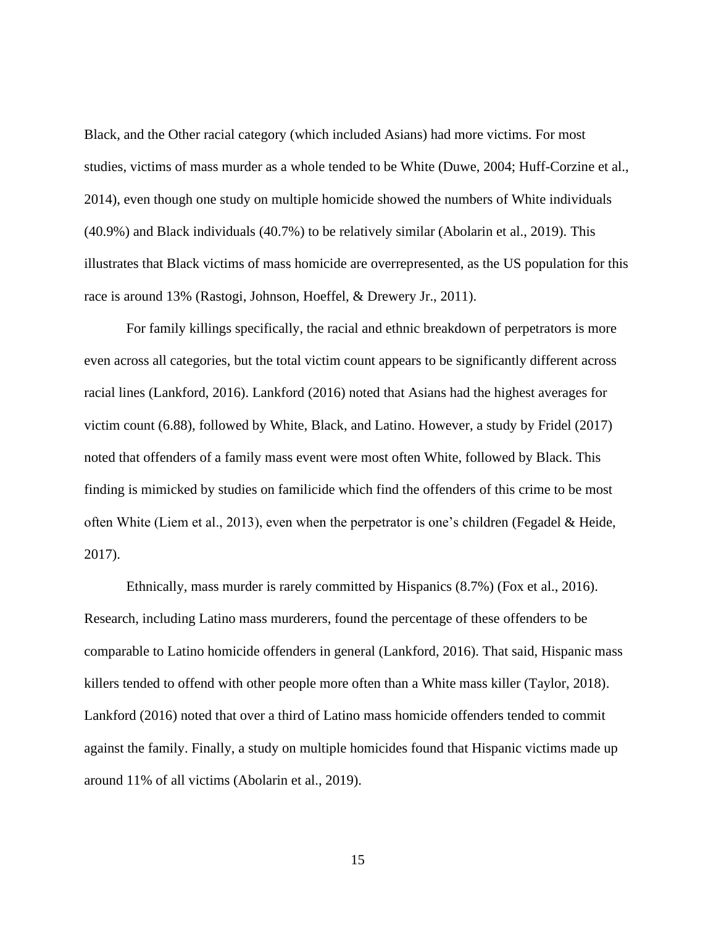Black, and the Other racial category (which included Asians) had more victims. For most studies, victims of mass murder as a whole tended to be White (Duwe, 2004; Huff-Corzine et al., 2014), even though one study on multiple homicide showed the numbers of White individuals (40.9%) and Black individuals (40.7%) to be relatively similar (Abolarin et al., 2019). This illustrates that Black victims of mass homicide are overrepresented, as the US population for this race is around 13% (Rastogi, Johnson, Hoeffel, & Drewery Jr., 2011).

For family killings specifically, the racial and ethnic breakdown of perpetrators is more even across all categories, but the total victim count appears to be significantly different across racial lines (Lankford, 2016). Lankford (2016) noted that Asians had the highest averages for victim count (6.88), followed by White, Black, and Latino. However, a study by Fridel (2017) noted that offenders of a family mass event were most often White, followed by Black. This finding is mimicked by studies on familicide which find the offenders of this crime to be most often White (Liem et al., 2013), even when the perpetrator is one's children (Fegadel & Heide, 2017).

Ethnically, mass murder is rarely committed by Hispanics (8.7%) (Fox et al., 2016). Research, including Latino mass murderers, found the percentage of these offenders to be comparable to Latino homicide offenders in general (Lankford, 2016). That said, Hispanic mass killers tended to offend with other people more often than a White mass killer (Taylor, 2018). Lankford (2016) noted that over a third of Latino mass homicide offenders tended to commit against the family. Finally, a study on multiple homicides found that Hispanic victims made up around 11% of all victims (Abolarin et al., 2019).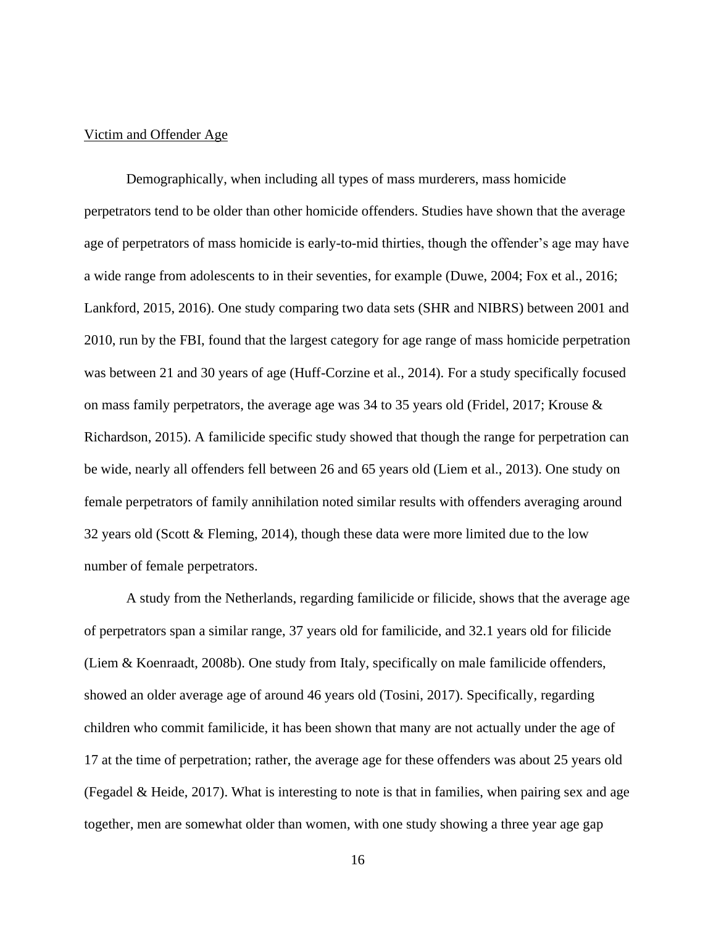#### <span id="page-24-0"></span>Victim and Offender Age

Demographically, when including all types of mass murderers, mass homicide perpetrators tend to be older than other homicide offenders. Studies have shown that the average age of perpetrators of mass homicide is early-to-mid thirties, though the offender's age may have a wide range from adolescents to in their seventies, for example (Duwe, 2004; Fox et al., 2016; Lankford, 2015, 2016). One study comparing two data sets (SHR and NIBRS) between 2001 and 2010, run by the FBI, found that the largest category for age range of mass homicide perpetration was between 21 and 30 years of age (Huff-Corzine et al., 2014). For a study specifically focused on mass family perpetrators, the average age was 34 to 35 years old (Fridel, 2017; Krouse & Richardson, 2015). A familicide specific study showed that though the range for perpetration can be wide, nearly all offenders fell between 26 and 65 years old (Liem et al., 2013). One study on female perpetrators of family annihilation noted similar results with offenders averaging around 32 years old (Scott & Fleming, 2014), though these data were more limited due to the low number of female perpetrators.

A study from the Netherlands, regarding familicide or filicide, shows that the average age of perpetrators span a similar range, 37 years old for familicide, and 32.1 years old for filicide (Liem & Koenraadt, 2008b). One study from Italy, specifically on male familicide offenders, showed an older average age of around 46 years old (Tosini, 2017). Specifically, regarding children who commit familicide, it has been shown that many are not actually under the age of 17 at the time of perpetration; rather, the average age for these offenders was about 25 years old (Fegadel & Heide, 2017). What is interesting to note is that in families, when pairing sex and age together, men are somewhat older than women, with one study showing a three year age gap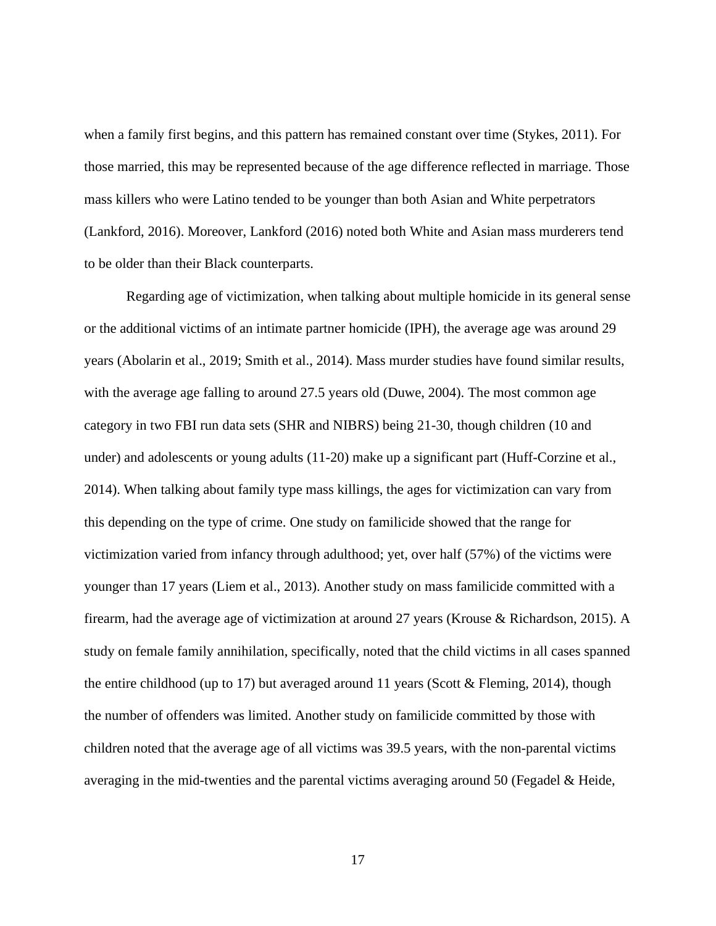when a family first begins, and this pattern has remained constant over time (Stykes, 2011). For those married, this may be represented because of the age difference reflected in marriage. Those mass killers who were Latino tended to be younger than both Asian and White perpetrators (Lankford, 2016). Moreover, Lankford (2016) noted both White and Asian mass murderers tend to be older than their Black counterparts.

Regarding age of victimization, when talking about multiple homicide in its general sense or the additional victims of an intimate partner homicide (IPH), the average age was around 29 years (Abolarin et al., 2019; Smith et al., 2014). Mass murder studies have found similar results, with the average age falling to around 27.5 years old (Duwe, 2004). The most common age category in two FBI run data sets (SHR and NIBRS) being 21-30, though children (10 and under) and adolescents or young adults (11-20) make up a significant part (Huff-Corzine et al., 2014). When talking about family type mass killings, the ages for victimization can vary from this depending on the type of crime. One study on familicide showed that the range for victimization varied from infancy through adulthood; yet, over half (57%) of the victims were younger than 17 years (Liem et al., 2013). Another study on mass familicide committed with a firearm, had the average age of victimization at around 27 years (Krouse & Richardson, 2015). A study on female family annihilation, specifically, noted that the child victims in all cases spanned the entire childhood (up to 17) but averaged around 11 years (Scott & Fleming, 2014), though the number of offenders was limited. Another study on familicide committed by those with children noted that the average age of all victims was 39.5 years, with the non-parental victims averaging in the mid-twenties and the parental victims averaging around 50 (Fegadel & Heide,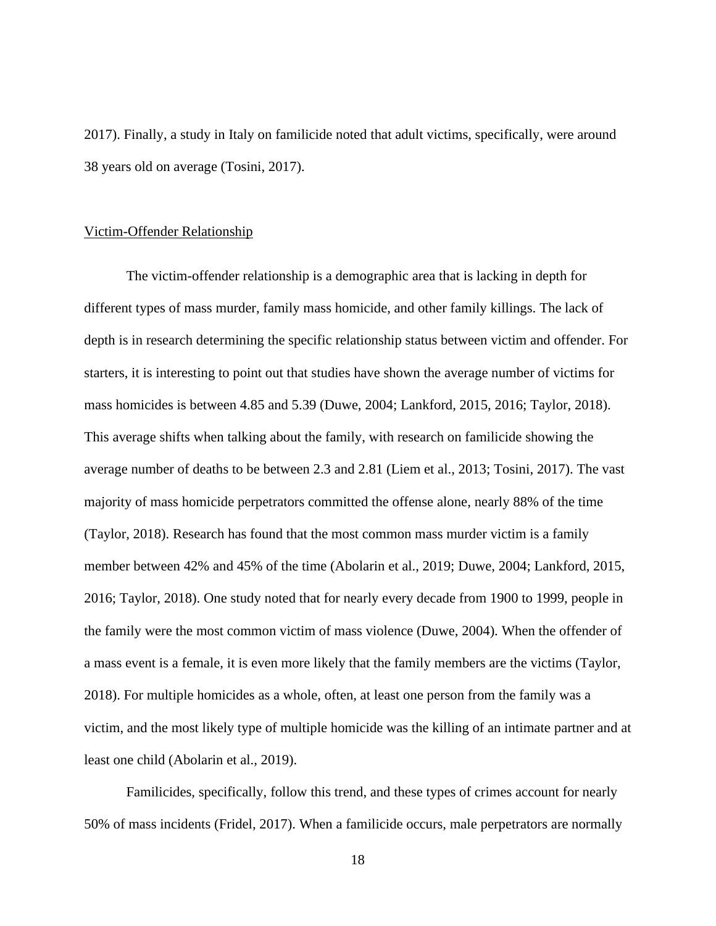2017). Finally, a study in Italy on familicide noted that adult victims, specifically, were around 38 years old on average (Tosini, 2017).

#### <span id="page-26-0"></span>Victim-Offender Relationship

The victim-offender relationship is a demographic area that is lacking in depth for different types of mass murder, family mass homicide, and other family killings. The lack of depth is in research determining the specific relationship status between victim and offender. For starters, it is interesting to point out that studies have shown the average number of victims for mass homicides is between 4.85 and 5.39 (Duwe, 2004; Lankford, 2015, 2016; Taylor, 2018). This average shifts when talking about the family, with research on familicide showing the average number of deaths to be between 2.3 and 2.81 (Liem et al., 2013; Tosini, 2017). The vast majority of mass homicide perpetrators committed the offense alone, nearly 88% of the time (Taylor, 2018). Research has found that the most common mass murder victim is a family member between 42% and 45% of the time (Abolarin et al., 2019; Duwe, 2004; Lankford, 2015, 2016; Taylor, 2018). One study noted that for nearly every decade from 1900 to 1999, people in the family were the most common victim of mass violence (Duwe, 2004). When the offender of a mass event is a female, it is even more likely that the family members are the victims (Taylor, 2018). For multiple homicides as a whole, often, at least one person from the family was a victim, and the most likely type of multiple homicide was the killing of an intimate partner and at least one child (Abolarin et al., 2019).

Familicides, specifically, follow this trend, and these types of crimes account for nearly 50% of mass incidents (Fridel, 2017). When a familicide occurs, male perpetrators are normally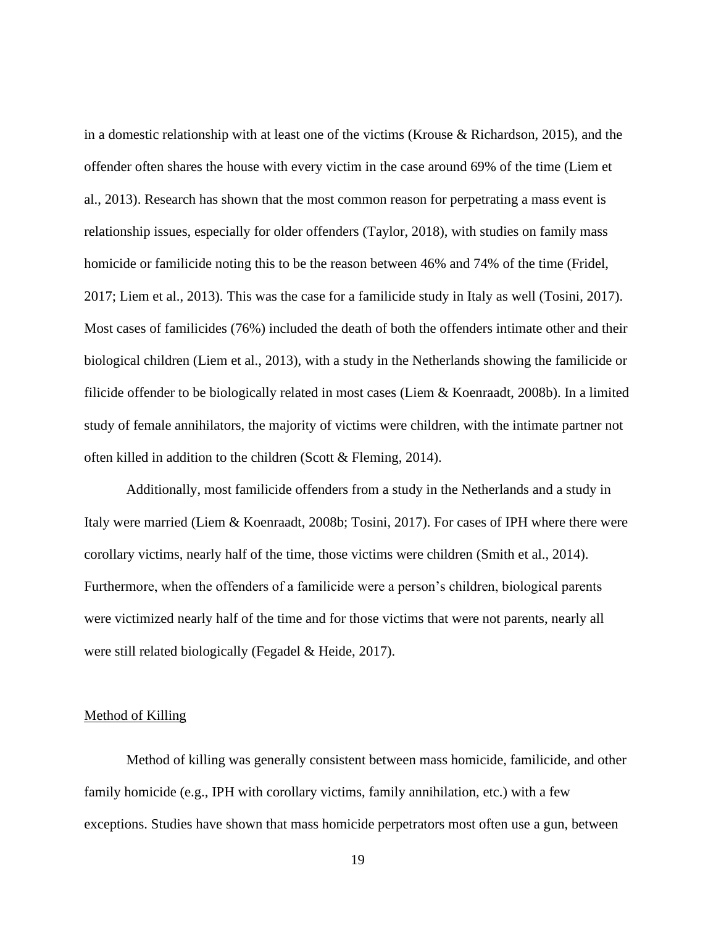in a domestic relationship with at least one of the victims (Krouse & Richardson, 2015), and the offender often shares the house with every victim in the case around 69% of the time (Liem et al., 2013). Research has shown that the most common reason for perpetrating a mass event is relationship issues, especially for older offenders (Taylor, 2018), with studies on family mass homicide or familicide noting this to be the reason between 46% and 74% of the time (Fridel, 2017; Liem et al., 2013). This was the case for a familicide study in Italy as well (Tosini, 2017). Most cases of familicides (76%) included the death of both the offenders intimate other and their biological children (Liem et al., 2013), with a study in the Netherlands showing the familicide or filicide offender to be biologically related in most cases (Liem & Koenraadt, 2008b). In a limited study of female annihilators, the majority of victims were children, with the intimate partner not often killed in addition to the children (Scott & Fleming, 2014).

Additionally, most familicide offenders from a study in the Netherlands and a study in Italy were married (Liem & Koenraadt, 2008b; Tosini, 2017). For cases of IPH where there were corollary victims, nearly half of the time, those victims were children (Smith et al., 2014). Furthermore, when the offenders of a familicide were a person's children, biological parents were victimized nearly half of the time and for those victims that were not parents, nearly all were still related biologically (Fegadel & Heide, 2017).

#### <span id="page-27-0"></span>Method of Killing

Method of killing was generally consistent between mass homicide, familicide, and other family homicide (e.g., IPH with corollary victims, family annihilation, etc.) with a few exceptions. Studies have shown that mass homicide perpetrators most often use a gun, between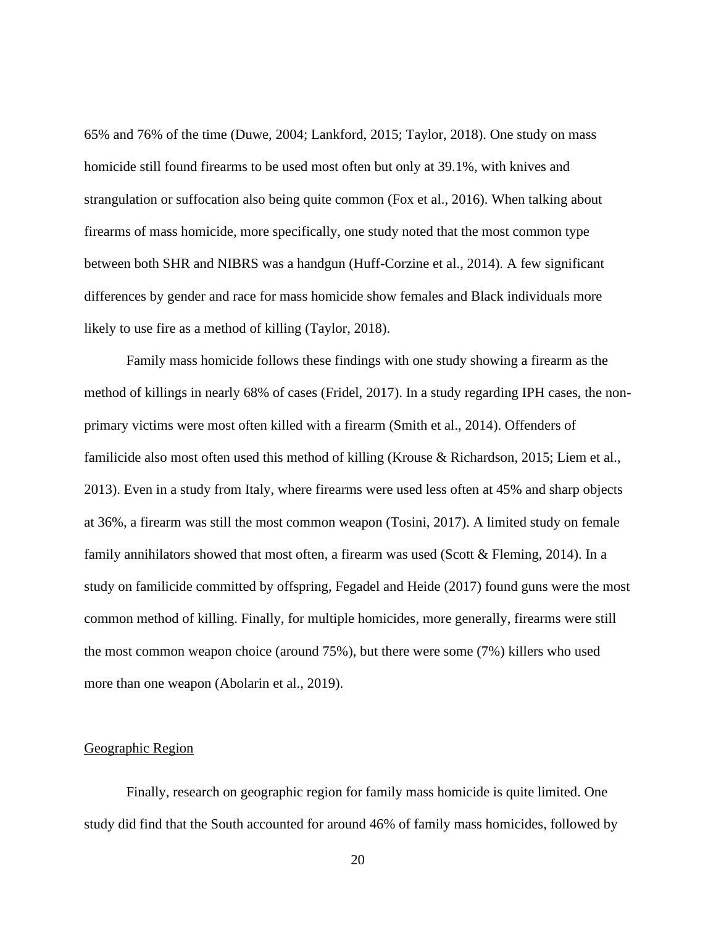65% and 76% of the time (Duwe, 2004; Lankford, 2015; Taylor, 2018). One study on mass homicide still found firearms to be used most often but only at 39.1%, with knives and strangulation or suffocation also being quite common (Fox et al., 2016). When talking about firearms of mass homicide, more specifically, one study noted that the most common type between both SHR and NIBRS was a handgun (Huff-Corzine et al., 2014). A few significant differences by gender and race for mass homicide show females and Black individuals more likely to use fire as a method of killing (Taylor, 2018).

Family mass homicide follows these findings with one study showing a firearm as the method of killings in nearly 68% of cases (Fridel, 2017). In a study regarding IPH cases, the nonprimary victims were most often killed with a firearm (Smith et al., 2014). Offenders of familicide also most often used this method of killing (Krouse & Richardson, 2015; Liem et al., 2013). Even in a study from Italy, where firearms were used less often at 45% and sharp objects at 36%, a firearm was still the most common weapon (Tosini, 2017). A limited study on female family annihilators showed that most often, a firearm was used (Scott & Fleming, 2014). In a study on familicide committed by offspring, Fegadel and Heide (2017) found guns were the most common method of killing. Finally, for multiple homicides, more generally, firearms were still the most common weapon choice (around 75%), but there were some (7%) killers who used more than one weapon (Abolarin et al., 2019).

#### <span id="page-28-0"></span>Geographic Region

Finally, research on geographic region for family mass homicide is quite limited. One study did find that the South accounted for around 46% of family mass homicides, followed by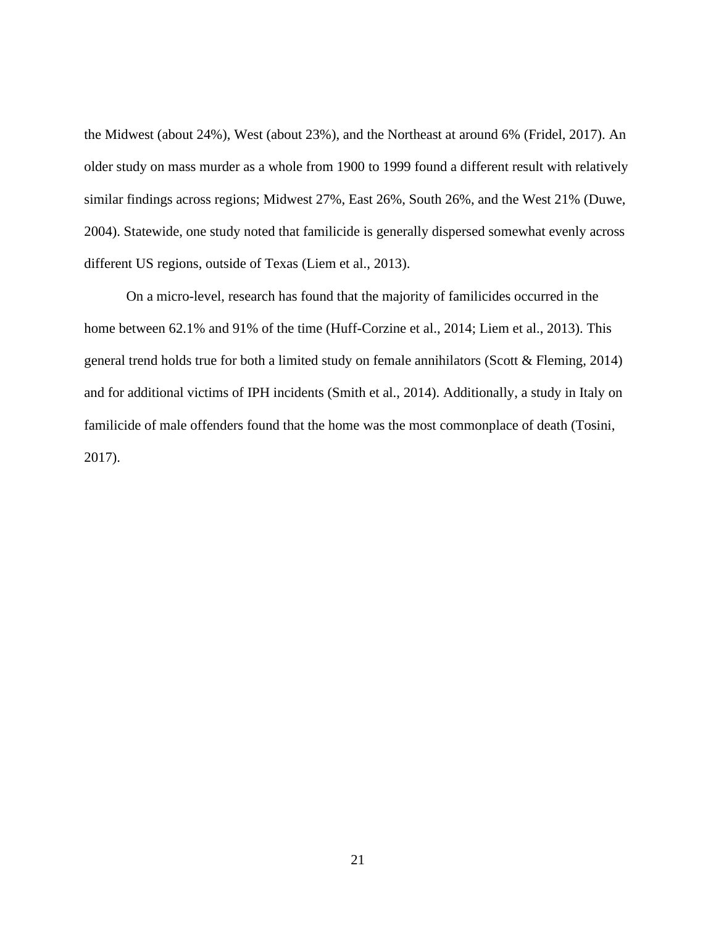the Midwest (about 24%), West (about 23%), and the Northeast at around 6% (Fridel, 2017). An older study on mass murder as a whole from 1900 to 1999 found a different result with relatively similar findings across regions; Midwest 27%, East 26%, South 26%, and the West 21% (Duwe, 2004). Statewide, one study noted that familicide is generally dispersed somewhat evenly across different US regions, outside of Texas (Liem et al., 2013).

On a micro-level, research has found that the majority of familicides occurred in the home between 62.1% and 91% of the time (Huff-Corzine et al., 2014; Liem et al., 2013). This general trend holds true for both a limited study on female annihilators (Scott & Fleming, 2014) and for additional victims of IPH incidents (Smith et al., 2014). Additionally, a study in Italy on familicide of male offenders found that the home was the most commonplace of death (Tosini, 2017).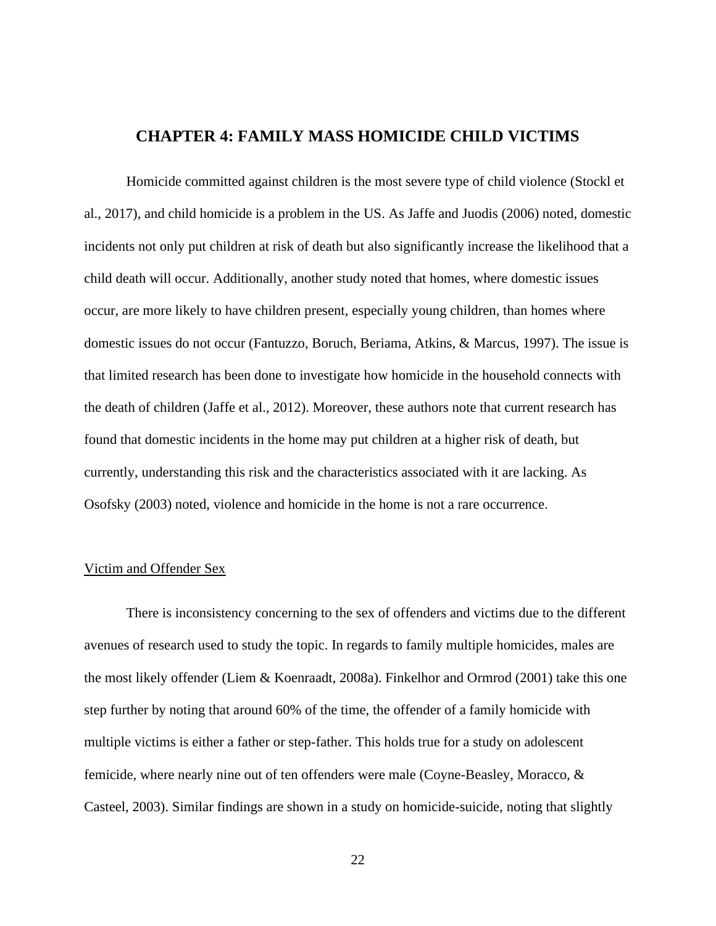# **CHAPTER 4: FAMILY MASS HOMICIDE CHILD VICTIMS**

<span id="page-30-0"></span>Homicide committed against children is the most severe type of child violence (Stockl et al., 2017), and child homicide is a problem in the US. As Jaffe and Juodis (2006) noted, domestic incidents not only put children at risk of death but also significantly increase the likelihood that a child death will occur. Additionally, another study noted that homes, where domestic issues occur, are more likely to have children present, especially young children, than homes where domestic issues do not occur (Fantuzzo, Boruch, Beriama, Atkins, & Marcus, 1997). The issue is that limited research has been done to investigate how homicide in the household connects with the death of children (Jaffe et al., 2012). Moreover, these authors note that current research has found that domestic incidents in the home may put children at a higher risk of death, but currently, understanding this risk and the characteristics associated with it are lacking. As Osofsky (2003) noted, violence and homicide in the home is not a rare occurrence.

#### <span id="page-30-1"></span>Victim and Offender Sex

There is inconsistency concerning to the sex of offenders and victims due to the different avenues of research used to study the topic. In regards to family multiple homicides, males are the most likely offender (Liem & Koenraadt, 2008a). Finkelhor and Ormrod (2001) take this one step further by noting that around 60% of the time, the offender of a family homicide with multiple victims is either a father or step-father. This holds true for a study on adolescent femicide, where nearly nine out of ten offenders were male (Coyne-Beasley, Moracco, & Casteel, 2003). Similar findings are shown in a study on homicide-suicide, noting that slightly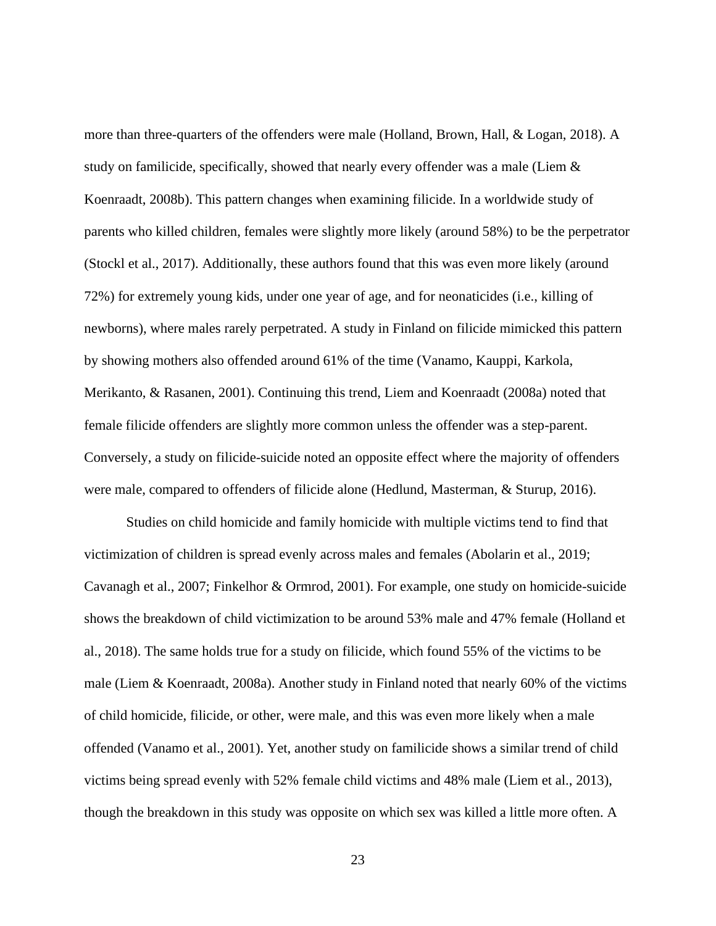more than three-quarters of the offenders were male (Holland, Brown, Hall, & Logan, 2018). A study on familicide, specifically, showed that nearly every offender was a male (Liem & Koenraadt, 2008b). This pattern changes when examining filicide. In a worldwide study of parents who killed children, females were slightly more likely (around 58%) to be the perpetrator (Stockl et al., 2017). Additionally, these authors found that this was even more likely (around 72%) for extremely young kids, under one year of age, and for neonaticides (i.e., killing of newborns), where males rarely perpetrated. A study in Finland on filicide mimicked this pattern by showing mothers also offended around 61% of the time (Vanamo, Kauppi, Karkola, Merikanto, & Rasanen, 2001). Continuing this trend, Liem and Koenraadt (2008a) noted that female filicide offenders are slightly more common unless the offender was a step-parent. Conversely, a study on filicide-suicide noted an opposite effect where the majority of offenders were male, compared to offenders of filicide alone (Hedlund, Masterman, & Sturup, 2016).

Studies on child homicide and family homicide with multiple victims tend to find that victimization of children is spread evenly across males and females (Abolarin et al., 2019; Cavanagh et al., 2007; Finkelhor & Ormrod, 2001). For example, one study on homicide-suicide shows the breakdown of child victimization to be around 53% male and 47% female (Holland et al., 2018). The same holds true for a study on filicide, which found 55% of the victims to be male (Liem & Koenraadt, 2008a). Another study in Finland noted that nearly 60% of the victims of child homicide, filicide, or other, were male, and this was even more likely when a male offended (Vanamo et al., 2001). Yet, another study on familicide shows a similar trend of child victims being spread evenly with 52% female child victims and 48% male (Liem et al., 2013), though the breakdown in this study was opposite on which sex was killed a little more often. A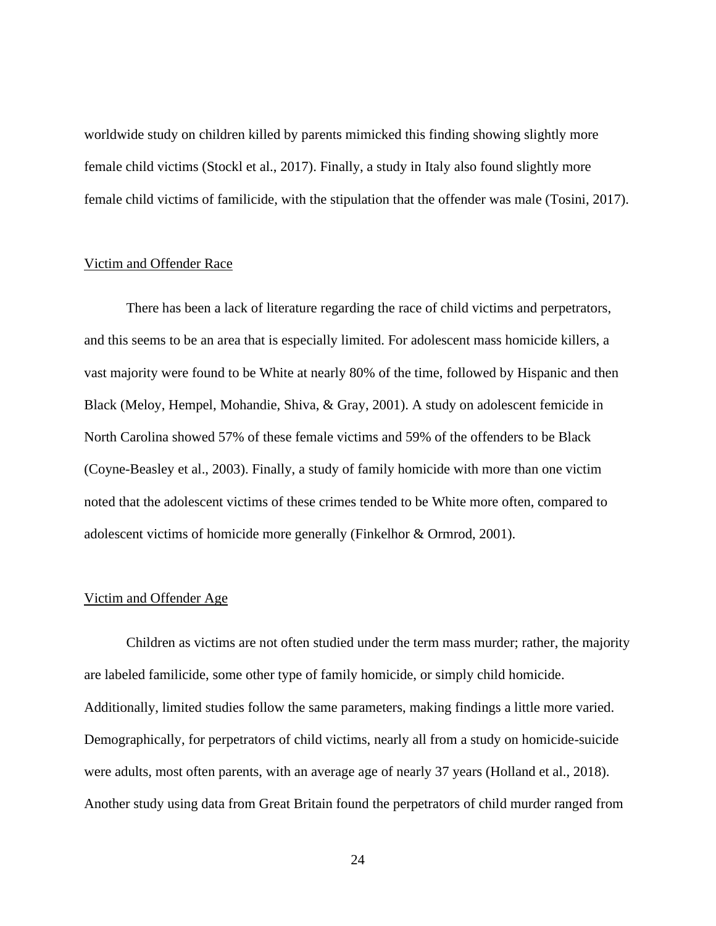worldwide study on children killed by parents mimicked this finding showing slightly more female child victims (Stockl et al., 2017). Finally, a study in Italy also found slightly more female child victims of familicide, with the stipulation that the offender was male (Tosini, 2017).

#### <span id="page-32-0"></span>Victim and Offender Race

There has been a lack of literature regarding the race of child victims and perpetrators, and this seems to be an area that is especially limited. For adolescent mass homicide killers, a vast majority were found to be White at nearly 80% of the time, followed by Hispanic and then Black (Meloy, Hempel, Mohandie, Shiva, & Gray, 2001). A study on adolescent femicide in North Carolina showed 57% of these female victims and 59% of the offenders to be Black (Coyne-Beasley et al., 2003). Finally, a study of family homicide with more than one victim noted that the adolescent victims of these crimes tended to be White more often, compared to adolescent victims of homicide more generally (Finkelhor & Ormrod, 2001).

#### <span id="page-32-1"></span>Victim and Offender Age

Children as victims are not often studied under the term mass murder; rather, the majority are labeled familicide, some other type of family homicide, or simply child homicide. Additionally, limited studies follow the same parameters, making findings a little more varied. Demographically, for perpetrators of child victims, nearly all from a study on homicide-suicide were adults, most often parents, with an average age of nearly 37 years (Holland et al., 2018). Another study using data from Great Britain found the perpetrators of child murder ranged from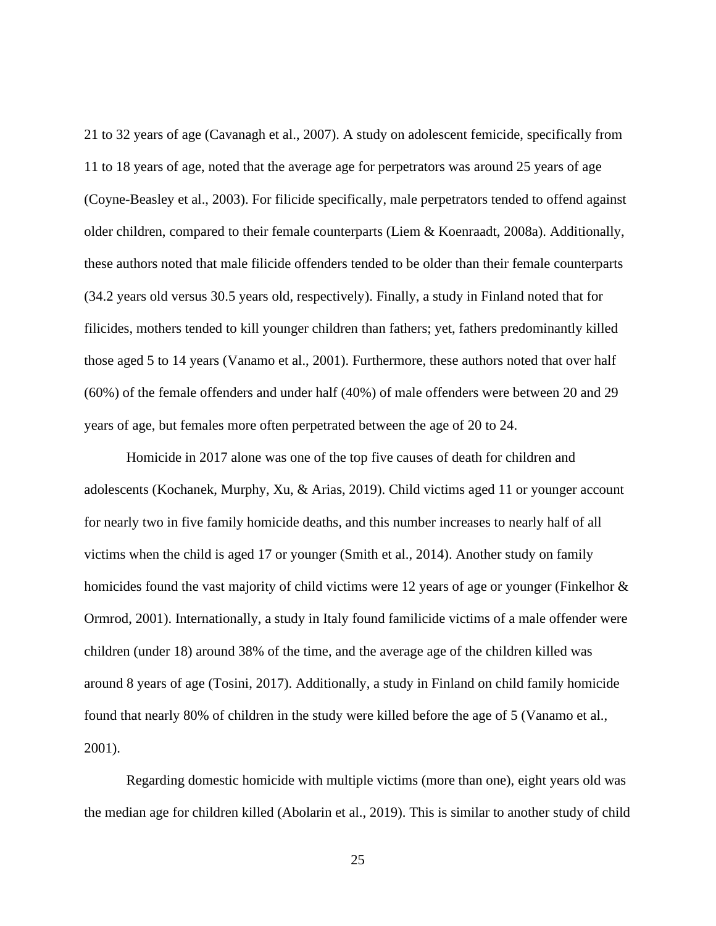21 to 32 years of age (Cavanagh et al., 2007). A study on adolescent femicide, specifically from 11 to 18 years of age, noted that the average age for perpetrators was around 25 years of age (Coyne-Beasley et al., 2003). For filicide specifically, male perpetrators tended to offend against older children, compared to their female counterparts (Liem & Koenraadt, 2008a). Additionally, these authors noted that male filicide offenders tended to be older than their female counterparts (34.2 years old versus 30.5 years old, respectively). Finally, a study in Finland noted that for filicides, mothers tended to kill younger children than fathers; yet, fathers predominantly killed those aged 5 to 14 years (Vanamo et al., 2001). Furthermore, these authors noted that over half (60%) of the female offenders and under half (40%) of male offenders were between 20 and 29 years of age, but females more often perpetrated between the age of 20 to 24.

Homicide in 2017 alone was one of the top five causes of death for children and adolescents (Kochanek, Murphy, Xu, & Arias, 2019). Child victims aged 11 or younger account for nearly two in five family homicide deaths, and this number increases to nearly half of all victims when the child is aged 17 or younger (Smith et al., 2014). Another study on family homicides found the vast majority of child victims were 12 years of age or younger (Finkelhor & Ormrod, 2001). Internationally, a study in Italy found familicide victims of a male offender were children (under 18) around 38% of the time, and the average age of the children killed was around 8 years of age (Tosini, 2017). Additionally, a study in Finland on child family homicide found that nearly 80% of children in the study were killed before the age of 5 (Vanamo et al., 2001).

Regarding domestic homicide with multiple victims (more than one), eight years old was the median age for children killed (Abolarin et al., 2019). This is similar to another study of child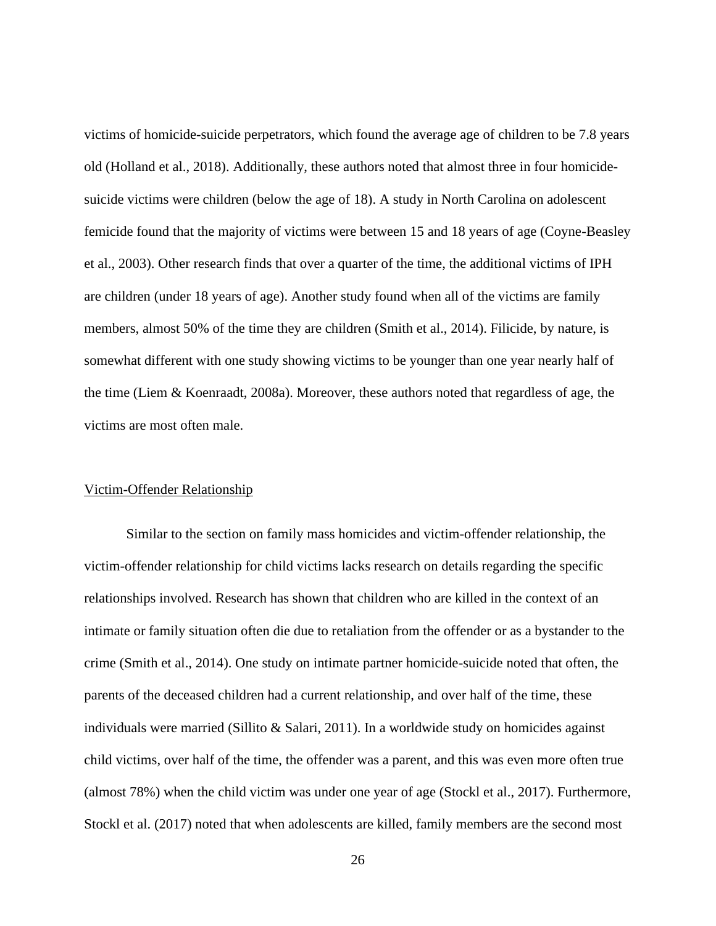victims of homicide-suicide perpetrators, which found the average age of children to be 7.8 years old (Holland et al., 2018). Additionally, these authors noted that almost three in four homicidesuicide victims were children (below the age of 18). A study in North Carolina on adolescent femicide found that the majority of victims were between 15 and 18 years of age (Coyne-Beasley et al., 2003). Other research finds that over a quarter of the time, the additional victims of IPH are children (under 18 years of age). Another study found when all of the victims are family members, almost 50% of the time they are children (Smith et al., 2014). Filicide, by nature, is somewhat different with one study showing victims to be younger than one year nearly half of the time (Liem & Koenraadt, 2008a). Moreover, these authors noted that regardless of age, the victims are most often male.

#### <span id="page-34-0"></span>Victim-Offender Relationship

Similar to the section on family mass homicides and victim-offender relationship, the victim-offender relationship for child victims lacks research on details regarding the specific relationships involved. Research has shown that children who are killed in the context of an intimate or family situation often die due to retaliation from the offender or as a bystander to the crime (Smith et al., 2014). One study on intimate partner homicide-suicide noted that often, the parents of the deceased children had a current relationship, and over half of the time, these individuals were married (Sillito & Salari, 2011). In a worldwide study on homicides against child victims, over half of the time, the offender was a parent, and this was even more often true (almost 78%) when the child victim was under one year of age (Stockl et al., 2017). Furthermore, Stockl et al. (2017) noted that when adolescents are killed, family members are the second most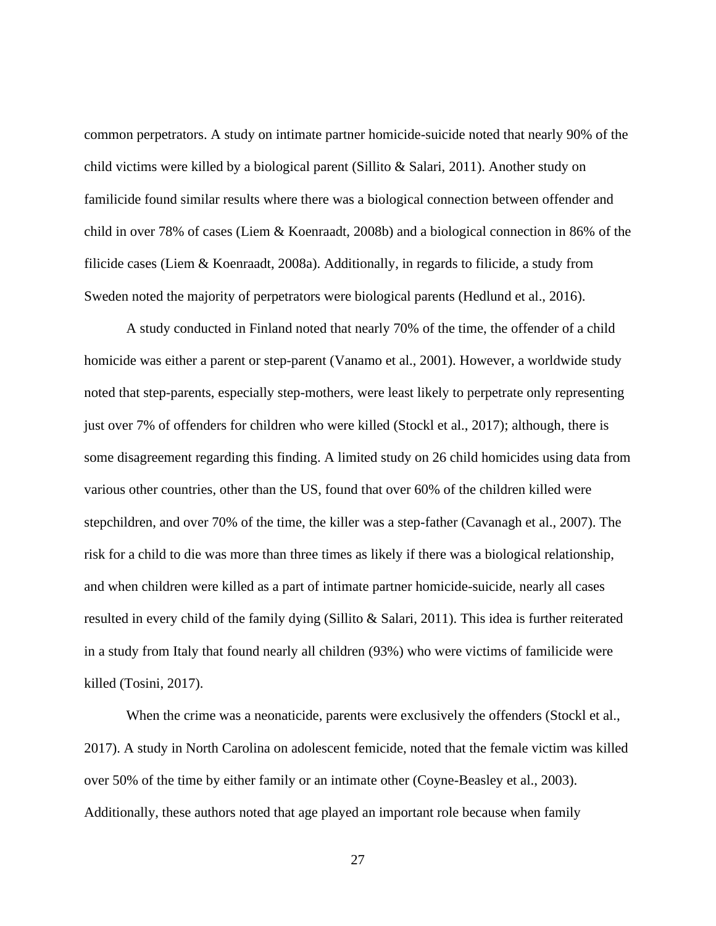common perpetrators. A study on intimate partner homicide-suicide noted that nearly 90% of the child victims were killed by a biological parent (Sillito & Salari, 2011). Another study on familicide found similar results where there was a biological connection between offender and child in over 78% of cases (Liem & Koenraadt, 2008b) and a biological connection in 86% of the filicide cases (Liem & Koenraadt, 2008a). Additionally, in regards to filicide, a study from Sweden noted the majority of perpetrators were biological parents (Hedlund et al., 2016).

A study conducted in Finland noted that nearly 70% of the time, the offender of a child homicide was either a parent or step-parent (Vanamo et al., 2001). However, a worldwide study noted that step-parents, especially step-mothers, were least likely to perpetrate only representing just over 7% of offenders for children who were killed (Stockl et al., 2017); although, there is some disagreement regarding this finding. A limited study on 26 child homicides using data from various other countries, other than the US, found that over 60% of the children killed were stepchildren, and over 70% of the time, the killer was a step-father (Cavanagh et al., 2007). The risk for a child to die was more than three times as likely if there was a biological relationship, and when children were killed as a part of intimate partner homicide-suicide, nearly all cases resulted in every child of the family dying (Sillito & Salari, 2011). This idea is further reiterated in a study from Italy that found nearly all children (93%) who were victims of familicide were killed (Tosini, 2017).

When the crime was a neonaticide, parents were exclusively the offenders (Stockl et al., 2017). A study in North Carolina on adolescent femicide, noted that the female victim was killed over 50% of the time by either family or an intimate other (Coyne-Beasley et al., 2003). Additionally, these authors noted that age played an important role because when family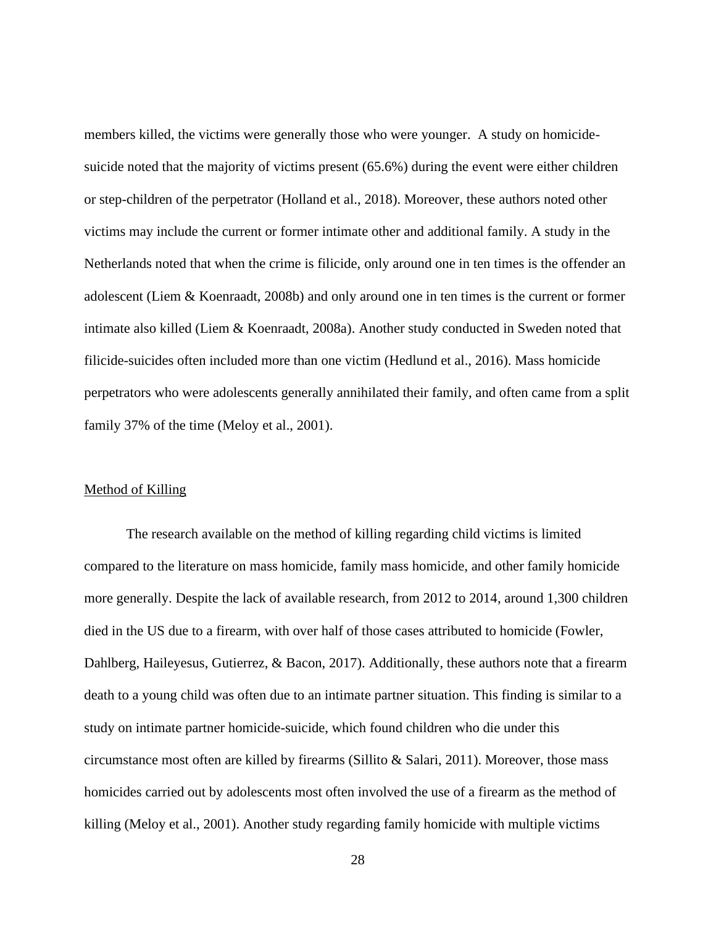members killed, the victims were generally those who were younger. A study on homicidesuicide noted that the majority of victims present (65.6%) during the event were either children or step-children of the perpetrator (Holland et al., 2018). Moreover, these authors noted other victims may include the current or former intimate other and additional family. A study in the Netherlands noted that when the crime is filicide, only around one in ten times is the offender an adolescent (Liem & Koenraadt, 2008b) and only around one in ten times is the current or former intimate also killed (Liem & Koenraadt, 2008a). Another study conducted in Sweden noted that filicide-suicides often included more than one victim (Hedlund et al., 2016). Mass homicide perpetrators who were adolescents generally annihilated their family, and often came from a split family 37% of the time (Meloy et al., 2001).

#### Method of Killing

The research available on the method of killing regarding child victims is limited compared to the literature on mass homicide, family mass homicide, and other family homicide more generally. Despite the lack of available research, from 2012 to 2014, around 1,300 children died in the US due to a firearm, with over half of those cases attributed to homicide (Fowler, Dahlberg, Haileyesus, Gutierrez, & Bacon, 2017). Additionally, these authors note that a firearm death to a young child was often due to an intimate partner situation. This finding is similar to a study on intimate partner homicide-suicide, which found children who die under this circumstance most often are killed by firearms (Sillito  $&$  Salari, 2011). Moreover, those mass homicides carried out by adolescents most often involved the use of a firearm as the method of killing (Meloy et al., 2001). Another study regarding family homicide with multiple victims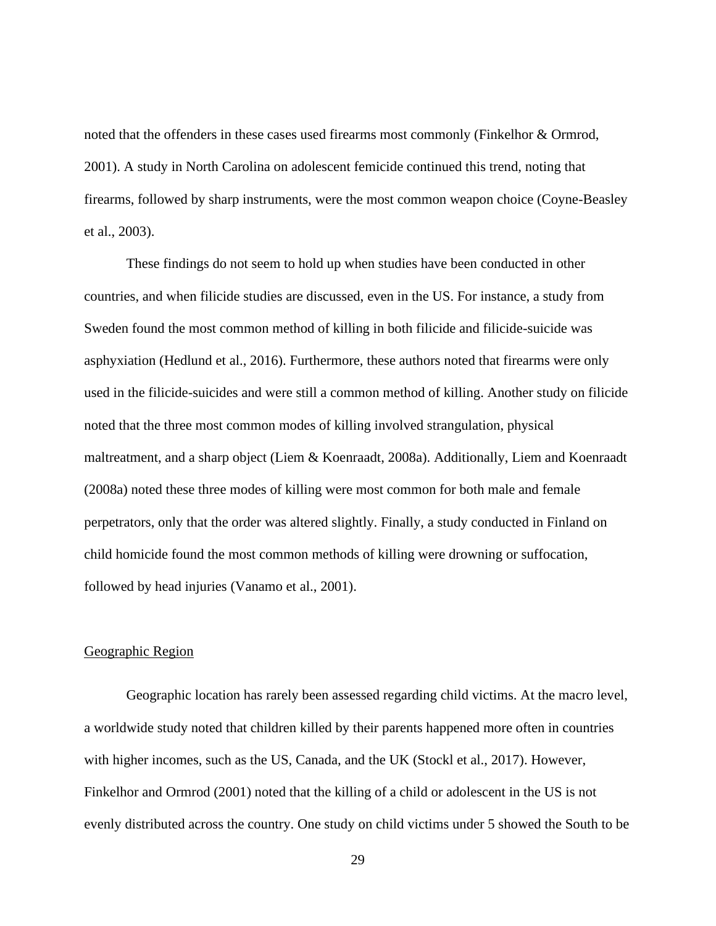noted that the offenders in these cases used firearms most commonly (Finkelhor & Ormrod, 2001). A study in North Carolina on adolescent femicide continued this trend, noting that firearms, followed by sharp instruments, were the most common weapon choice (Coyne-Beasley et al., 2003).

These findings do not seem to hold up when studies have been conducted in other countries, and when filicide studies are discussed, even in the US. For instance, a study from Sweden found the most common method of killing in both filicide and filicide-suicide was asphyxiation (Hedlund et al., 2016). Furthermore, these authors noted that firearms were only used in the filicide-suicides and were still a common method of killing. Another study on filicide noted that the three most common modes of killing involved strangulation, physical maltreatment, and a sharp object (Liem & Koenraadt, 2008a). Additionally, Liem and Koenraadt (2008a) noted these three modes of killing were most common for both male and female perpetrators, only that the order was altered slightly. Finally, a study conducted in Finland on child homicide found the most common methods of killing were drowning or suffocation, followed by head injuries (Vanamo et al., 2001).

### Geographic Region

Geographic location has rarely been assessed regarding child victims. At the macro level, a worldwide study noted that children killed by their parents happened more often in countries with higher incomes, such as the US, Canada, and the UK (Stockl et al., 2017). However, Finkelhor and Ormrod (2001) noted that the killing of a child or adolescent in the US is not evenly distributed across the country. One study on child victims under 5 showed the South to be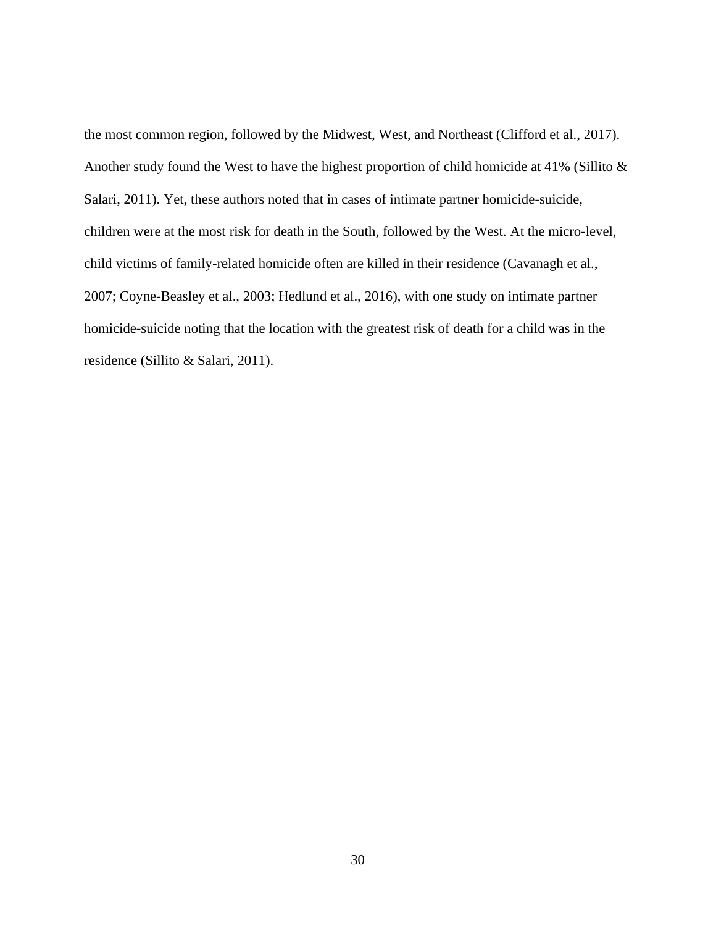the most common region, followed by the Midwest, West, and Northeast (Clifford et al., 2017). Another study found the West to have the highest proportion of child homicide at 41% (Sillito & Salari, 2011). Yet, these authors noted that in cases of intimate partner homicide-suicide, children were at the most risk for death in the South, followed by the West. At the micro-level, child victims of family-related homicide often are killed in their residence (Cavanagh et al., 2007; Coyne-Beasley et al., 2003; Hedlund et al., 2016), with one study on intimate partner homicide-suicide noting that the location with the greatest risk of death for a child was in the residence (Sillito & Salari, 2011).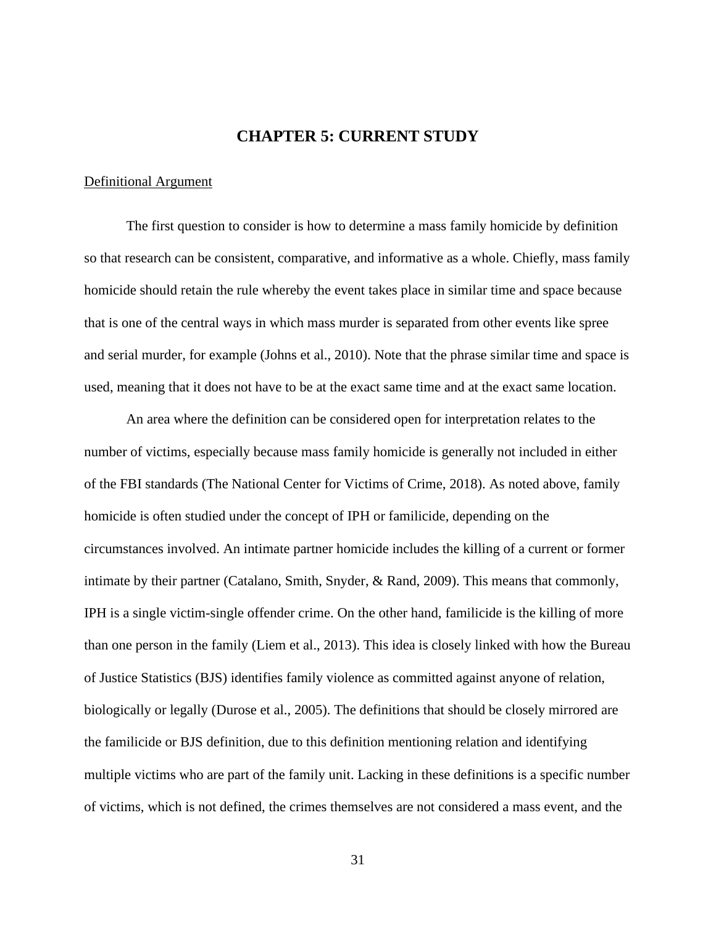# **CHAPTER 5: CURRENT STUDY**

## Definitional Argument

The first question to consider is how to determine a mass family homicide by definition so that research can be consistent, comparative, and informative as a whole. Chiefly, mass family homicide should retain the rule whereby the event takes place in similar time and space because that is one of the central ways in which mass murder is separated from other events like spree and serial murder, for example (Johns et al., 2010). Note that the phrase similar time and space is used, meaning that it does not have to be at the exact same time and at the exact same location.

An area where the definition can be considered open for interpretation relates to the number of victims, especially because mass family homicide is generally not included in either of the FBI standards (The National Center for Victims of Crime, 2018). As noted above, family homicide is often studied under the concept of IPH or familicide, depending on the circumstances involved. An intimate partner homicide includes the killing of a current or former intimate by their partner (Catalano, Smith, Snyder, & Rand, 2009). This means that commonly, IPH is a single victim-single offender crime. On the other hand, familicide is the killing of more than one person in the family (Liem et al., 2013). This idea is closely linked with how the Bureau of Justice Statistics (BJS) identifies family violence as committed against anyone of relation, biologically or legally (Durose et al., 2005). The definitions that should be closely mirrored are the familicide or BJS definition, due to this definition mentioning relation and identifying multiple victims who are part of the family unit. Lacking in these definitions is a specific number of victims, which is not defined, the crimes themselves are not considered a mass event, and the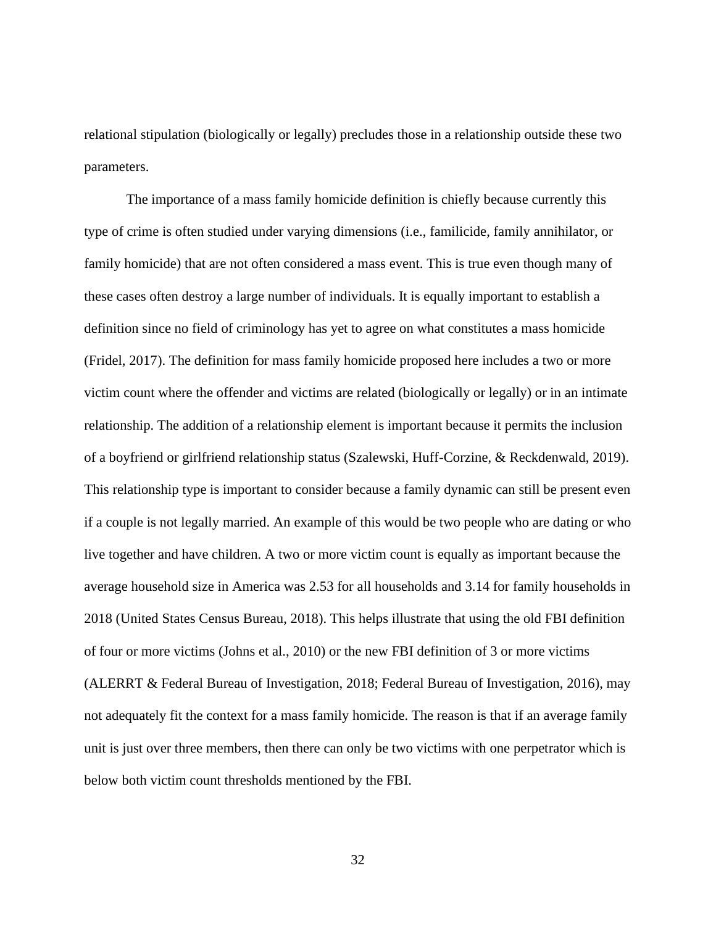relational stipulation (biologically or legally) precludes those in a relationship outside these two parameters.

The importance of a mass family homicide definition is chiefly because currently this type of crime is often studied under varying dimensions (i.e., familicide, family annihilator, or family homicide) that are not often considered a mass event. This is true even though many of these cases often destroy a large number of individuals. It is equally important to establish a definition since no field of criminology has yet to agree on what constitutes a mass homicide (Fridel, 2017). The definition for mass family homicide proposed here includes a two or more victim count where the offender and victims are related (biologically or legally) or in an intimate relationship. The addition of a relationship element is important because it permits the inclusion of a boyfriend or girlfriend relationship status (Szalewski, Huff-Corzine, & Reckdenwald, 2019). This relationship type is important to consider because a family dynamic can still be present even if a couple is not legally married. An example of this would be two people who are dating or who live together and have children. A two or more victim count is equally as important because the average household size in America was 2.53 for all households and 3.14 for family households in 2018 (United States Census Bureau, 2018). This helps illustrate that using the old FBI definition of four or more victims (Johns et al., 2010) or the new FBI definition of 3 or more victims (ALERRT & Federal Bureau of Investigation, 2018; Federal Bureau of Investigation, 2016), may not adequately fit the context for a mass family homicide. The reason is that if an average family unit is just over three members, then there can only be two victims with one perpetrator which is below both victim count thresholds mentioned by the FBI.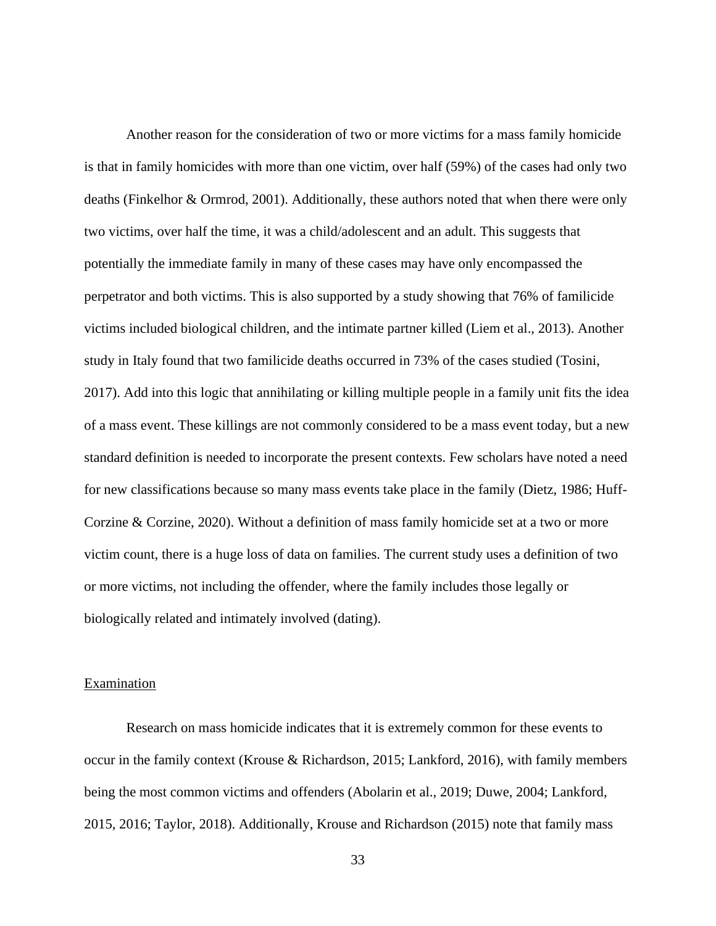Another reason for the consideration of two or more victims for a mass family homicide is that in family homicides with more than one victim, over half (59%) of the cases had only two deaths (Finkelhor & Ormrod, 2001). Additionally, these authors noted that when there were only two victims, over half the time, it was a child/adolescent and an adult. This suggests that potentially the immediate family in many of these cases may have only encompassed the perpetrator and both victims. This is also supported by a study showing that 76% of familicide victims included biological children, and the intimate partner killed (Liem et al., 2013). Another study in Italy found that two familicide deaths occurred in 73% of the cases studied (Tosini, 2017). Add into this logic that annihilating or killing multiple people in a family unit fits the idea of a mass event. These killings are not commonly considered to be a mass event today, but a new standard definition is needed to incorporate the present contexts. Few scholars have noted a need for new classifications because so many mass events take place in the family (Dietz, 1986; Huff-Corzine & Corzine, 2020). Without a definition of mass family homicide set at a two or more victim count, there is a huge loss of data on families. The current study uses a definition of two or more victims, not including the offender, where the family includes those legally or biologically related and intimately involved (dating).

#### Examination

Research on mass homicide indicates that it is extremely common for these events to occur in the family context (Krouse & Richardson, 2015; Lankford, 2016), with family members being the most common victims and offenders (Abolarin et al., 2019; Duwe, 2004; Lankford, 2015, 2016; Taylor, 2018). Additionally, Krouse and Richardson (2015) note that family mass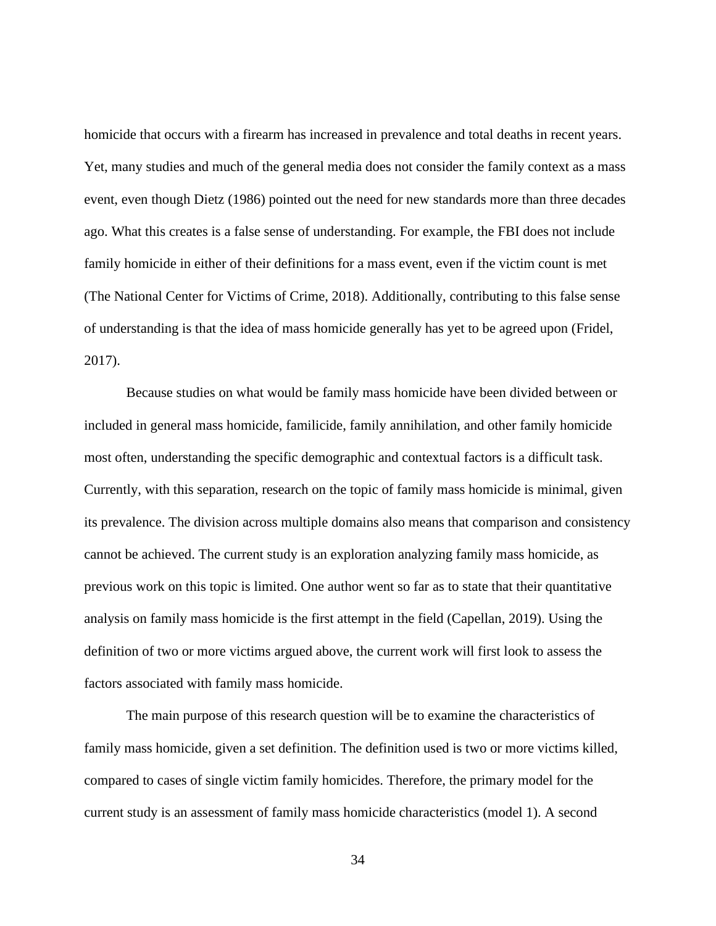homicide that occurs with a firearm has increased in prevalence and total deaths in recent years. Yet, many studies and much of the general media does not consider the family context as a mass event, even though Dietz (1986) pointed out the need for new standards more than three decades ago. What this creates is a false sense of understanding. For example, the FBI does not include family homicide in either of their definitions for a mass event, even if the victim count is met (The National Center for Victims of Crime, 2018). Additionally, contributing to this false sense of understanding is that the idea of mass homicide generally has yet to be agreed upon (Fridel, 2017).

Because studies on what would be family mass homicide have been divided between or included in general mass homicide, familicide, family annihilation, and other family homicide most often, understanding the specific demographic and contextual factors is a difficult task. Currently, with this separation, research on the topic of family mass homicide is minimal, given its prevalence. The division across multiple domains also means that comparison and consistency cannot be achieved. The current study is an exploration analyzing family mass homicide, as previous work on this topic is limited. One author went so far as to state that their quantitative analysis on family mass homicide is the first attempt in the field (Capellan, 2019). Using the definition of two or more victims argued above, the current work will first look to assess the factors associated with family mass homicide.

The main purpose of this research question will be to examine the characteristics of family mass homicide, given a set definition. The definition used is two or more victims killed, compared to cases of single victim family homicides. Therefore, the primary model for the current study is an assessment of family mass homicide characteristics (model 1). A second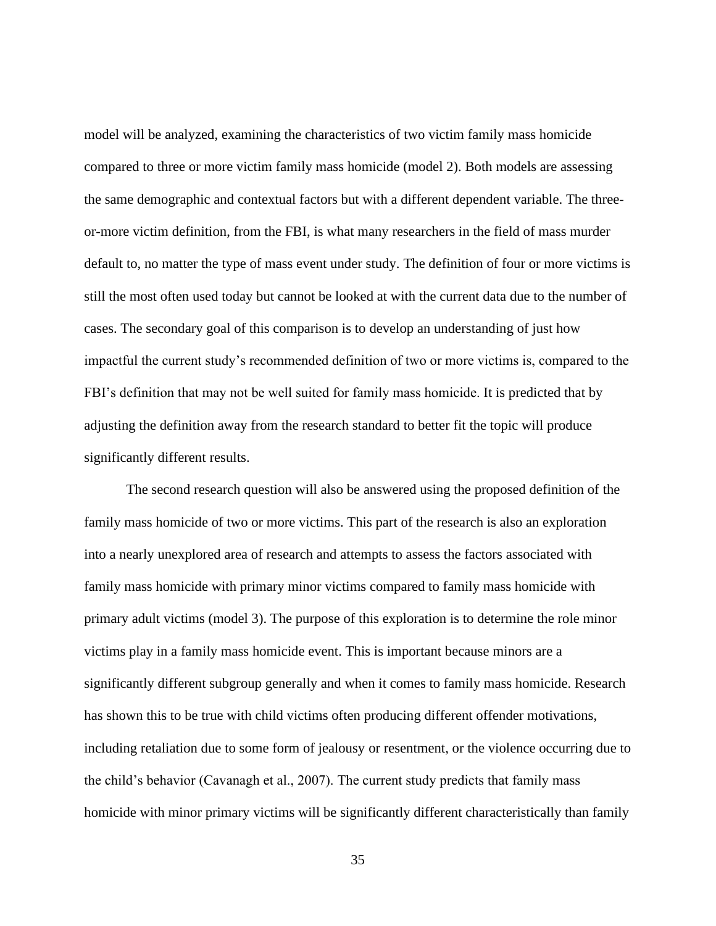model will be analyzed, examining the characteristics of two victim family mass homicide compared to three or more victim family mass homicide (model 2). Both models are assessing the same demographic and contextual factors but with a different dependent variable. The threeor-more victim definition, from the FBI, is what many researchers in the field of mass murder default to, no matter the type of mass event under study. The definition of four or more victims is still the most often used today but cannot be looked at with the current data due to the number of cases. The secondary goal of this comparison is to develop an understanding of just how impactful the current study's recommended definition of two or more victims is, compared to the FBI's definition that may not be well suited for family mass homicide. It is predicted that by adjusting the definition away from the research standard to better fit the topic will produce significantly different results.

The second research question will also be answered using the proposed definition of the family mass homicide of two or more victims. This part of the research is also an exploration into a nearly unexplored area of research and attempts to assess the factors associated with family mass homicide with primary minor victims compared to family mass homicide with primary adult victims (model 3). The purpose of this exploration is to determine the role minor victims play in a family mass homicide event. This is important because minors are a significantly different subgroup generally and when it comes to family mass homicide. Research has shown this to be true with child victims often producing different offender motivations, including retaliation due to some form of jealousy or resentment, or the violence occurring due to the child's behavior (Cavanagh et al., 2007). The current study predicts that family mass homicide with minor primary victims will be significantly different characteristically than family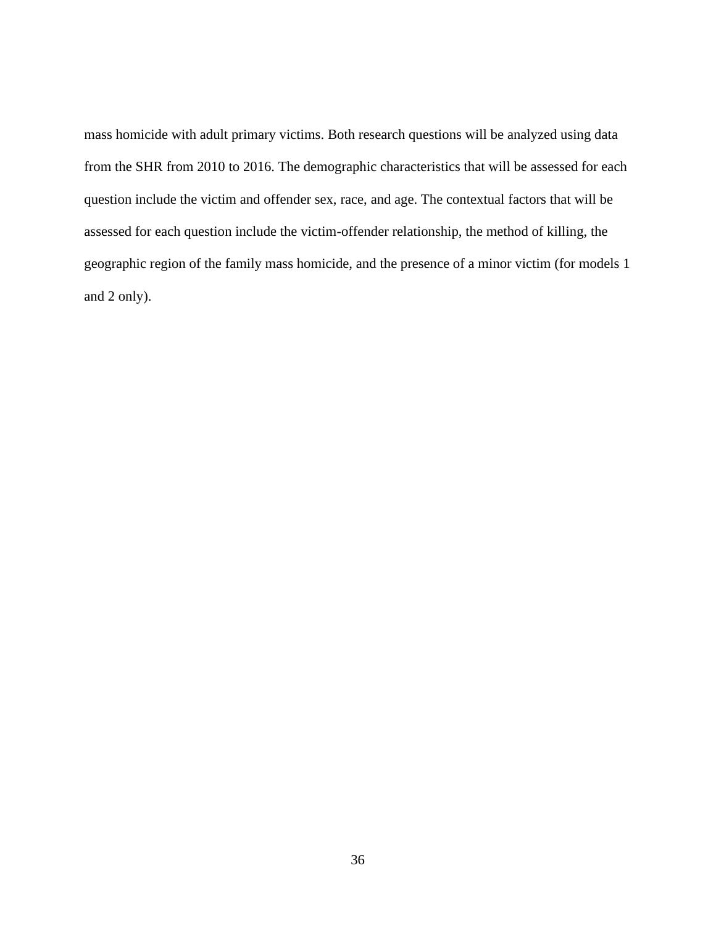mass homicide with adult primary victims. Both research questions will be analyzed using data from the SHR from 2010 to 2016. The demographic characteristics that will be assessed for each question include the victim and offender sex, race, and age. The contextual factors that will be assessed for each question include the victim-offender relationship, the method of killing, the geographic region of the family mass homicide, and the presence of a minor victim (for models 1 and 2 only).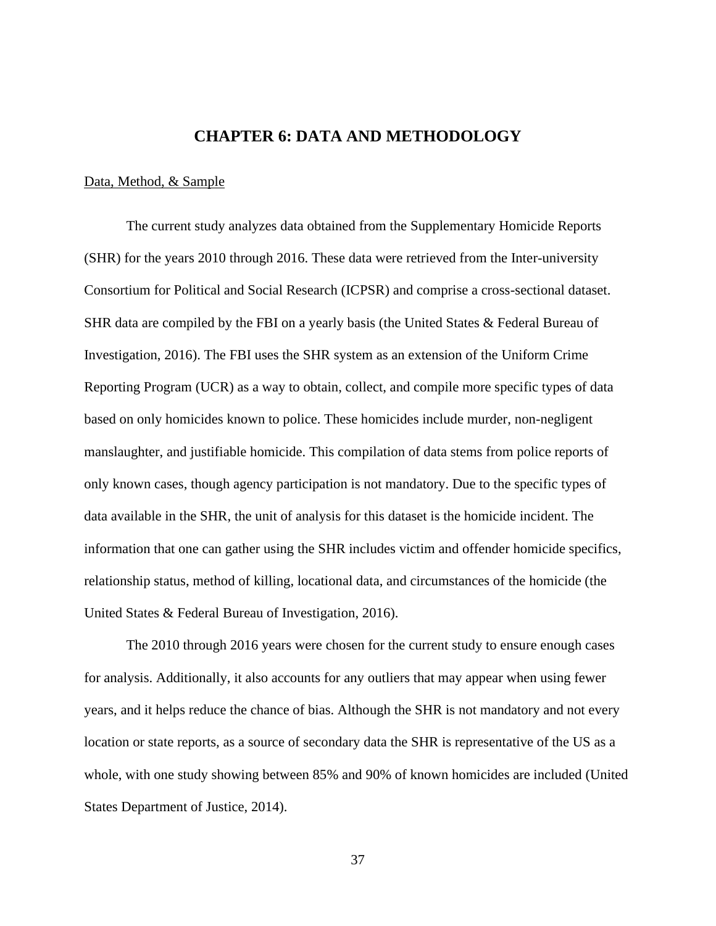# **CHAPTER 6: DATA AND METHODOLOGY**

#### Data, Method, & Sample

The current study analyzes data obtained from the Supplementary Homicide Reports (SHR) for the years 2010 through 2016. These data were retrieved from the Inter-university Consortium for Political and Social Research (ICPSR) and comprise a cross-sectional dataset. SHR data are compiled by the FBI on a yearly basis (the United States & Federal Bureau of Investigation, 2016). The FBI uses the SHR system as an extension of the Uniform Crime Reporting Program (UCR) as a way to obtain, collect, and compile more specific types of data based on only homicides known to police. These homicides include murder, non-negligent manslaughter, and justifiable homicide. This compilation of data stems from police reports of only known cases, though agency participation is not mandatory. Due to the specific types of data available in the SHR, the unit of analysis for this dataset is the homicide incident. The information that one can gather using the SHR includes victim and offender homicide specifics, relationship status, method of killing, locational data, and circumstances of the homicide (the United States & Federal Bureau of Investigation, 2016).

The 2010 through 2016 years were chosen for the current study to ensure enough cases for analysis. Additionally, it also accounts for any outliers that may appear when using fewer years, and it helps reduce the chance of bias. Although the SHR is not mandatory and not every location or state reports, as a source of secondary data the SHR is representative of the US as a whole, with one study showing between 85% and 90% of known homicides are included (United States Department of Justice, 2014).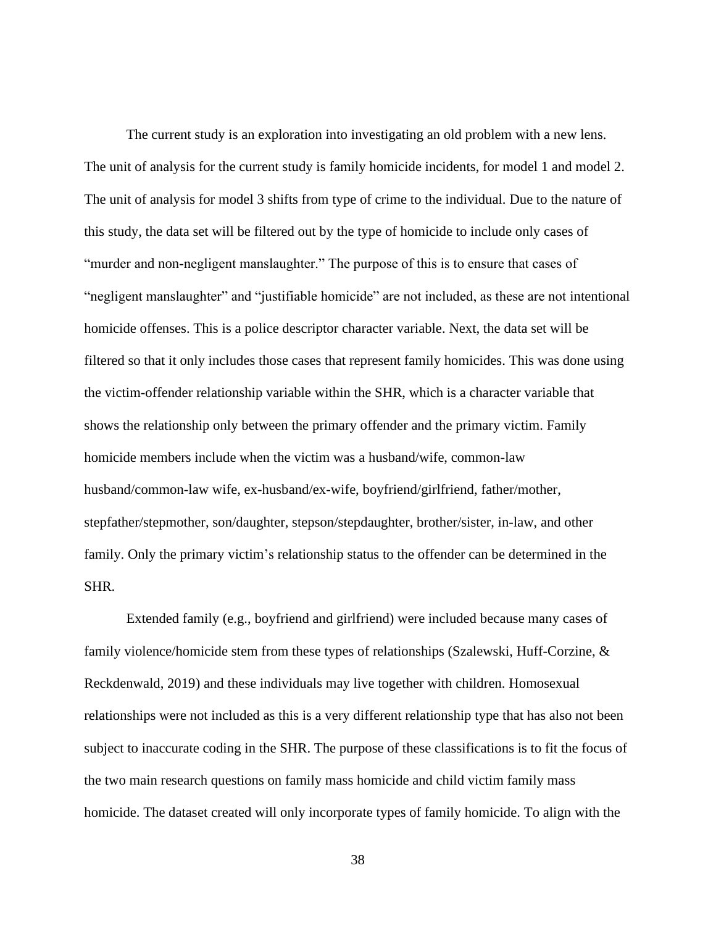The current study is an exploration into investigating an old problem with a new lens. The unit of analysis for the current study is family homicide incidents, for model 1 and model 2. The unit of analysis for model 3 shifts from type of crime to the individual. Due to the nature of this study, the data set will be filtered out by the type of homicide to include only cases of "murder and non-negligent manslaughter." The purpose of this is to ensure that cases of "negligent manslaughter" and "justifiable homicide" are not included, as these are not intentional homicide offenses. This is a police descriptor character variable. Next, the data set will be filtered so that it only includes those cases that represent family homicides. This was done using the victim-offender relationship variable within the SHR, which is a character variable that shows the relationship only between the primary offender and the primary victim. Family homicide members include when the victim was a husband/wife, common-law husband/common-law wife, ex-husband/ex-wife, boyfriend/girlfriend, father/mother, stepfather/stepmother, son/daughter, stepson/stepdaughter, brother/sister, in-law, and other family. Only the primary victim's relationship status to the offender can be determined in the SHR.

Extended family (e.g., boyfriend and girlfriend) were included because many cases of family violence/homicide stem from these types of relationships (Szalewski, Huff-Corzine, & Reckdenwald, 2019) and these individuals may live together with children. Homosexual relationships were not included as this is a very different relationship type that has also not been subject to inaccurate coding in the SHR. The purpose of these classifications is to fit the focus of the two main research questions on family mass homicide and child victim family mass homicide. The dataset created will only incorporate types of family homicide. To align with the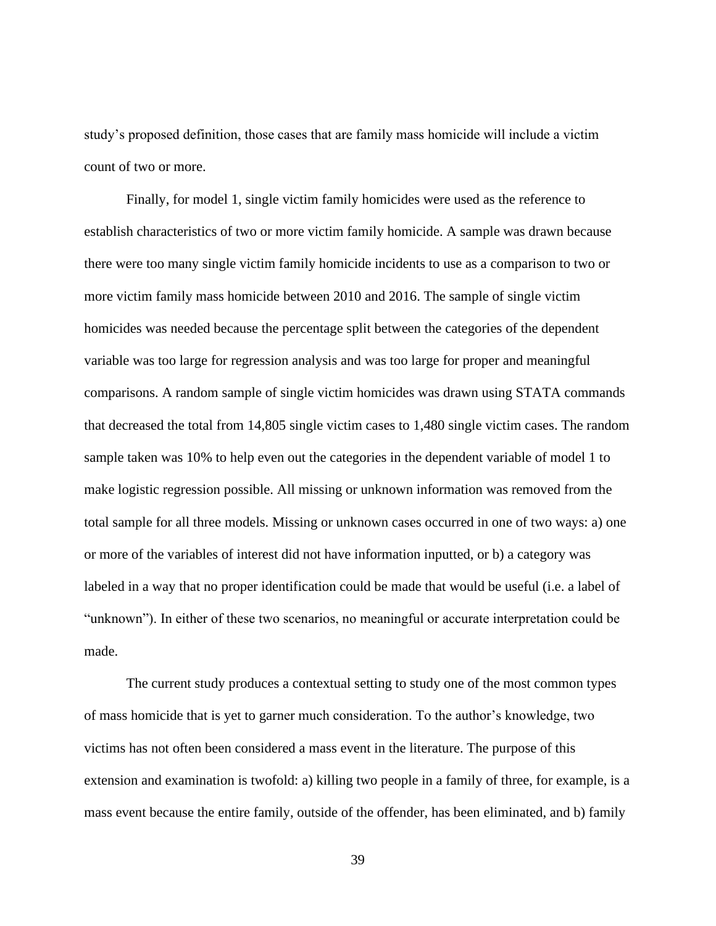study's proposed definition, those cases that are family mass homicide will include a victim count of two or more.

Finally, for model 1, single victim family homicides were used as the reference to establish characteristics of two or more victim family homicide. A sample was drawn because there were too many single victim family homicide incidents to use as a comparison to two or more victim family mass homicide between 2010 and 2016. The sample of single victim homicides was needed because the percentage split between the categories of the dependent variable was too large for regression analysis and was too large for proper and meaningful comparisons. A random sample of single victim homicides was drawn using STATA commands that decreased the total from 14,805 single victim cases to 1,480 single victim cases. The random sample taken was 10% to help even out the categories in the dependent variable of model 1 to make logistic regression possible. All missing or unknown information was removed from the total sample for all three models. Missing or unknown cases occurred in one of two ways: a) one or more of the variables of interest did not have information inputted, or b) a category was labeled in a way that no proper identification could be made that would be useful (i.e. a label of "unknown"). In either of these two scenarios, no meaningful or accurate interpretation could be made.

The current study produces a contextual setting to study one of the most common types of mass homicide that is yet to garner much consideration. To the author's knowledge, two victims has not often been considered a mass event in the literature. The purpose of this extension and examination is twofold: a) killing two people in a family of three, for example, is a mass event because the entire family, outside of the offender, has been eliminated, and b) family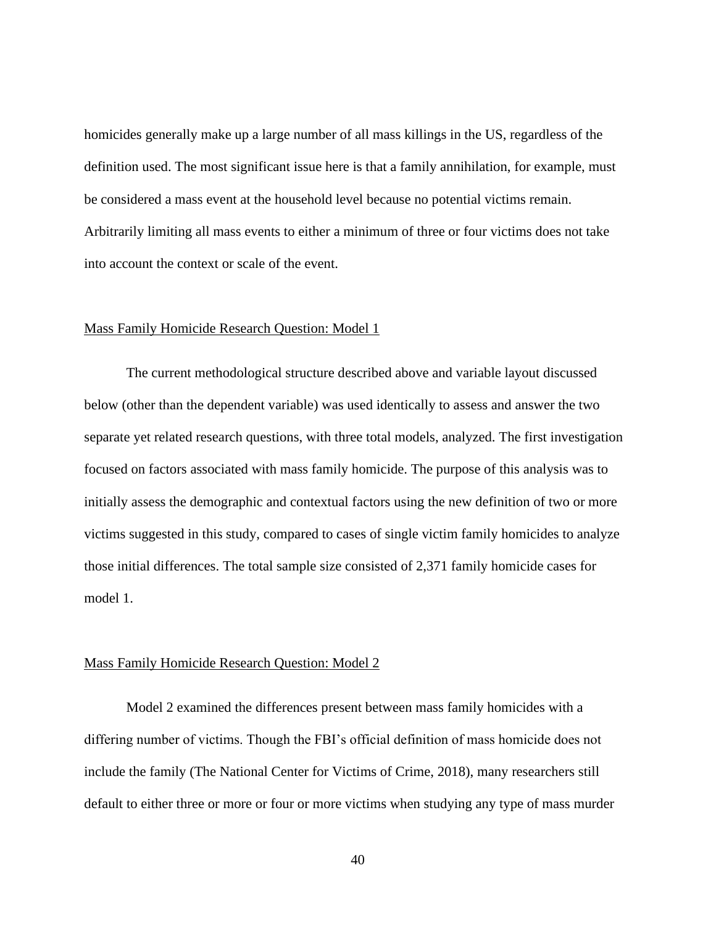homicides generally make up a large number of all mass killings in the US, regardless of the definition used. The most significant issue here is that a family annihilation, for example, must be considered a mass event at the household level because no potential victims remain. Arbitrarily limiting all mass events to either a minimum of three or four victims does not take into account the context or scale of the event.

#### Mass Family Homicide Research Question: Model 1

The current methodological structure described above and variable layout discussed below (other than the dependent variable) was used identically to assess and answer the two separate yet related research questions, with three total models, analyzed. The first investigation focused on factors associated with mass family homicide. The purpose of this analysis was to initially assess the demographic and contextual factors using the new definition of two or more victims suggested in this study, compared to cases of single victim family homicides to analyze those initial differences. The total sample size consisted of 2,371 family homicide cases for model 1.

#### Mass Family Homicide Research Question: Model 2

Model 2 examined the differences present between mass family homicides with a differing number of victims. Though the FBI's official definition of mass homicide does not include the family (The National Center for Victims of Crime, 2018), many researchers still default to either three or more or four or more victims when studying any type of mass murder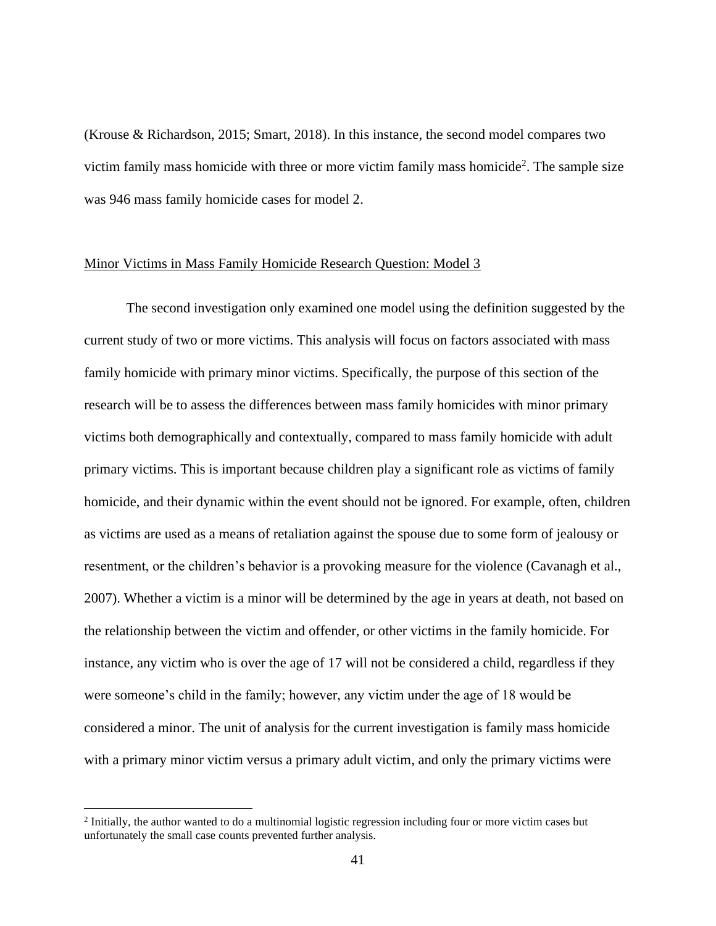(Krouse & Richardson, 2015; Smart, 2018). In this instance, the second model compares two victim family mass homicide with three or more victim family mass homicide<sup>2</sup>. The sample size was 946 mass family homicide cases for model 2.

## Minor Victims in Mass Family Homicide Research Question: Model 3

The second investigation only examined one model using the definition suggested by the current study of two or more victims. This analysis will focus on factors associated with mass family homicide with primary minor victims. Specifically, the purpose of this section of the research will be to assess the differences between mass family homicides with minor primary victims both demographically and contextually, compared to mass family homicide with adult primary victims. This is important because children play a significant role as victims of family homicide, and their dynamic within the event should not be ignored. For example, often, children as victims are used as a means of retaliation against the spouse due to some form of jealousy or resentment, or the children's behavior is a provoking measure for the violence (Cavanagh et al., 2007). Whether a victim is a minor will be determined by the age in years at death, not based on the relationship between the victim and offender, or other victims in the family homicide. For instance, any victim who is over the age of 17 will not be considered a child, regardless if they were someone's child in the family; however, any victim under the age of 18 would be considered a minor. The unit of analysis for the current investigation is family mass homicide with a primary minor victim versus a primary adult victim, and only the primary victims were

<sup>&</sup>lt;sup>2</sup> Initially, the author wanted to do a multinomial logistic regression including four or more victim cases but unfortunately the small case counts prevented further analysis.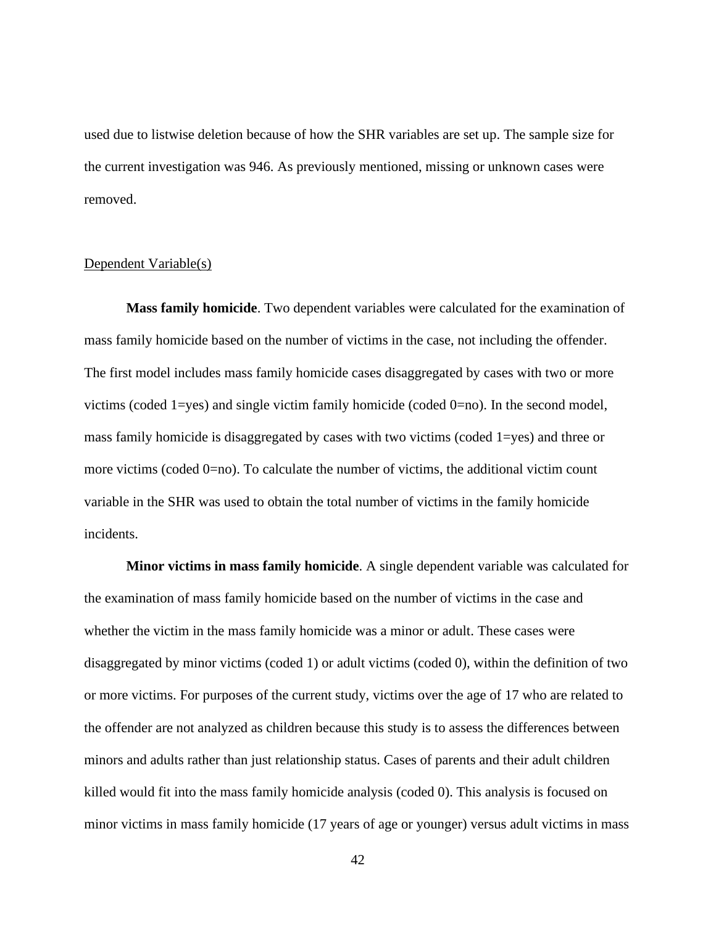used due to listwise deletion because of how the SHR variables are set up. The sample size for the current investigation was 946. As previously mentioned, missing or unknown cases were removed.

#### Dependent Variable(s)

**Mass family homicide**. Two dependent variables were calculated for the examination of mass family homicide based on the number of victims in the case, not including the offender. The first model includes mass family homicide cases disaggregated by cases with two or more victims (coded 1=yes) and single victim family homicide (coded 0=no). In the second model, mass family homicide is disaggregated by cases with two victims (coded 1=yes) and three or more victims (coded  $(0=0)$ ). To calculate the number of victims, the additional victim count variable in the SHR was used to obtain the total number of victims in the family homicide incidents.

**Minor victims in mass family homicide**. A single dependent variable was calculated for the examination of mass family homicide based on the number of victims in the case and whether the victim in the mass family homicide was a minor or adult. These cases were disaggregated by minor victims (coded 1) or adult victims (coded 0), within the definition of two or more victims. For purposes of the current study, victims over the age of 17 who are related to the offender are not analyzed as children because this study is to assess the differences between minors and adults rather than just relationship status. Cases of parents and their adult children killed would fit into the mass family homicide analysis (coded 0). This analysis is focused on minor victims in mass family homicide (17 years of age or younger) versus adult victims in mass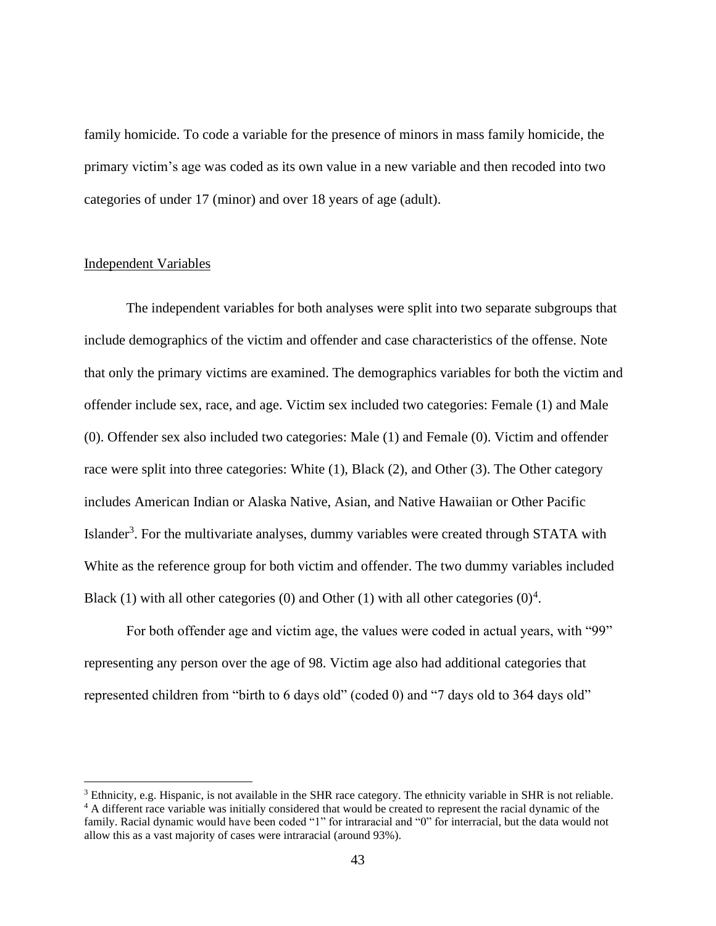family homicide. To code a variable for the presence of minors in mass family homicide, the primary victim's age was coded as its own value in a new variable and then recoded into two categories of under 17 (minor) and over 18 years of age (adult).

#### Independent Variables

The independent variables for both analyses were split into two separate subgroups that include demographics of the victim and offender and case characteristics of the offense. Note that only the primary victims are examined. The demographics variables for both the victim and offender include sex, race, and age. Victim sex included two categories: Female (1) and Male (0). Offender sex also included two categories: Male (1) and Female (0). Victim and offender race were split into three categories: White (1), Black (2), and Other (3). The Other category includes American Indian or Alaska Native, Asian, and Native Hawaiian or Other Pacific Islander<sup>3</sup>. For the multivariate analyses, dummy variables were created through STATA with White as the reference group for both victim and offender. The two dummy variables included Black (1) with all other categories (0) and Other (1) with all other categories  $(0)^4$ .

For both offender age and victim age, the values were coded in actual years, with "99" representing any person over the age of 98. Victim age also had additional categories that represented children from "birth to 6 days old" (coded 0) and "7 days old to 364 days old"

 $3$  Ethnicity, e.g. Hispanic, is not available in the SHR race category. The ethnicity variable in SHR is not reliable. <sup>4</sup> A different race variable was initially considered that would be created to represent the racial dynamic of the family. Racial dynamic would have been coded "1" for intraracial and "0" for interracial, but the data would not allow this as a vast majority of cases were intraracial (around 93%).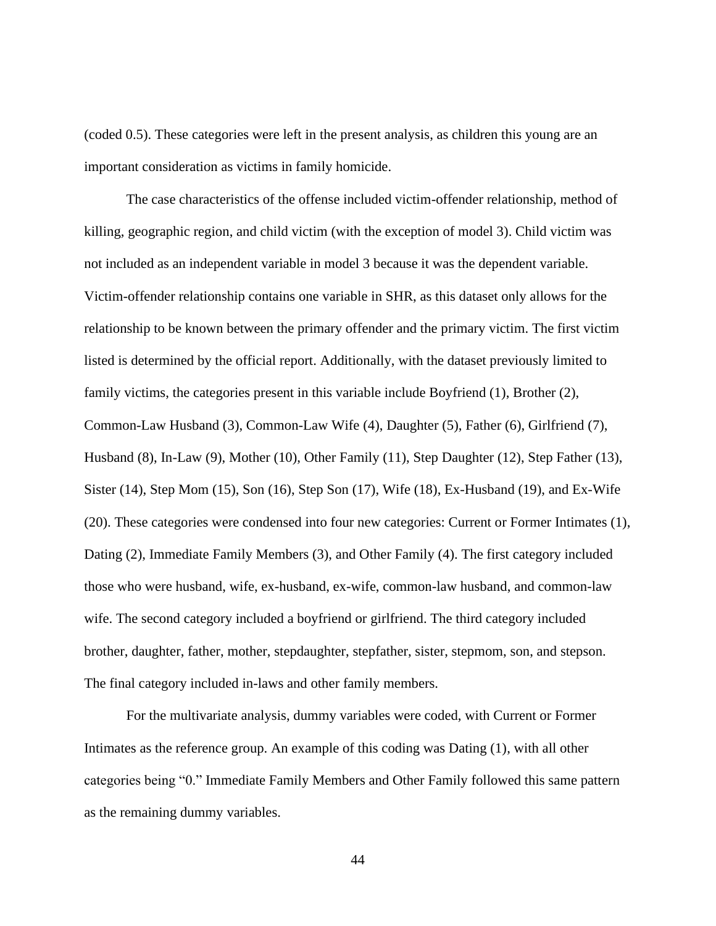(coded 0.5). These categories were left in the present analysis, as children this young are an important consideration as victims in family homicide.

The case characteristics of the offense included victim-offender relationship, method of killing, geographic region, and child victim (with the exception of model 3). Child victim was not included as an independent variable in model 3 because it was the dependent variable. Victim-offender relationship contains one variable in SHR, as this dataset only allows for the relationship to be known between the primary offender and the primary victim. The first victim listed is determined by the official report. Additionally, with the dataset previously limited to family victims, the categories present in this variable include Boyfriend (1), Brother (2), Common-Law Husband (3), Common-Law Wife (4), Daughter (5), Father (6), Girlfriend (7), Husband (8), In-Law (9), Mother (10), Other Family (11), Step Daughter (12), Step Father (13), Sister (14), Step Mom (15), Son (16), Step Son (17), Wife (18), Ex-Husband (19), and Ex-Wife (20). These categories were condensed into four new categories: Current or Former Intimates (1), Dating (2), Immediate Family Members (3), and Other Family (4). The first category included those who were husband, wife, ex-husband, ex-wife, common-law husband, and common-law wife. The second category included a boyfriend or girlfriend. The third category included brother, daughter, father, mother, stepdaughter, stepfather, sister, stepmom, son, and stepson. The final category included in-laws and other family members.

For the multivariate analysis, dummy variables were coded, with Current or Former Intimates as the reference group. An example of this coding was Dating (1), with all other categories being "0." Immediate Family Members and Other Family followed this same pattern as the remaining dummy variables.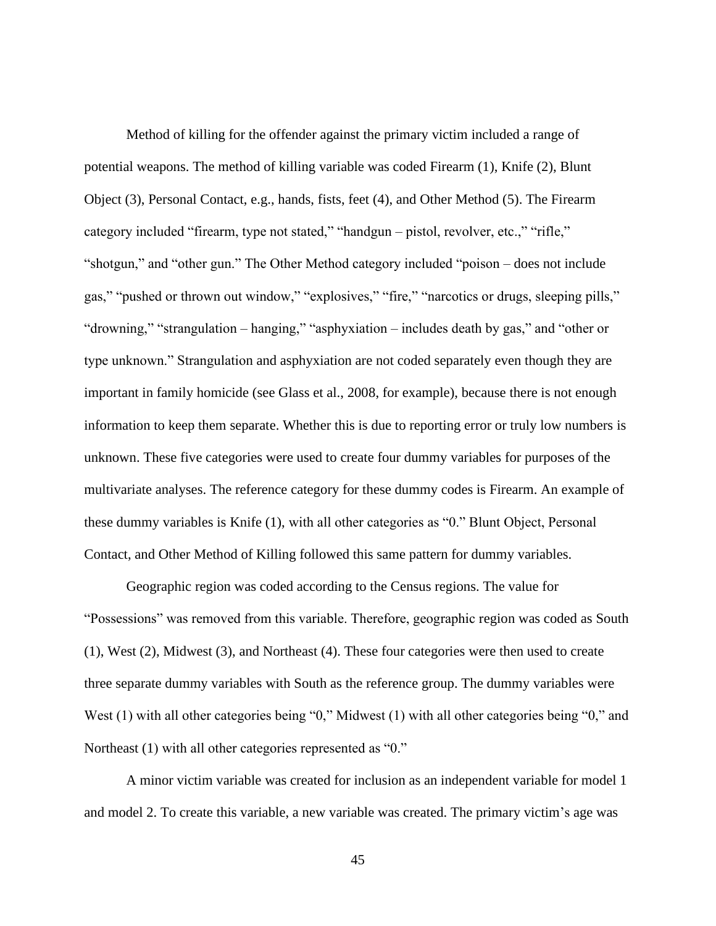Method of killing for the offender against the primary victim included a range of potential weapons. The method of killing variable was coded Firearm (1), Knife (2), Blunt Object (3), Personal Contact, e.g., hands, fists, feet (4), and Other Method (5). The Firearm category included "firearm, type not stated," "handgun – pistol, revolver, etc.," "rifle," "shotgun," and "other gun." The Other Method category included "poison – does not include gas," "pushed or thrown out window," "explosives," "fire," "narcotics or drugs, sleeping pills," "drowning," "strangulation – hanging," "asphyxiation – includes death by gas," and "other or type unknown." Strangulation and asphyxiation are not coded separately even though they are important in family homicide (see Glass et al., 2008, for example), because there is not enough information to keep them separate. Whether this is due to reporting error or truly low numbers is unknown. These five categories were used to create four dummy variables for purposes of the multivariate analyses. The reference category for these dummy codes is Firearm. An example of these dummy variables is Knife (1), with all other categories as "0." Blunt Object, Personal Contact, and Other Method of Killing followed this same pattern for dummy variables.

Geographic region was coded according to the Census regions. The value for "Possessions" was removed from this variable. Therefore, geographic region was coded as South (1), West (2), Midwest (3), and Northeast (4). These four categories were then used to create three separate dummy variables with South as the reference group. The dummy variables were West (1) with all other categories being "0," Midwest (1) with all other categories being "0," and Northeast (1) with all other categories represented as "0."

A minor victim variable was created for inclusion as an independent variable for model 1 and model 2. To create this variable, a new variable was created. The primary victim's age was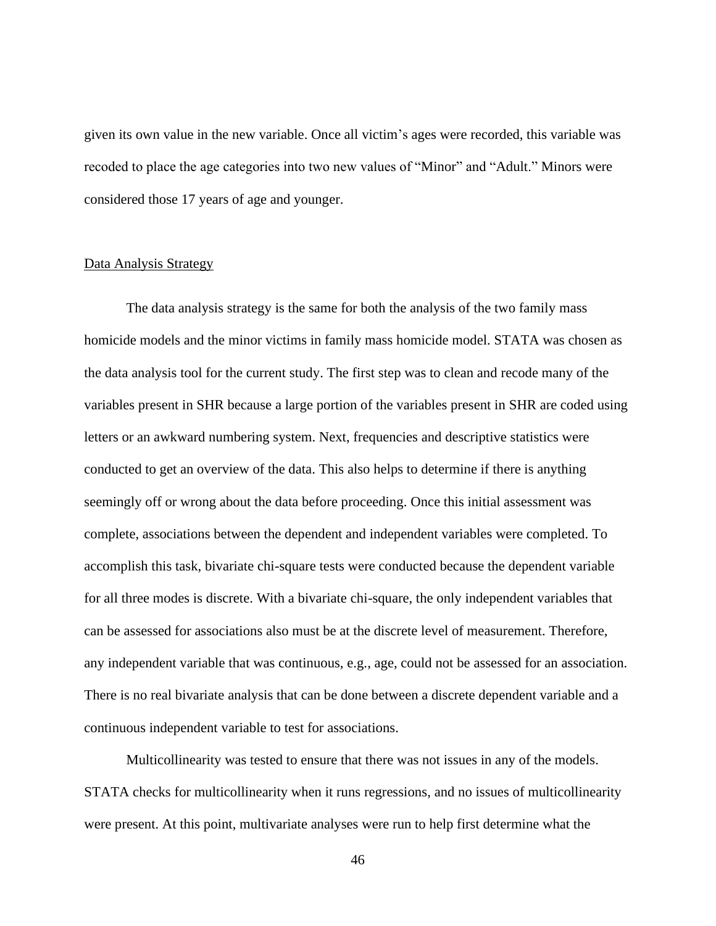given its own value in the new variable. Once all victim's ages were recorded, this variable was recoded to place the age categories into two new values of "Minor" and "Adult." Minors were considered those 17 years of age and younger.

#### Data Analysis Strategy

The data analysis strategy is the same for both the analysis of the two family mass homicide models and the minor victims in family mass homicide model. STATA was chosen as the data analysis tool for the current study. The first step was to clean and recode many of the variables present in SHR because a large portion of the variables present in SHR are coded using letters or an awkward numbering system. Next, frequencies and descriptive statistics were conducted to get an overview of the data. This also helps to determine if there is anything seemingly off or wrong about the data before proceeding. Once this initial assessment was complete, associations between the dependent and independent variables were completed. To accomplish this task, bivariate chi-square tests were conducted because the dependent variable for all three modes is discrete. With a bivariate chi-square, the only independent variables that can be assessed for associations also must be at the discrete level of measurement. Therefore, any independent variable that was continuous, e.g., age, could not be assessed for an association. There is no real bivariate analysis that can be done between a discrete dependent variable and a continuous independent variable to test for associations.

Multicollinearity was tested to ensure that there was not issues in any of the models. STATA checks for multicollinearity when it runs regressions, and no issues of multicollinearity were present. At this point, multivariate analyses were run to help first determine what the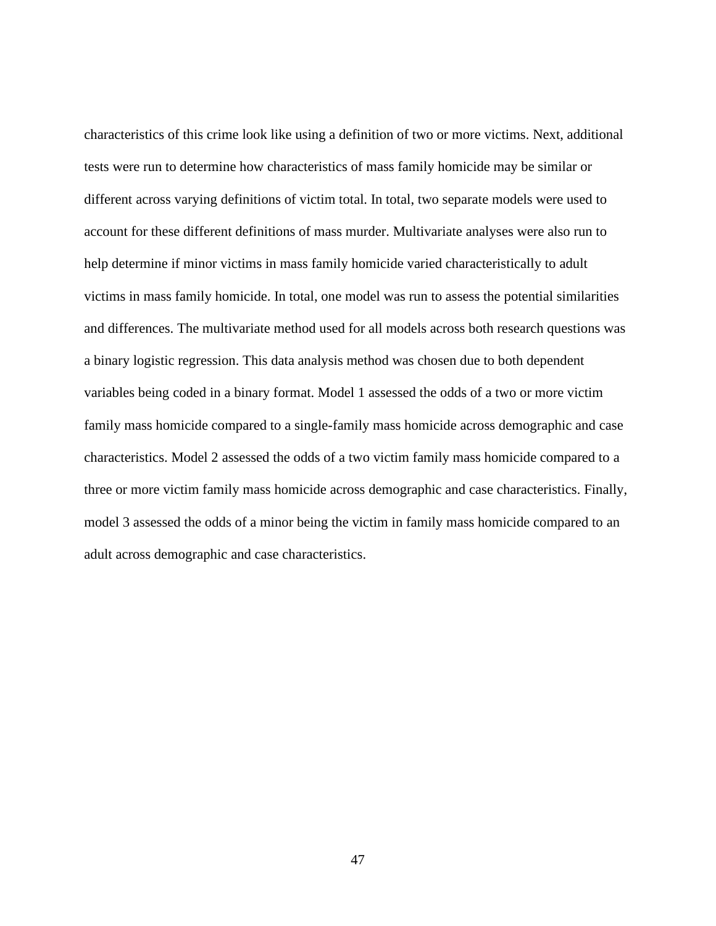characteristics of this crime look like using a definition of two or more victims. Next, additional tests were run to determine how characteristics of mass family homicide may be similar or different across varying definitions of victim total. In total, two separate models were used to account for these different definitions of mass murder. Multivariate analyses were also run to help determine if minor victims in mass family homicide varied characteristically to adult victims in mass family homicide. In total, one model was run to assess the potential similarities and differences. The multivariate method used for all models across both research questions was a binary logistic regression. This data analysis method was chosen due to both dependent variables being coded in a binary format. Model 1 assessed the odds of a two or more victim family mass homicide compared to a single-family mass homicide across demographic and case characteristics. Model 2 assessed the odds of a two victim family mass homicide compared to a three or more victim family mass homicide across demographic and case characteristics. Finally, model 3 assessed the odds of a minor being the victim in family mass homicide compared to an adult across demographic and case characteristics.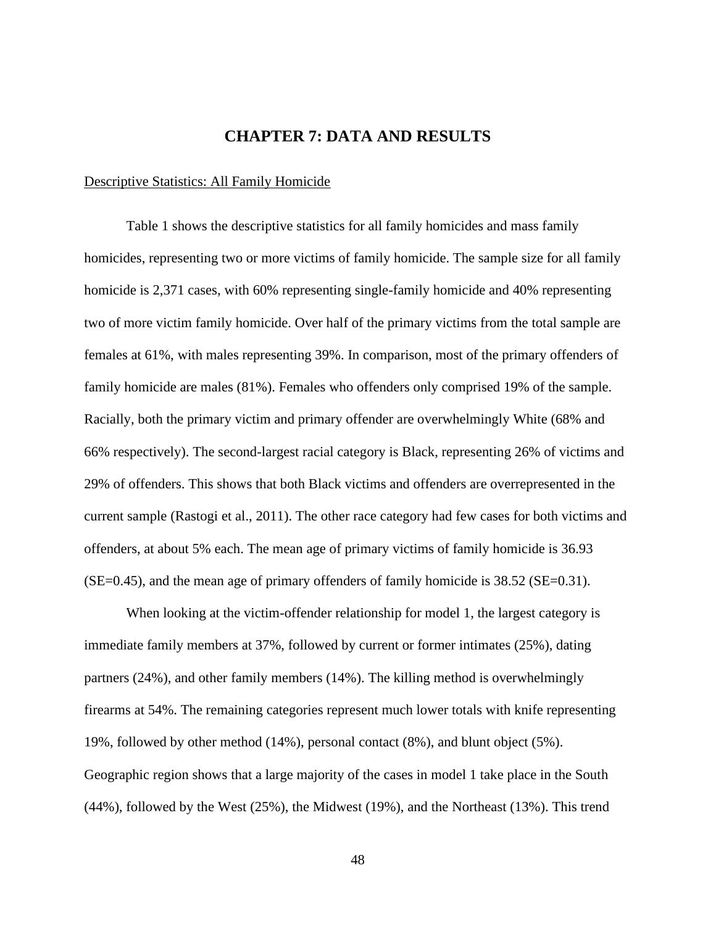# **CHAPTER 7: DATA AND RESULTS**

#### Descriptive Statistics: All Family Homicide

Table 1 shows the descriptive statistics for all family homicides and mass family homicides, representing two or more victims of family homicide. The sample size for all family homicide is 2,371 cases, with 60% representing single-family homicide and 40% representing two of more victim family homicide. Over half of the primary victims from the total sample are females at 61%, with males representing 39%. In comparison, most of the primary offenders of family homicide are males (81%). Females who offenders only comprised 19% of the sample. Racially, both the primary victim and primary offender are overwhelmingly White (68% and 66% respectively). The second-largest racial category is Black, representing 26% of victims and 29% of offenders. This shows that both Black victims and offenders are overrepresented in the current sample (Rastogi et al., 2011). The other race category had few cases for both victims and offenders, at about 5% each. The mean age of primary victims of family homicide is 36.93 (SE=0.45), and the mean age of primary offenders of family homicide is 38.52 (SE=0.31).

When looking at the victim-offender relationship for model 1, the largest category is immediate family members at 37%, followed by current or former intimates (25%), dating partners (24%), and other family members (14%). The killing method is overwhelmingly firearms at 54%. The remaining categories represent much lower totals with knife representing 19%, followed by other method (14%), personal contact (8%), and blunt object (5%). Geographic region shows that a large majority of the cases in model 1 take place in the South (44%), followed by the West (25%), the Midwest (19%), and the Northeast (13%). This trend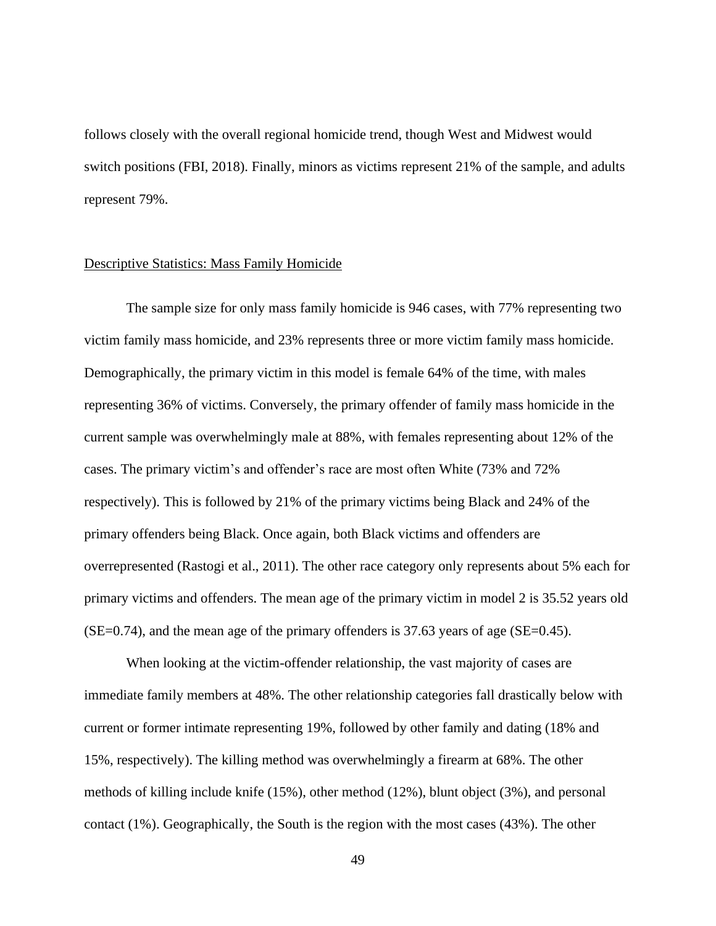follows closely with the overall regional homicide trend, though West and Midwest would switch positions (FBI, 2018). Finally, minors as victims represent 21% of the sample, and adults represent 79%.

## Descriptive Statistics: Mass Family Homicide

The sample size for only mass family homicide is 946 cases, with 77% representing two victim family mass homicide, and 23% represents three or more victim family mass homicide. Demographically, the primary victim in this model is female 64% of the time, with males representing 36% of victims. Conversely, the primary offender of family mass homicide in the current sample was overwhelmingly male at 88%, with females representing about 12% of the cases. The primary victim's and offender's race are most often White (73% and 72% respectively). This is followed by 21% of the primary victims being Black and 24% of the primary offenders being Black. Once again, both Black victims and offenders are overrepresented (Rastogi et al., 2011). The other race category only represents about 5% each for primary victims and offenders. The mean age of the primary victim in model 2 is 35.52 years old (SE=0.74), and the mean age of the primary offenders is 37.63 years of age (SE=0.45).

When looking at the victim-offender relationship, the vast majority of cases are immediate family members at 48%. The other relationship categories fall drastically below with current or former intimate representing 19%, followed by other family and dating (18% and 15%, respectively). The killing method was overwhelmingly a firearm at 68%. The other methods of killing include knife (15%), other method (12%), blunt object (3%), and personal contact (1%). Geographically, the South is the region with the most cases (43%). The other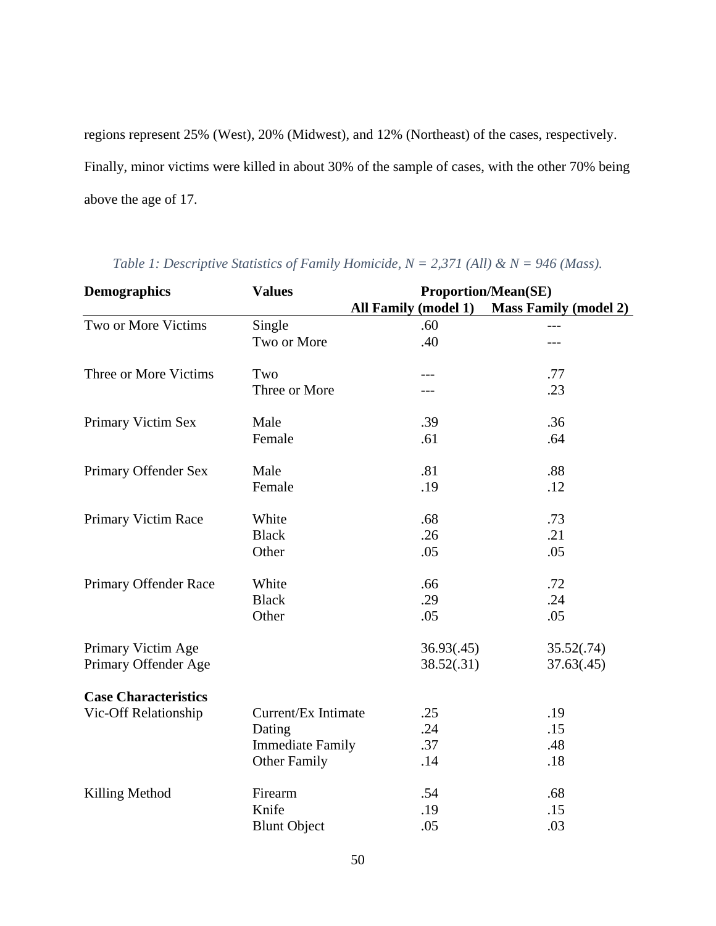regions represent 25% (West), 20% (Midwest), and 12% (Northeast) of the cases, respectively. Finally, minor victims were killed in about 30% of the sample of cases, with the other 70% being above the age of 17.

| <b>Demographics</b>         | <b>Values</b>           | <b>Proportion/Mean(SE)</b> |                              |  |  |
|-----------------------------|-------------------------|----------------------------|------------------------------|--|--|
|                             |                         | All Family (model 1)       | <b>Mass Family (model 2)</b> |  |  |
| Two or More Victims         | Single                  | .60                        | ---                          |  |  |
|                             | Two or More             | .40                        | ---                          |  |  |
| Three or More Victims       | Two                     | ---                        | .77                          |  |  |
|                             | Three or More           | ---                        | .23                          |  |  |
| Primary Victim Sex          | Male                    | .39                        | .36                          |  |  |
|                             | Female                  | .61                        | .64                          |  |  |
| Primary Offender Sex        | Male                    | .81                        | .88                          |  |  |
|                             | Female                  | .19                        | .12                          |  |  |
| Primary Victim Race         | White                   | .68                        | .73                          |  |  |
|                             | <b>Black</b>            | .26                        | .21                          |  |  |
|                             | Other                   | .05                        | .05                          |  |  |
| Primary Offender Race       | White                   | .66                        | .72                          |  |  |
|                             | <b>Black</b>            | .29                        | .24                          |  |  |
|                             | Other                   | .05                        | .05                          |  |  |
| Primary Victim Age          |                         | 36.93(.45)                 | 35.52(.74)                   |  |  |
| Primary Offender Age        |                         | 38.52(.31)                 | 37.63(.45)                   |  |  |
| <b>Case Characteristics</b> |                         |                            |                              |  |  |
| Vic-Off Relationship        | Current/Ex Intimate     | .25                        | .19                          |  |  |
|                             | Dating                  | .24                        | .15                          |  |  |
|                             | <b>Immediate Family</b> | .37                        | .48                          |  |  |
|                             | <b>Other Family</b>     | .14                        | .18                          |  |  |
| Killing Method              | Firearm                 | .54                        | .68                          |  |  |
|                             | Knife                   | .19                        | .15                          |  |  |
|                             | <b>Blunt Object</b>     | .05                        | .03                          |  |  |

*Table 1: Descriptive Statistics of Family Homicide, N = 2,371 (All) & N = 946 (Mass).*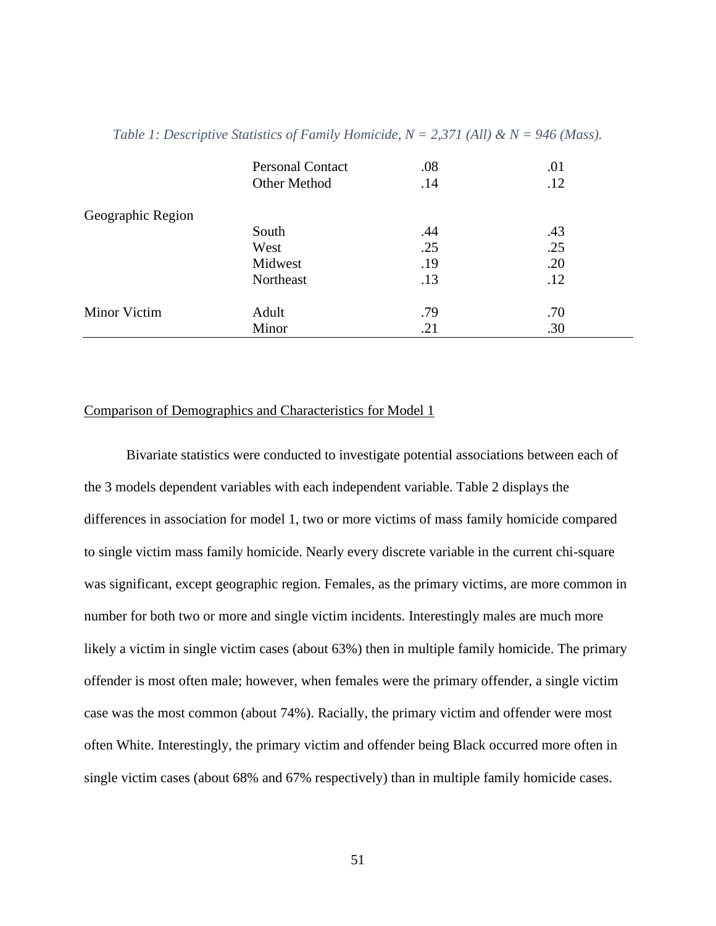|                     | <b>Personal Contact</b><br>Other Method | .08<br>.14 | .01<br>.12 |  |
|---------------------|-----------------------------------------|------------|------------|--|
| Geographic Region   |                                         |            |            |  |
|                     | South                                   | .44        | .43        |  |
|                     | West                                    | .25        | .25        |  |
|                     | Midwest                                 | .19        | .20        |  |
|                     | Northeast                               | .13        | .12        |  |
| <b>Minor Victim</b> | Adult                                   | .79        | .70        |  |
|                     | Minor                                   | .21        | .30        |  |

*Table 1: Descriptive Statistics of Family Homicide, N = 2,371 (All) & N = 946 (Mass).*

#### Comparison of Demographics and Characteristics for Model 1

Bivariate statistics were conducted to investigate potential associations between each of the 3 models dependent variables with each independent variable. Table 2 displays the differences in association for model 1, two or more victims of mass family homicide compared to single victim mass family homicide. Nearly every discrete variable in the current chi-square was significant, except geographic region. Females, as the primary victims, are more common in number for both two or more and single victim incidents. Interestingly males are much more likely a victim in single victim cases (about 63%) then in multiple family homicide. The primary offender is most often male; however, when females were the primary offender, a single victim case was the most common (about 74%). Racially, the primary victim and offender were most often White. Interestingly, the primary victim and offender being Black occurred more often in single victim cases (about 68% and 67% respectively) than in multiple family homicide cases.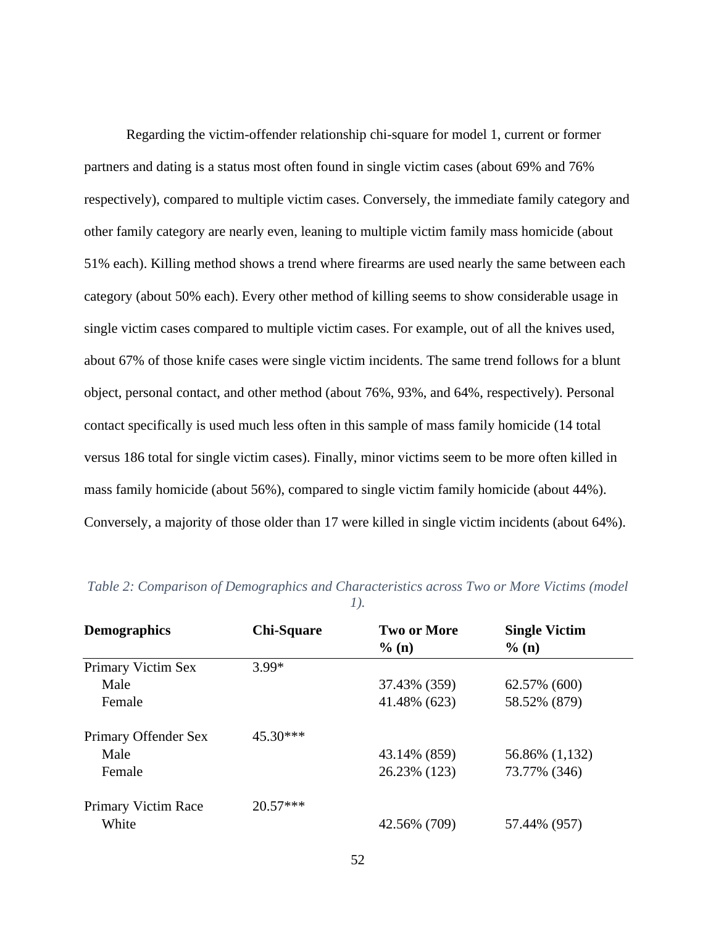Regarding the victim-offender relationship chi-square for model 1, current or former partners and dating is a status most often found in single victim cases (about 69% and 76% respectively), compared to multiple victim cases. Conversely, the immediate family category and other family category are nearly even, leaning to multiple victim family mass homicide (about 51% each). Killing method shows a trend where firearms are used nearly the same between each category (about 50% each). Every other method of killing seems to show considerable usage in single victim cases compared to multiple victim cases. For example, out of all the knives used, about 67% of those knife cases were single victim incidents. The same trend follows for a blunt object, personal contact, and other method (about 76%, 93%, and 64%, respectively). Personal contact specifically is used much less often in this sample of mass family homicide (14 total versus 186 total for single victim cases). Finally, minor victims seem to be more often killed in mass family homicide (about 56%), compared to single victim family homicide (about 44%). Conversely, a majority of those older than 17 were killed in single victim incidents (about 64%).

| <b>Demographics</b>  | Chi-Square | <b>Two or More</b><br>$\%$ (n) | <b>Single Victim</b><br>$\%$ (n) |
|----------------------|------------|--------------------------------|----------------------------------|
| Primary Victim Sex   | $3.99*$    |                                |                                  |
| Male                 |            | 37.43% (359)                   | 62.57% (600)                     |
| Female               |            | 41.48% (623)                   | 58.52% (879)                     |
| Primary Offender Sex | 45.30***   |                                |                                  |
| Male                 |            | 43.14% (859)                   | 56.86% (1,132)                   |
| Female               |            | 26.23% (123)                   | 73.77% (346)                     |
| Primary Victim Race  | $20.57***$ |                                |                                  |
| White                |            | 42.56% (709)                   | 57.44% (957)                     |

*Table 2: Comparison of Demographics and Characteristics across Two or More Victims (model 1).*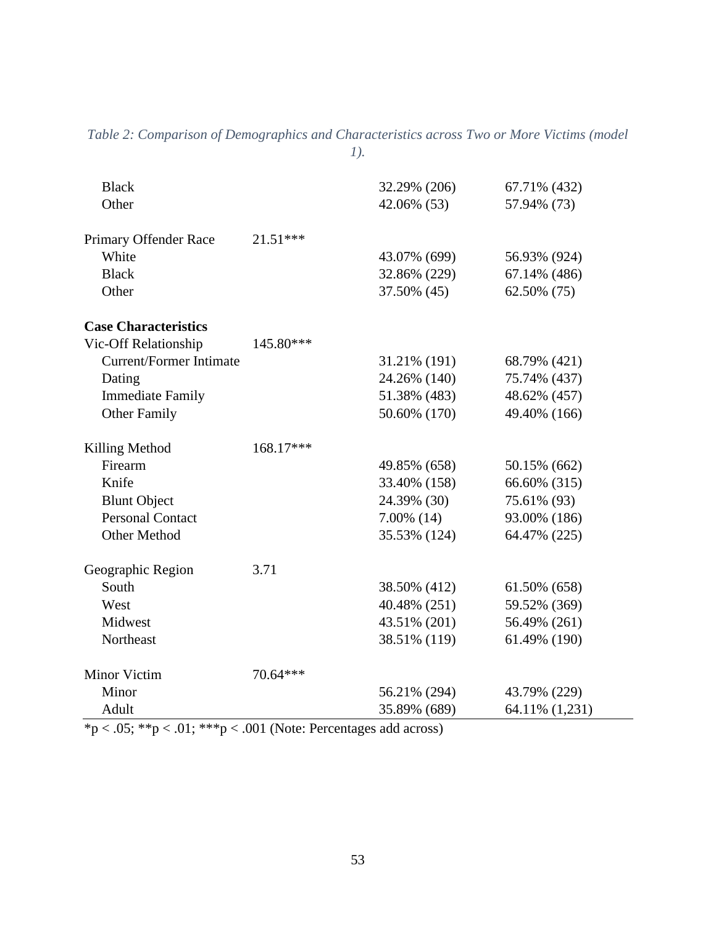| <b>Black</b>                   |            | 32.29% (206)  | 67.71% (432)   |
|--------------------------------|------------|---------------|----------------|
| Other                          |            | 42.06% (53)   | 57.94% (73)    |
| Primary Offender Race          | $21.51***$ |               |                |
| White                          |            | 43.07% (699)  | 56.93% (924)   |
| <b>Black</b>                   |            | 32.86% (229)  | 67.14% (486)   |
| Other                          |            | 37.50% (45)   | 62.50% (75)    |
| <b>Case Characteristics</b>    |            |               |                |
| Vic-Off Relationship           | 145.80***  |               |                |
| <b>Current/Former Intimate</b> |            | 31.21% (191)  | 68.79% (421)   |
| Dating                         |            | 24.26% (140)  | 75.74% (437)   |
| <b>Immediate Family</b>        |            | 51.38% (483)  | 48.62% (457)   |
| <b>Other Family</b>            |            | 50.60% (170)  | 49.40% (166)   |
| Killing Method                 | 168.17***  |               |                |
| Firearm                        |            | 49.85% (658)  | 50.15% (662)   |
| Knife                          |            | 33.40% (158)  | 66.60% (315)   |
| <b>Blunt Object</b>            |            | 24.39% (30)   | 75.61% (93)    |
| <b>Personal Contact</b>        |            | $7.00\%$ (14) | 93.00% (186)   |
| <b>Other Method</b>            |            | 35.53% (124)  | 64.47% (225)   |
| Geographic Region              | 3.71       |               |                |
| South                          |            | 38.50% (412)  | 61.50% (658)   |
| West                           |            | 40.48% (251)  | 59.52% (369)   |
| Midwest                        |            | 43.51% (201)  | 56.49% (261)   |
| Northeast                      |            | 38.51% (119)  | 61.49% (190)   |
| <b>Minor Victim</b>            | 70.64***   |               |                |
| Minor                          |            | 56.21% (294)  | 43.79% (229)   |
| Adult                          |            | 35.89% (689)  | 64.11% (1,231) |

# *Table 2: Comparison of Demographics and Characteristics across Two or More Victims (model 1).*

 $*p < .05; **p < .01; **p < .001$  (Note: Percentages add across)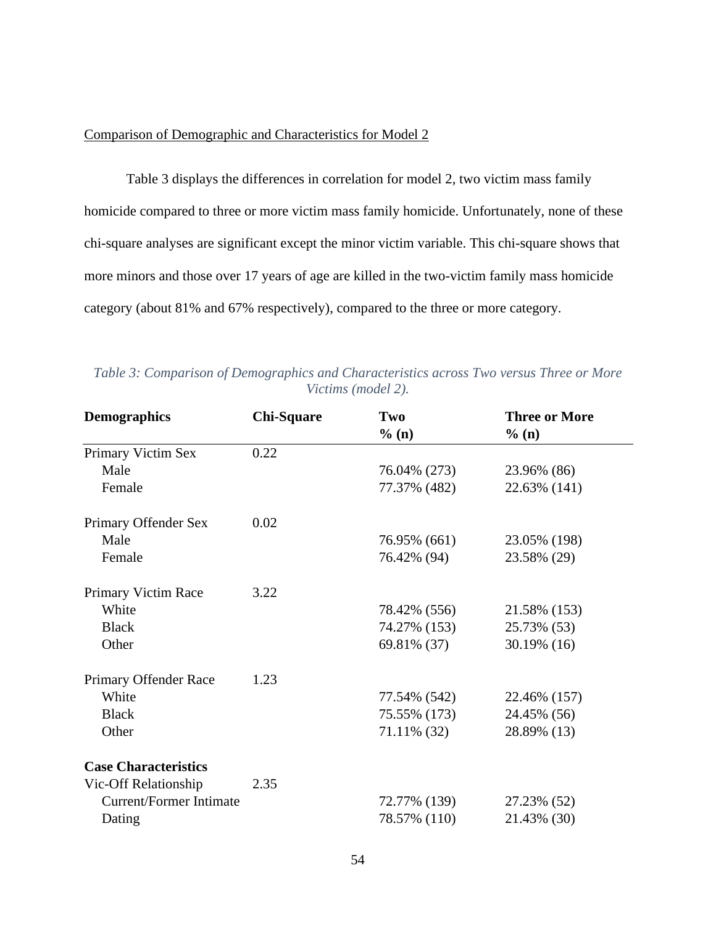## Comparison of Demographic and Characteristics for Model 2

Table 3 displays the differences in correlation for model 2, two victim mass family homicide compared to three or more victim mass family homicide. Unfortunately, none of these chi-square analyses are significant except the minor victim variable. This chi-square shows that more minors and those over 17 years of age are killed in the two-victim family mass homicide category (about 81% and 67% respectively), compared to the three or more category.

| <b>Demographics</b>            | <b>Chi-Square</b> | Two<br>% (n) | <b>Three or More</b><br>% (n) |
|--------------------------------|-------------------|--------------|-------------------------------|
| Primary Victim Sex             | 0.22              |              |                               |
| Male                           |                   | 76.04% (273) | 23.96% (86)                   |
| Female                         |                   | 77.37% (482) | 22.63% (141)                  |
| Primary Offender Sex           | 0.02              |              |                               |
| Male                           |                   | 76.95% (661) | 23.05% (198)                  |
| Female                         |                   | 76.42% (94)  | 23.58% (29)                   |
| Primary Victim Race            | 3.22              |              |                               |
| White                          |                   | 78.42% (556) | 21.58% (153)                  |
| <b>Black</b>                   |                   | 74.27% (153) | 25.73% (53)                   |
| Other                          |                   | 69.81% (37)  | 30.19% (16)                   |
| Primary Offender Race          | 1.23              |              |                               |
| White                          |                   | 77.54% (542) | 22.46% (157)                  |
| <b>Black</b>                   |                   | 75.55% (173) | 24.45% (56)                   |
| Other                          |                   | 71.11% (32)  | 28.89% (13)                   |
| <b>Case Characteristics</b>    |                   |              |                               |
| Vic-Off Relationship           | 2.35              |              |                               |
| <b>Current/Former Intimate</b> |                   | 72.77% (139) | 27.23% (52)                   |
| Dating                         |                   | 78.57% (110) | 21.43% (30)                   |

*Table 3: Comparison of Demographics and Characteristics across Two versus Three or More Victims (model 2).*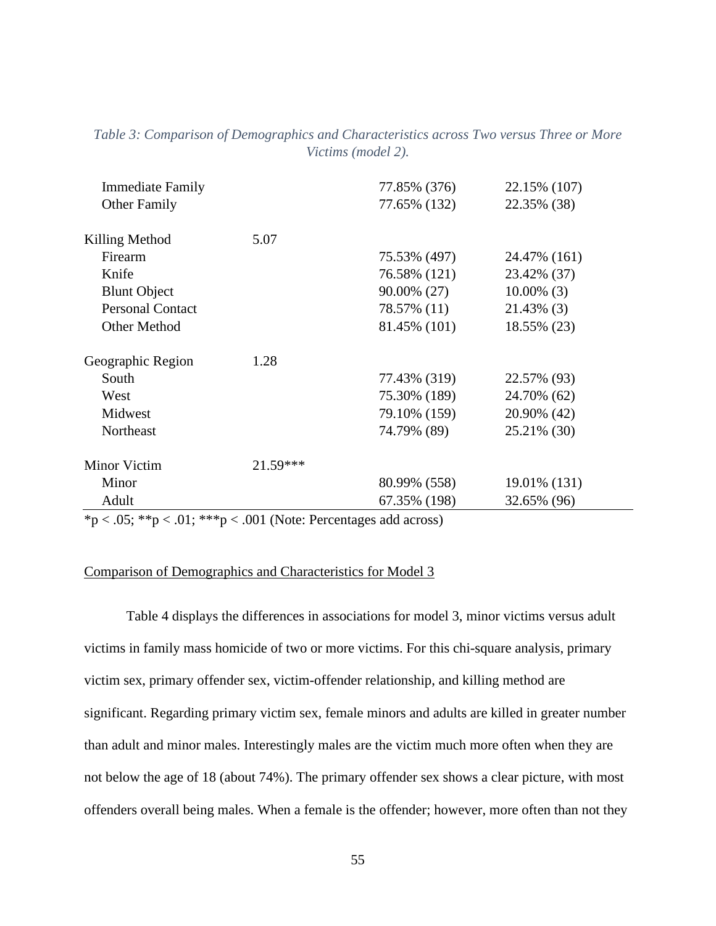| <b>Immediate Family</b> |            | 77.85% (376) | 22.15% (107)  |
|-------------------------|------------|--------------|---------------|
| <b>Other Family</b>     |            | 77.65% (132) | 22.35% (38)   |
| Killing Method          | 5.07       |              |               |
| Firearm                 |            | 75.53% (497) | 24.47% (161)  |
| Knife                   |            | 76.58% (121) | 23.42% (37)   |
| <b>Blunt Object</b>     |            | 90.00% (27)  | $10.00\%$ (3) |
| <b>Personal Contact</b> |            | 78.57% (11)  | 21.43% (3)    |
| <b>Other Method</b>     |            | 81.45% (101) | 18.55% (23)   |
| Geographic Region       | 1.28       |              |               |
| South                   |            | 77.43% (319) | 22.57% (93)   |
| West                    |            | 75.30% (189) | 24.70% (62)   |
| Midwest                 |            | 79.10% (159) | 20.90% (42)   |
| Northeast               |            | 74.79% (89)  | 25.21% (30)   |
| Minor Victim            | $21.59***$ |              |               |
| Minor                   |            | 80.99% (558) | 19.01% (131)  |
| Adult                   |            | 67.35% (198) | 32.65% (96)   |
|                         |            |              |               |

# *Table 3: Comparison of Demographics and Characteristics across Two versus Three or More Victims (model 2).*

 $*p < .05$ ;  $**p < .01$ ;  $***p < .001$  (Note: Percentages add across)

#### Comparison of Demographics and Characteristics for Model 3

Table 4 displays the differences in associations for model 3, minor victims versus adult victims in family mass homicide of two or more victims. For this chi-square analysis, primary victim sex, primary offender sex, victim-offender relationship, and killing method are significant. Regarding primary victim sex, female minors and adults are killed in greater number than adult and minor males. Interestingly males are the victim much more often when they are not below the age of 18 (about 74%). The primary offender sex shows a clear picture, with most offenders overall being males. When a female is the offender; however, more often than not they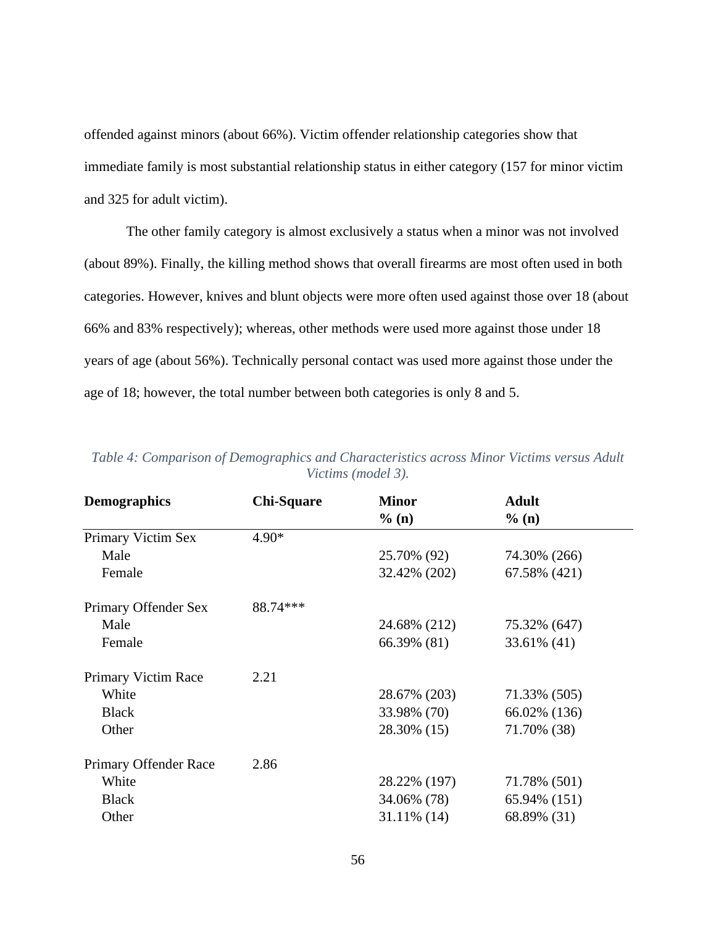offended against minors (about 66%). Victim offender relationship categories show that immediate family is most substantial relationship status in either category (157 for minor victim and 325 for adult victim).

The other family category is almost exclusively a status when a minor was not involved (about 89%). Finally, the killing method shows that overall firearms are most often used in both categories. However, knives and blunt objects were more often used against those over 18 (about 66% and 83% respectively); whereas, other methods were used more against those under 18 years of age (about 56%). Technically personal contact was used more against those under the age of 18; however, the total number between both categories is only 8 and 5.

| <b>Demographics</b>   | <b>Chi-Square</b> | <b>Minor</b> | <b>Adult</b> |
|-----------------------|-------------------|--------------|--------------|
|                       |                   | % (n)        | % (n)        |
| Primary Victim Sex    | $4.90*$           |              |              |
| Male                  |                   | 25.70% (92)  | 74.30% (266) |
| Female                |                   | 32.42% (202) | 67.58% (421) |
| Primary Offender Sex  | 88.74***          |              |              |
| Male                  |                   | 24.68% (212) | 75.32% (647) |
| Female                |                   | 66.39% (81)  | 33.61% (41)  |
| Primary Victim Race   | 2.21              |              |              |
| White                 |                   | 28.67% (203) | 71.33% (505) |
| <b>Black</b>          |                   | 33.98% (70)  | 66.02% (136) |
| Other                 |                   | 28.30% (15)  | 71.70% (38)  |
| Primary Offender Race | 2.86              |              |              |
| White                 |                   | 28.22% (197) | 71.78% (501) |
| <b>Black</b>          |                   | 34.06% (78)  | 65.94% (151) |
| Other                 |                   | 31.11% (14)  | 68.89% (31)  |

*Table 4: Comparison of Demographics and Characteristics across Minor Victims versus Adult Victims (model 3).*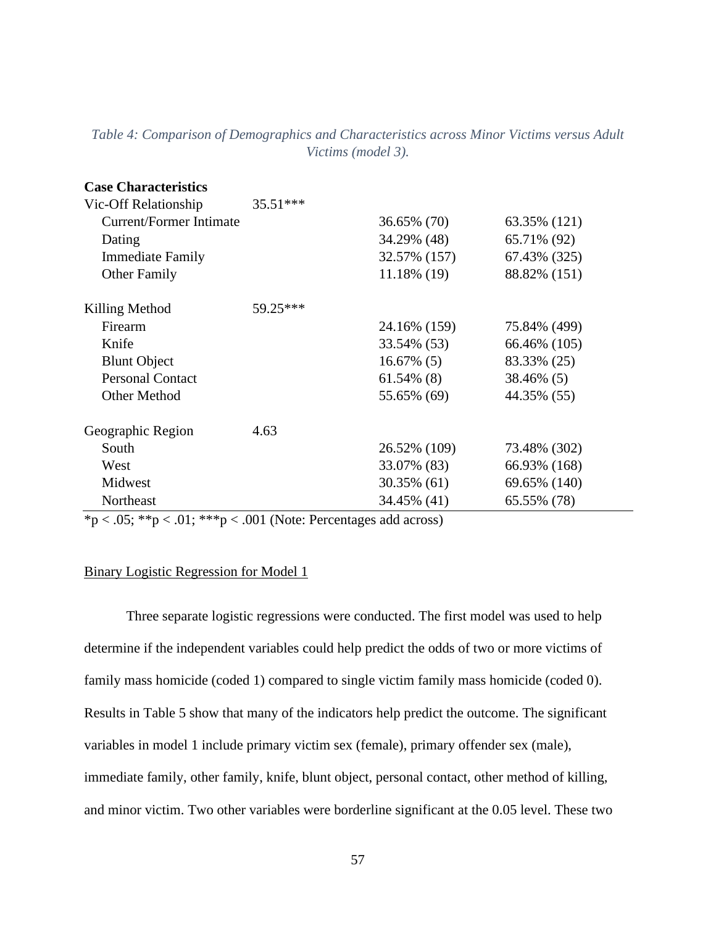| <b>Case Characteristics</b> |            |                |              |
|-----------------------------|------------|----------------|--------------|
| Vic-Off Relationship        | $35.51***$ |                |              |
| Current/Former Intimate     |            | 36.65% (70)    | 63.35% (121) |
| Dating                      |            | 34.29% (48)    | 65.71% (92)  |
| <b>Immediate Family</b>     |            | 32.57% (157)   | 67.43% (325) |
| <b>Other Family</b>         |            | $11.18\%$ (19) | 88.82% (151) |
| Killing Method              | 59.25***   |                |              |
| Firearm                     |            | 24.16% (159)   | 75.84% (499) |
| Knife                       |            | 33.54% (53)    | 66.46% (105) |
| <b>Blunt Object</b>         |            | $16.67\%$ (5)  | 83.33% (25)  |
| <b>Personal Contact</b>     |            | $61.54\%$ (8)  | 38.46% (5)   |
| <b>Other Method</b>         |            | 55.65% (69)    | 44.35% (55)  |
| Geographic Region           | 4.63       |                |              |
| South                       |            | 26.52% (109)   | 73.48% (302) |
| West                        |            | 33.07% (83)    | 66.93% (168) |
| Midwest                     |            | 30.35% (61)    | 69.65% (140) |
| Northeast                   |            | 34.45% (41)    | 65.55% (78)  |

*Table 4: Comparison of Demographics and Characteristics across Minor Victims versus Adult Victims (model 3).*

\*p < .05; \*\*p < .01; \*\*\*p < .001 (Note: Percentages add across)

#### Binary Logistic Regression for Model 1

Three separate logistic regressions were conducted. The first model was used to help determine if the independent variables could help predict the odds of two or more victims of family mass homicide (coded 1) compared to single victim family mass homicide (coded 0). Results in Table 5 show that many of the indicators help predict the outcome. The significant variables in model 1 include primary victim sex (female), primary offender sex (male), immediate family, other family, knife, blunt object, personal contact, other method of killing, and minor victim. Two other variables were borderline significant at the 0.05 level. These two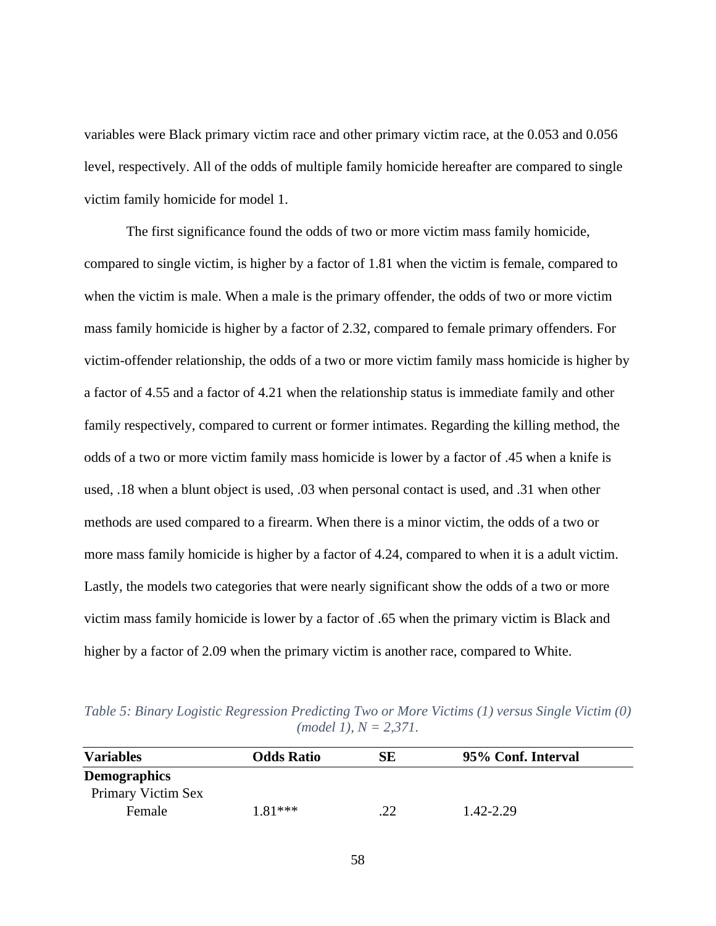variables were Black primary victim race and other primary victim race, at the 0.053 and 0.056 level, respectively. All of the odds of multiple family homicide hereafter are compared to single victim family homicide for model 1.

The first significance found the odds of two or more victim mass family homicide, compared to single victim, is higher by a factor of 1.81 when the victim is female, compared to when the victim is male. When a male is the primary offender, the odds of two or more victim mass family homicide is higher by a factor of 2.32, compared to female primary offenders. For victim-offender relationship, the odds of a two or more victim family mass homicide is higher by a factor of 4.55 and a factor of 4.21 when the relationship status is immediate family and other family respectively, compared to current or former intimates. Regarding the killing method, the odds of a two or more victim family mass homicide is lower by a factor of .45 when a knife is used, .18 when a blunt object is used, .03 when personal contact is used, and .31 when other methods are used compared to a firearm. When there is a minor victim, the odds of a two or more mass family homicide is higher by a factor of 4.24, compared to when it is a adult victim. Lastly, the models two categories that were nearly significant show the odds of a two or more victim mass family homicide is lower by a factor of .65 when the primary victim is Black and higher by a factor of 2.09 when the primary victim is another race, compared to White.

*Table 5: Binary Logistic Regression Predicting Two or More Victims (1) versus Single Victim (0) (model 1), N = 2,371.*

| <b>Variables</b>    | <b>Odds Ratio</b> | SЕ | 95% Conf. Interval |  |
|---------------------|-------------------|----|--------------------|--|
| <b>Demographics</b> |                   |    |                    |  |
| Primary Victim Sex  |                   |    |                    |  |
| Female              | $1.81***$         | 22 | 1.42-2.29          |  |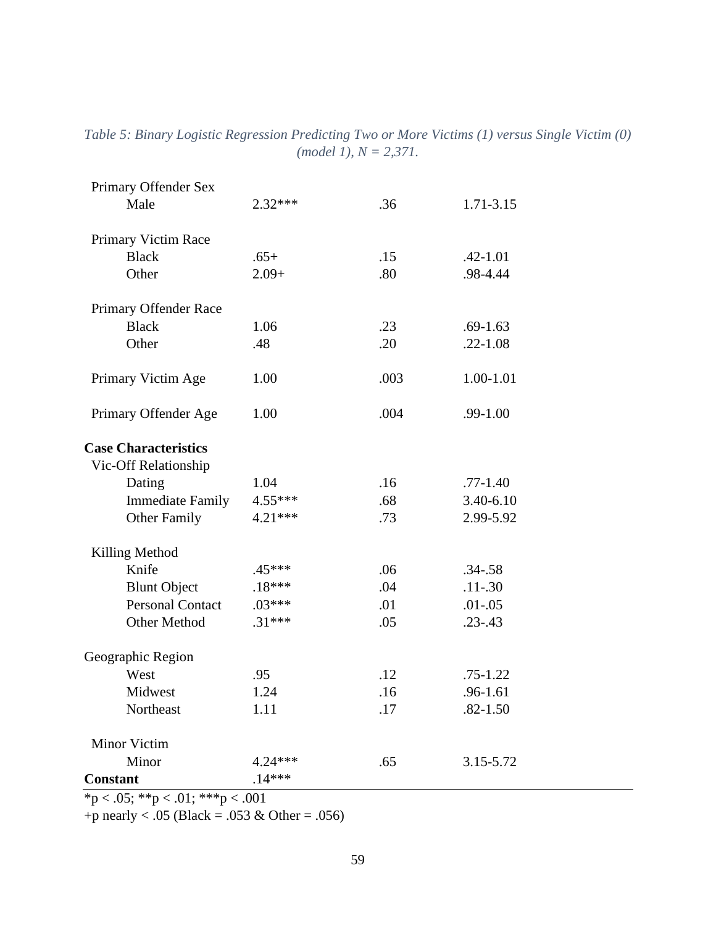| Male<br>$2.32***$                    | .36  | 1.71-3.15    |
|--------------------------------------|------|--------------|
|                                      |      |              |
|                                      |      |              |
| Primary Victim Race                  |      |              |
| <b>Black</b><br>$.65+$               | .15  | $.42 - 1.01$ |
| $2.09+$<br>Other                     | .80  | .98-4.44     |
| Primary Offender Race                |      |              |
| <b>Black</b><br>1.06                 | .23  | $.69 - 1.63$ |
| .48<br>Other                         | .20  | $.22 - 1.08$ |
| Primary Victim Age<br>1.00           | .003 | 1.00-1.01    |
| 1.00<br>Primary Offender Age         | .004 | $.99 - 1.00$ |
| <b>Case Characteristics</b>          |      |              |
| Vic-Off Relationship                 |      |              |
| Dating<br>1.04                       | .16  | $.77 - 1.40$ |
| <b>Immediate Family</b><br>$4.55***$ | .68  | 3.40-6.10    |
| $4.21***$<br><b>Other Family</b>     | .73  | 2.99-5.92    |
| Killing Method                       |      |              |
| Knife<br>$.45***$                    | .06  | $.34 - .58$  |
| $.18***$<br><b>Blunt Object</b>      | .04  | $.11 - .30$  |
| <b>Personal Contact</b><br>$.03***$  | .01  | $.01 - .05$  |
| <b>Other Method</b><br>$.31***$      | .05  | $.23 - .43$  |
| Geographic Region                    |      |              |
| West<br>.95                          | .12  | $.75 - 1.22$ |
| Midwest<br>1.24                      | .16  | $.96 - 1.61$ |
| Northeast<br>1.11                    | .17  | $.82 - 1.50$ |
| <b>Minor Victim</b>                  |      |              |
| Minor<br>4.24***                     | .65  | 3.15-5.72    |
| $.14***$<br><b>Constant</b>          |      |              |

*Table 5: Binary Logistic Regression Predicting Two or More Victims (1) versus Single Victim (0) (model 1), N = 2,371.*

 $*_{p < .05;} *_{p < .01;} * *_{p < .001}$ 

+p nearly < .05 (Black = .053 & Other = .056)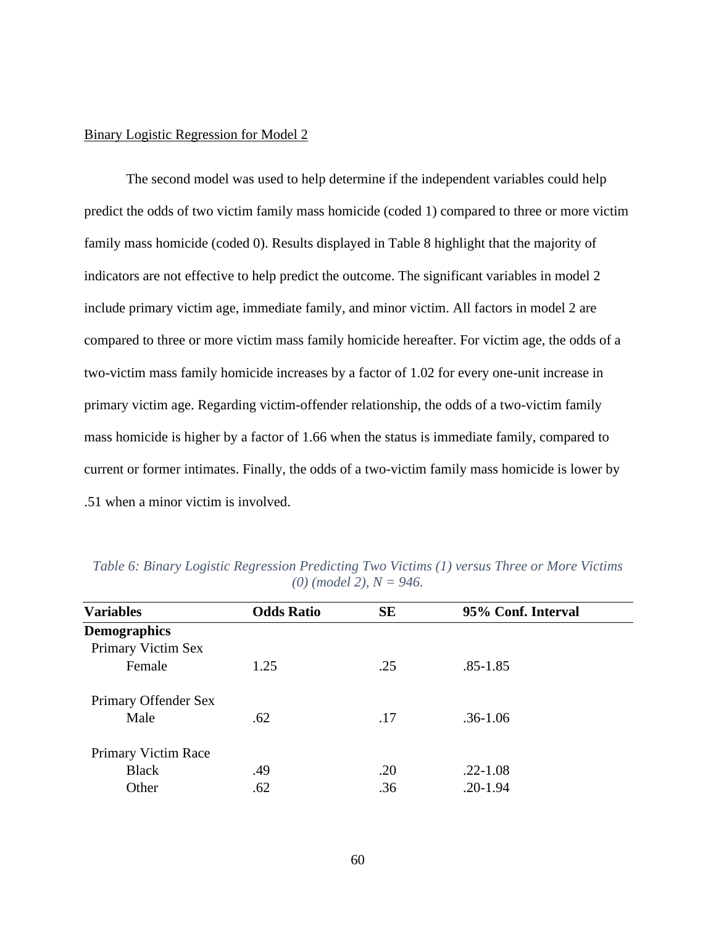## Binary Logistic Regression for Model 2

The second model was used to help determine if the independent variables could help predict the odds of two victim family mass homicide (coded 1) compared to three or more victim family mass homicide (coded 0). Results displayed in Table 8 highlight that the majority of indicators are not effective to help predict the outcome. The significant variables in model 2 include primary victim age, immediate family, and minor victim. All factors in model 2 are compared to three or more victim mass family homicide hereafter. For victim age, the odds of a two-victim mass family homicide increases by a factor of 1.02 for every one-unit increase in primary victim age. Regarding victim-offender relationship, the odds of a two-victim family mass homicide is higher by a factor of 1.66 when the status is immediate family, compared to current or former intimates. Finally, the odds of a two-victim family mass homicide is lower by .51 when a minor victim is involved.

| <b>Variables</b>     | <b>Odds Ratio</b> | <b>SE</b> | 95% Conf. Interval |
|----------------------|-------------------|-----------|--------------------|
| <b>Demographics</b>  |                   |           |                    |
| Primary Victim Sex   |                   |           |                    |
| Female               | 1.25              | .25       | $.85 - 1.85$       |
|                      |                   |           |                    |
| Primary Offender Sex |                   |           |                    |
| Male                 | .62               | .17       | $.36 - 1.06$       |
|                      |                   |           |                    |
| Primary Victim Race  |                   |           |                    |
| <b>Black</b>         | .49               | .20       | $.22 - 1.08$       |
| Other                | .62               | .36       | $.20 - 1.94$       |

*Table 6: Binary Logistic Regression Predicting Two Victims (1) versus Three or More Victims (0) (model 2), N = 946.*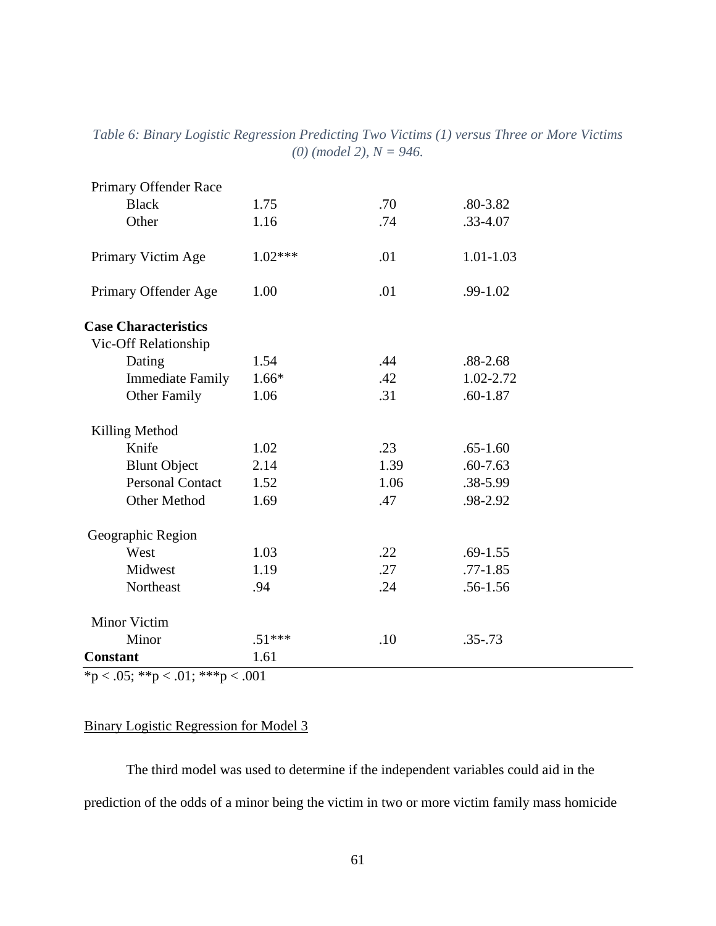| Primary Offender Race            |           |      |              |  |
|----------------------------------|-----------|------|--------------|--|
| <b>Black</b>                     | 1.75      | .70  | .80-3.82     |  |
| Other                            | 1.16      | .74  | .33-4.07     |  |
| Primary Victim Age               | $1.02***$ | .01  | 1.01-1.03    |  |
| Primary Offender Age             | 1.00      | .01  | $.99 - 1.02$ |  |
| <b>Case Characteristics</b>      |           |      |              |  |
| Vic-Off Relationship             |           |      |              |  |
| Dating                           | 1.54      | .44  | $.88 - 2.68$ |  |
| <b>Immediate Family</b>          | $1.66*$   | .42  | 1.02-2.72    |  |
| <b>Other Family</b>              | 1.06      | .31  | $.60 - 1.87$ |  |
| Killing Method                   |           |      |              |  |
| Knife                            | 1.02      | .23  | $.65 - 1.60$ |  |
| <b>Blunt Object</b>              | 2.14      | 1.39 | $.60 - 7.63$ |  |
| <b>Personal Contact</b>          | 1.52      | 1.06 | .38-5.99     |  |
| <b>Other Method</b>              | 1.69      | .47  | .98-2.92     |  |
| Geographic Region                |           |      |              |  |
| West                             | 1.03      | .22  | $.69 - 1.55$ |  |
| Midwest                          | 1.19      | .27  | $.77 - 1.85$ |  |
| Northeast                        | .94       | .24  | $.56 - 1.56$ |  |
| <b>Minor Victim</b>              |           |      |              |  |
| Minor                            | $.51***$  | .10  | $.35 - .73$  |  |
| <b>Constant</b>                  | 1.61      |      |              |  |
| *p < .05; **p < .01; ***p < .001 |           |      |              |  |

*Table 6: Binary Logistic Regression Predicting Two Victims (1) versus Three or More Victims (0) (model 2), N = 946.*

Binary Logistic Regression for Model 3

The third model was used to determine if the independent variables could aid in the prediction of the odds of a minor being the victim in two or more victim family mass homicide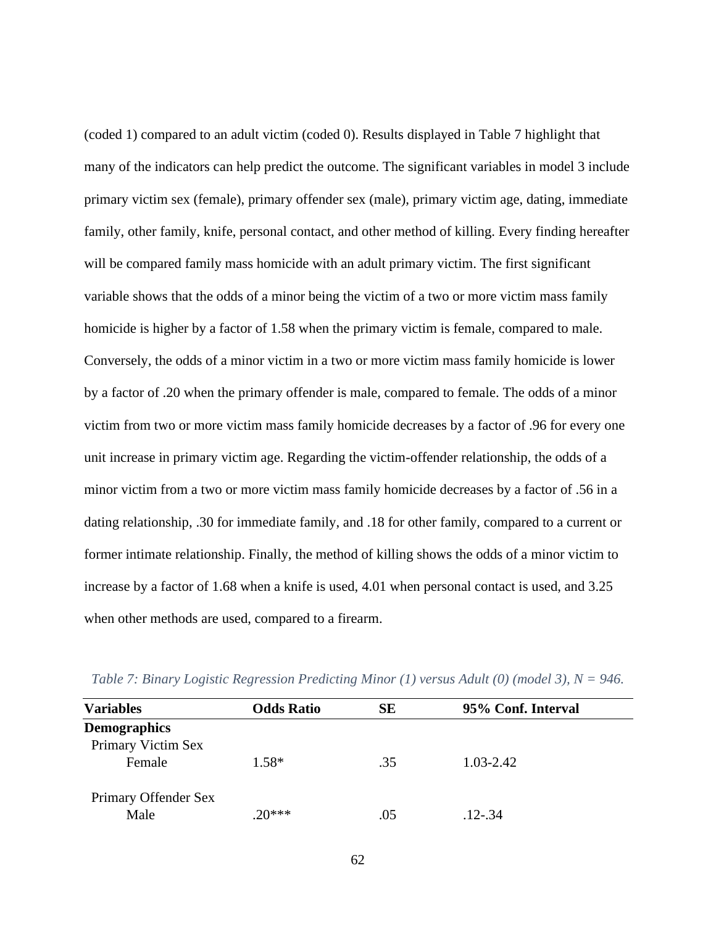(coded 1) compared to an adult victim (coded 0). Results displayed in Table 7 highlight that many of the indicators can help predict the outcome. The significant variables in model 3 include primary victim sex (female), primary offender sex (male), primary victim age, dating, immediate family, other family, knife, personal contact, and other method of killing. Every finding hereafter will be compared family mass homicide with an adult primary victim. The first significant variable shows that the odds of a minor being the victim of a two or more victim mass family homicide is higher by a factor of 1.58 when the primary victim is female, compared to male. Conversely, the odds of a minor victim in a two or more victim mass family homicide is lower by a factor of .20 when the primary offender is male, compared to female. The odds of a minor victim from two or more victim mass family homicide decreases by a factor of .96 for every one unit increase in primary victim age. Regarding the victim-offender relationship, the odds of a minor victim from a two or more victim mass family homicide decreases by a factor of .56 in a dating relationship, .30 for immediate family, and .18 for other family, compared to a current or former intimate relationship. Finally, the method of killing shows the odds of a minor victim to increase by a factor of 1.68 when a knife is used, 4.01 when personal contact is used, and 3.25 when other methods are used, compared to a firearm.

| <b>Variables</b>     | <b>Odds Ratio</b> | <b>SE</b> | 95% Conf. Interval |  |
|----------------------|-------------------|-----------|--------------------|--|
| <b>Demographics</b>  |                   |           |                    |  |
| Primary Victim Sex   |                   |           |                    |  |
| Female               | $1.58*$           | .35       | $1.03 - 2.42$      |  |
| Primary Offender Sex |                   |           |                    |  |
| Male                 | $20***$           | .05       | $.12 - .34$        |  |

*Table 7: Binary Logistic Regression Predicting Minor (1) versus Adult (0) (model 3), N = 946.*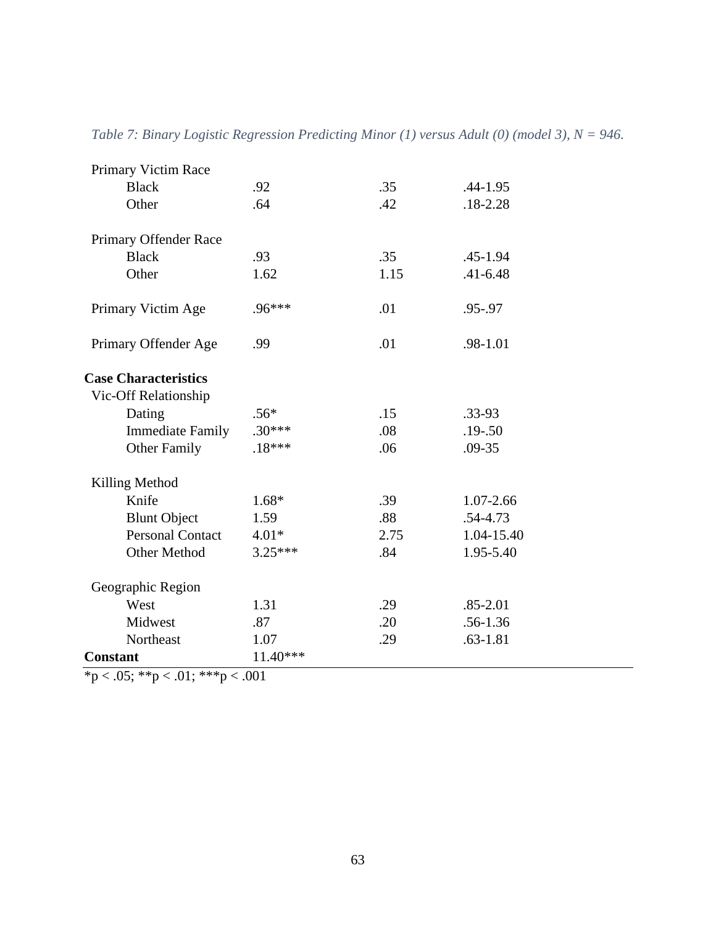| Primary Victim Race         |            |      |              |
|-----------------------------|------------|------|--------------|
| <b>Black</b>                | .92        | .35  | $.44 - 1.95$ |
| Other                       | .64        | .42  | $.18 - 2.28$ |
| Primary Offender Race       |            |      |              |
| <b>Black</b>                | .93        | .35  | $.45 - 1.94$ |
| Other                       | 1.62       | 1.15 | $.41 - 6.48$ |
| Primary Victim Age          | .96***     | .01  | .95-.97      |
| Primary Offender Age        | .99        | .01  | .98-1.01     |
| <b>Case Characteristics</b> |            |      |              |
| Vic-Off Relationship        |            |      |              |
| Dating                      | $.56*$     | .15  | $.33 - 93$   |
| <b>Immediate Family</b>     | $.30***$   | .08  | $.19 - .50$  |
| <b>Other Family</b>         | $.18***$   | .06  | $.09 - 35$   |
| Killing Method              |            |      |              |
| Knife                       | $1.68*$    | .39  | 1.07-2.66    |
| <b>Blunt Object</b>         | 1.59       | .88  | .54-4.73     |
| <b>Personal Contact</b>     | $4.01*$    | 2.75 | 1.04-15.40   |
| <b>Other Method</b>         | $3.25***$  | .84  | 1.95-5.40    |
| Geographic Region           |            |      |              |
| West                        | 1.31       | .29  | $.85 - 2.01$ |
| Midwest                     | .87        | .20  | $.56 - 1.36$ |
| Northeast                   | 1.07       | .29  | $.63 - 1.81$ |
| <b>Constant</b>             | $11.40***$ |      |              |

*Table 7: Binary Logistic Regression Predicting Minor (1) versus Adult (0) (model 3), N = 946.*

 $*_{p < .05;} *_{p < .01;} * *_{p < .001}$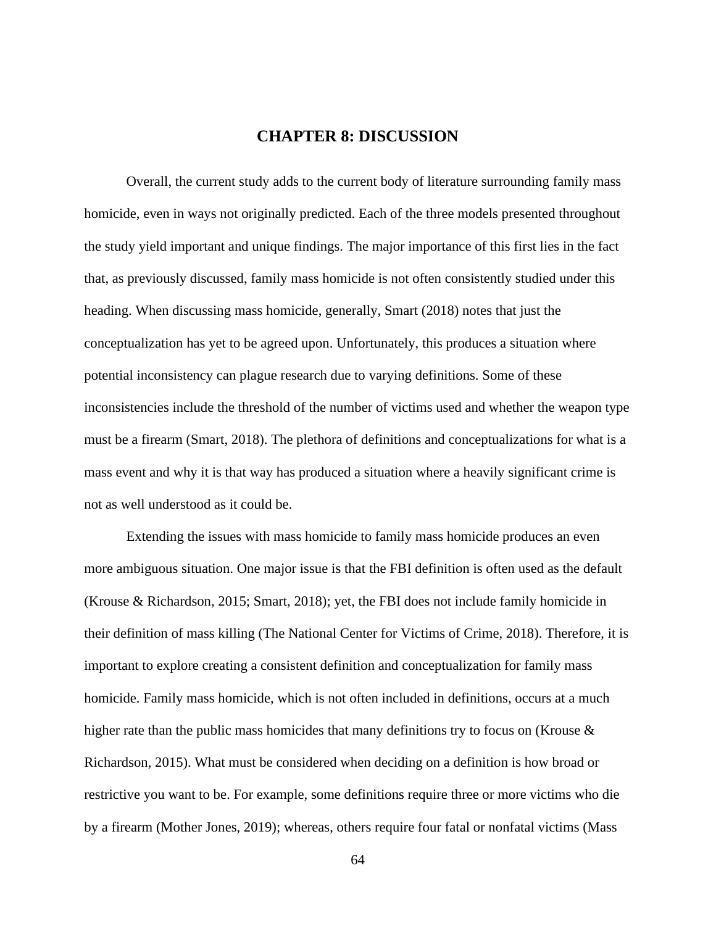# **CHAPTER 8: DISCUSSION**

Overall, the current study adds to the current body of literature surrounding family mass homicide, even in ways not originally predicted. Each of the three models presented throughout the study yield important and unique findings. The major importance of this first lies in the fact that, as previously discussed, family mass homicide is not often consistently studied under this heading. When discussing mass homicide, generally, Smart (2018) notes that just the conceptualization has yet to be agreed upon. Unfortunately, this produces a situation where potential inconsistency can plague research due to varying definitions. Some of these inconsistencies include the threshold of the number of victims used and whether the weapon type must be a firearm (Smart, 2018). The plethora of definitions and conceptualizations for what is a mass event and why it is that way has produced a situation where a heavily significant crime is not as well understood as it could be.

Extending the issues with mass homicide to family mass homicide produces an even more ambiguous situation. One major issue is that the FBI definition is often used as the default (Krouse & Richardson, 2015; Smart, 2018); yet, the FBI does not include family homicide in their definition of mass killing (The National Center for Victims of Crime, 2018). Therefore, it is important to explore creating a consistent definition and conceptualization for family mass homicide. Family mass homicide, which is not often included in definitions, occurs at a much higher rate than the public mass homicides that many definitions try to focus on (Krouse & Richardson, 2015). What must be considered when deciding on a definition is how broad or restrictive you want to be. For example, some definitions require three or more victims who die by a firearm (Mother Jones, 2019); whereas, others require four fatal or nonfatal victims (Mass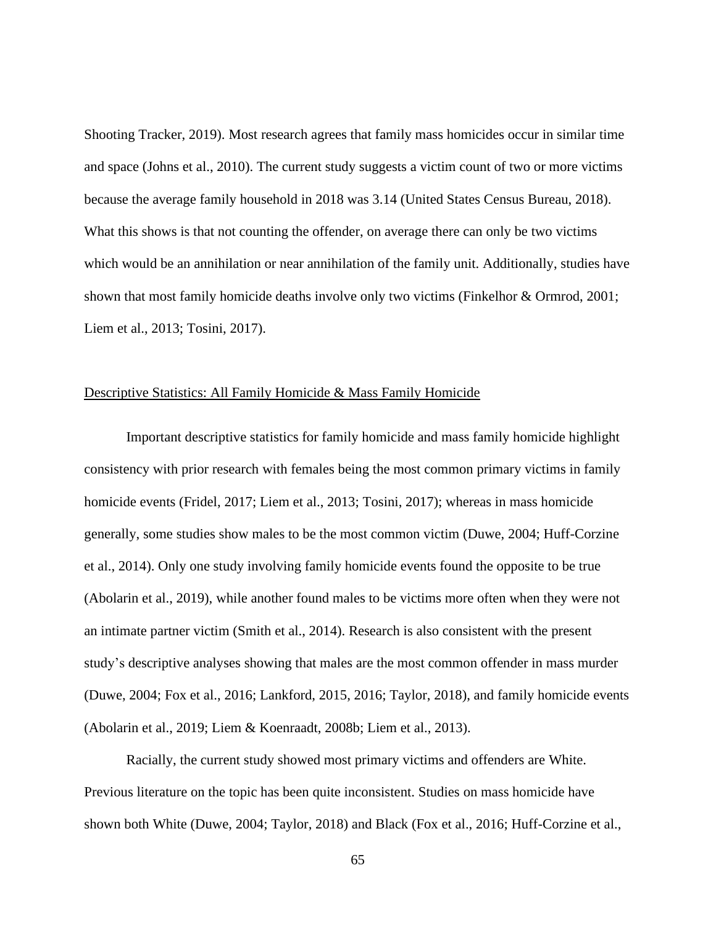Shooting Tracker, 2019). Most research agrees that family mass homicides occur in similar time and space (Johns et al., 2010). The current study suggests a victim count of two or more victims because the average family household in 2018 was 3.14 (United States Census Bureau, 2018). What this shows is that not counting the offender, on average there can only be two victims which would be an annihilation or near annihilation of the family unit. Additionally, studies have shown that most family homicide deaths involve only two victims (Finkelhor & Ormrod, 2001; Liem et al., 2013; Tosini, 2017).

### Descriptive Statistics: All Family Homicide & Mass Family Homicide

Important descriptive statistics for family homicide and mass family homicide highlight consistency with prior research with females being the most common primary victims in family homicide events (Fridel, 2017; Liem et al., 2013; Tosini, 2017); whereas in mass homicide generally, some studies show males to be the most common victim (Duwe, 2004; Huff-Corzine et al., 2014). Only one study involving family homicide events found the opposite to be true (Abolarin et al., 2019), while another found males to be victims more often when they were not an intimate partner victim (Smith et al., 2014). Research is also consistent with the present study's descriptive analyses showing that males are the most common offender in mass murder (Duwe, 2004; Fox et al., 2016; Lankford, 2015, 2016; Taylor, 2018), and family homicide events (Abolarin et al., 2019; Liem & Koenraadt, 2008b; Liem et al., 2013).

Racially, the current study showed most primary victims and offenders are White. Previous literature on the topic has been quite inconsistent. Studies on mass homicide have shown both White (Duwe, 2004; Taylor, 2018) and Black (Fox et al., 2016; Huff-Corzine et al.,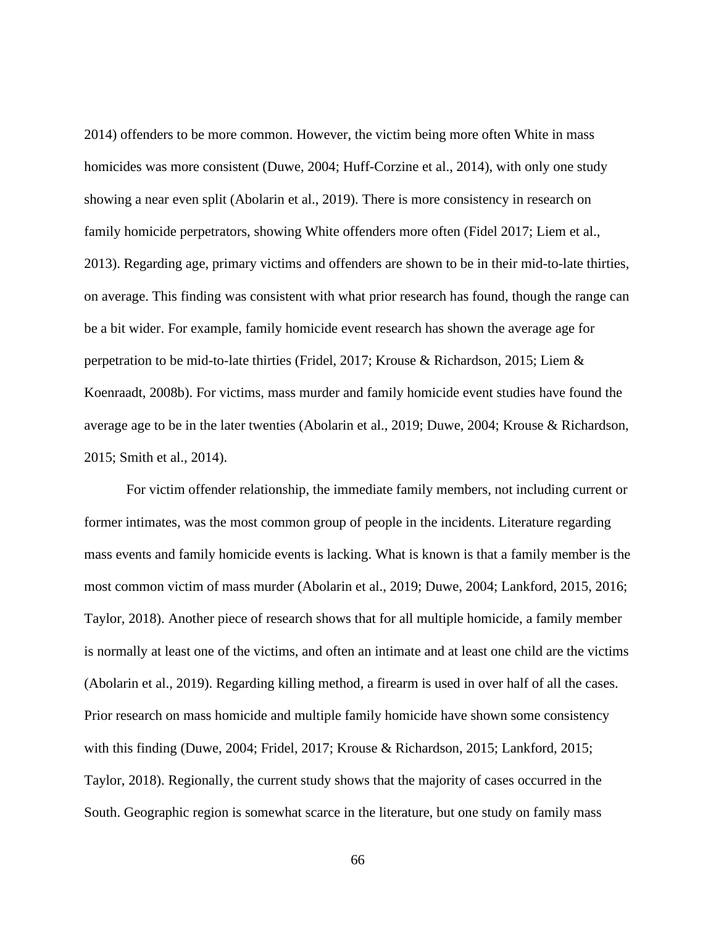2014) offenders to be more common. However, the victim being more often White in mass homicides was more consistent (Duwe, 2004; Huff-Corzine et al., 2014), with only one study showing a near even split (Abolarin et al., 2019). There is more consistency in research on family homicide perpetrators, showing White offenders more often (Fidel 2017; Liem et al., 2013). Regarding age, primary victims and offenders are shown to be in their mid-to-late thirties, on average. This finding was consistent with what prior research has found, though the range can be a bit wider. For example, family homicide event research has shown the average age for perpetration to be mid-to-late thirties (Fridel, 2017; Krouse & Richardson, 2015; Liem & Koenraadt, 2008b). For victims, mass murder and family homicide event studies have found the average age to be in the later twenties (Abolarin et al., 2019; Duwe, 2004; Krouse & Richardson, 2015; Smith et al., 2014).

For victim offender relationship, the immediate family members, not including current or former intimates, was the most common group of people in the incidents. Literature regarding mass events and family homicide events is lacking. What is known is that a family member is the most common victim of mass murder (Abolarin et al., 2019; Duwe, 2004; Lankford, 2015, 2016; Taylor, 2018). Another piece of research shows that for all multiple homicide, a family member is normally at least one of the victims, and often an intimate and at least one child are the victims (Abolarin et al., 2019). Regarding killing method, a firearm is used in over half of all the cases. Prior research on mass homicide and multiple family homicide have shown some consistency with this finding (Duwe, 2004; Fridel, 2017; Krouse & Richardson, 2015; Lankford, 2015; Taylor, 2018). Regionally, the current study shows that the majority of cases occurred in the South. Geographic region is somewhat scarce in the literature, but one study on family mass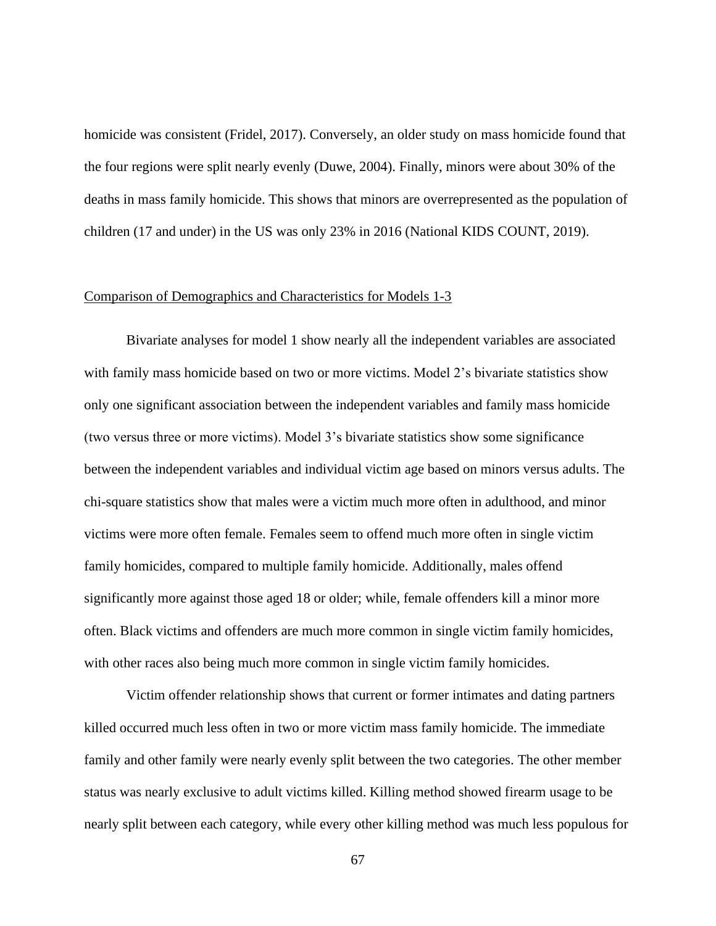homicide was consistent (Fridel, 2017). Conversely, an older study on mass homicide found that the four regions were split nearly evenly (Duwe, 2004). Finally, minors were about 30% of the deaths in mass family homicide. This shows that minors are overrepresented as the population of children (17 and under) in the US was only 23% in 2016 (National KIDS COUNT, 2019).

### Comparison of Demographics and Characteristics for Models 1-3

Bivariate analyses for model 1 show nearly all the independent variables are associated with family mass homicide based on two or more victims. Model 2's bivariate statistics show only one significant association between the independent variables and family mass homicide (two versus three or more victims). Model 3's bivariate statistics show some significance between the independent variables and individual victim age based on minors versus adults. The chi-square statistics show that males were a victim much more often in adulthood, and minor victims were more often female. Females seem to offend much more often in single victim family homicides, compared to multiple family homicide. Additionally, males offend significantly more against those aged 18 or older; while, female offenders kill a minor more often. Black victims and offenders are much more common in single victim family homicides, with other races also being much more common in single victim family homicides.

Victim offender relationship shows that current or former intimates and dating partners killed occurred much less often in two or more victim mass family homicide. The immediate family and other family were nearly evenly split between the two categories. The other member status was nearly exclusive to adult victims killed. Killing method showed firearm usage to be nearly split between each category, while every other killing method was much less populous for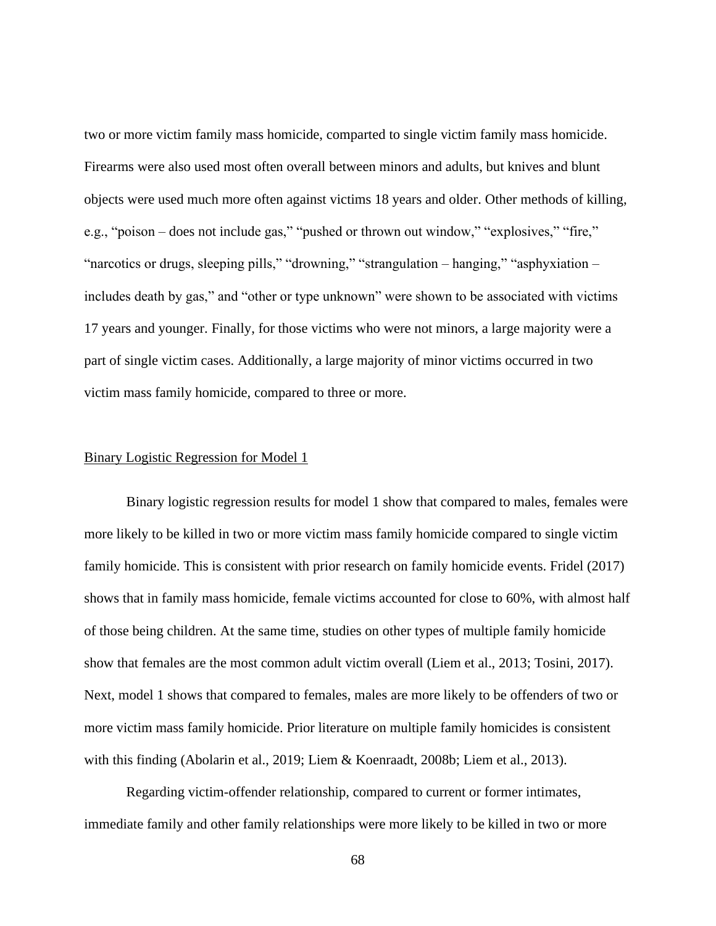two or more victim family mass homicide, comparted to single victim family mass homicide. Firearms were also used most often overall between minors and adults, but knives and blunt objects were used much more often against victims 18 years and older. Other methods of killing, e.g., "poison – does not include gas," "pushed or thrown out window," "explosives," "fire," "narcotics or drugs, sleeping pills," "drowning," "strangulation – hanging," "asphyxiation – includes death by gas," and "other or type unknown" were shown to be associated with victims 17 years and younger. Finally, for those victims who were not minors, a large majority were a part of single victim cases. Additionally, a large majority of minor victims occurred in two victim mass family homicide, compared to three or more.

### Binary Logistic Regression for Model 1

Binary logistic regression results for model 1 show that compared to males, females were more likely to be killed in two or more victim mass family homicide compared to single victim family homicide. This is consistent with prior research on family homicide events. Fridel (2017) shows that in family mass homicide, female victims accounted for close to 60%, with almost half of those being children. At the same time, studies on other types of multiple family homicide show that females are the most common adult victim overall (Liem et al., 2013; Tosini, 2017). Next, model 1 shows that compared to females, males are more likely to be offenders of two or more victim mass family homicide. Prior literature on multiple family homicides is consistent with this finding (Abolarin et al., 2019; Liem & Koenraadt, 2008b; Liem et al., 2013).

Regarding victim-offender relationship, compared to current or former intimates, immediate family and other family relationships were more likely to be killed in two or more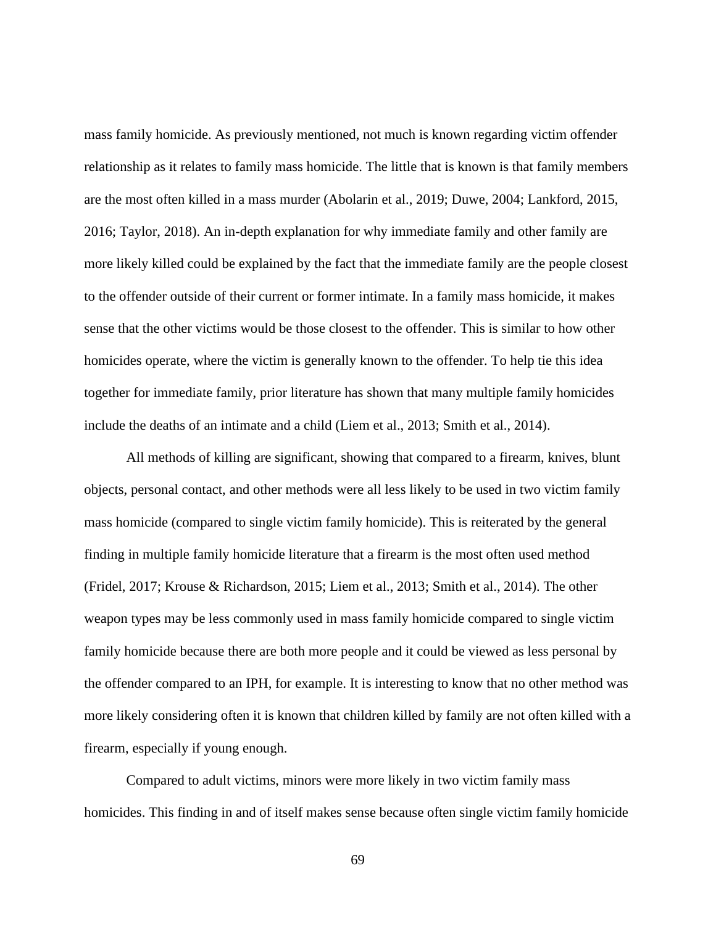mass family homicide. As previously mentioned, not much is known regarding victim offender relationship as it relates to family mass homicide. The little that is known is that family members are the most often killed in a mass murder (Abolarin et al., 2019; Duwe, 2004; Lankford, 2015, 2016; Taylor, 2018). An in-depth explanation for why immediate family and other family are more likely killed could be explained by the fact that the immediate family are the people closest to the offender outside of their current or former intimate. In a family mass homicide, it makes sense that the other victims would be those closest to the offender. This is similar to how other homicides operate, where the victim is generally known to the offender. To help tie this idea together for immediate family, prior literature has shown that many multiple family homicides include the deaths of an intimate and a child (Liem et al., 2013; Smith et al., 2014).

All methods of killing are significant, showing that compared to a firearm, knives, blunt objects, personal contact, and other methods were all less likely to be used in two victim family mass homicide (compared to single victim family homicide). This is reiterated by the general finding in multiple family homicide literature that a firearm is the most often used method (Fridel, 2017; Krouse & Richardson, 2015; Liem et al., 2013; Smith et al., 2014). The other weapon types may be less commonly used in mass family homicide compared to single victim family homicide because there are both more people and it could be viewed as less personal by the offender compared to an IPH, for example. It is interesting to know that no other method was more likely considering often it is known that children killed by family are not often killed with a firearm, especially if young enough.

Compared to adult victims, minors were more likely in two victim family mass homicides. This finding in and of itself makes sense because often single victim family homicide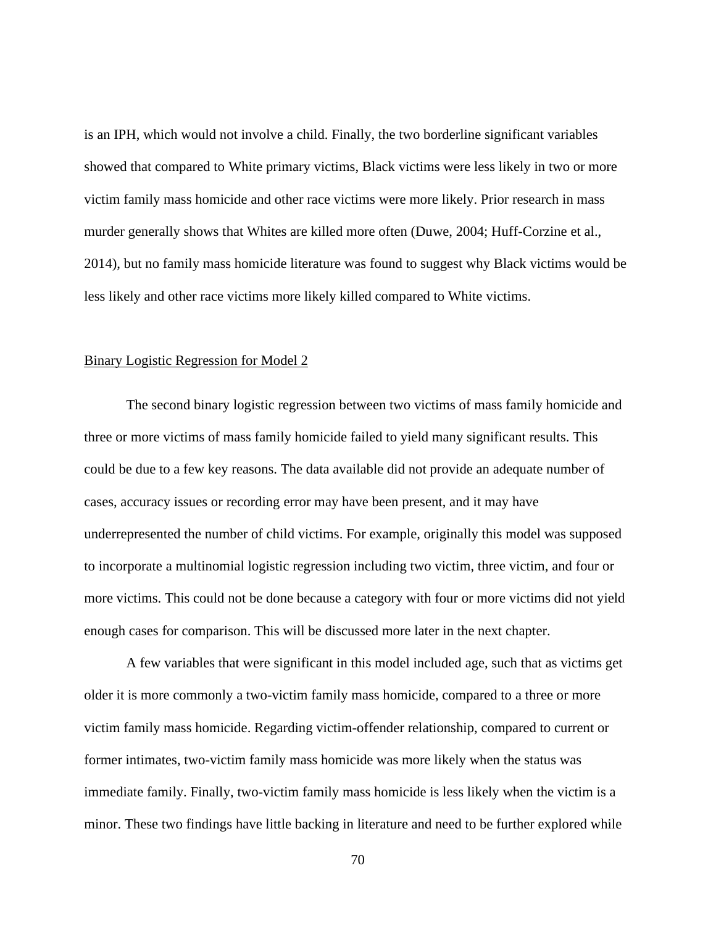is an IPH, which would not involve a child. Finally, the two borderline significant variables showed that compared to White primary victims, Black victims were less likely in two or more victim family mass homicide and other race victims were more likely. Prior research in mass murder generally shows that Whites are killed more often (Duwe, 2004; Huff-Corzine et al., 2014), but no family mass homicide literature was found to suggest why Black victims would be less likely and other race victims more likely killed compared to White victims.

#### Binary Logistic Regression for Model 2

The second binary logistic regression between two victims of mass family homicide and three or more victims of mass family homicide failed to yield many significant results. This could be due to a few key reasons. The data available did not provide an adequate number of cases, accuracy issues or recording error may have been present, and it may have underrepresented the number of child victims. For example, originally this model was supposed to incorporate a multinomial logistic regression including two victim, three victim, and four or more victims. This could not be done because a category with four or more victims did not yield enough cases for comparison. This will be discussed more later in the next chapter.

A few variables that were significant in this model included age, such that as victims get older it is more commonly a two-victim family mass homicide, compared to a three or more victim family mass homicide. Regarding victim-offender relationship, compared to current or former intimates, two-victim family mass homicide was more likely when the status was immediate family. Finally, two-victim family mass homicide is less likely when the victim is a minor. These two findings have little backing in literature and need to be further explored while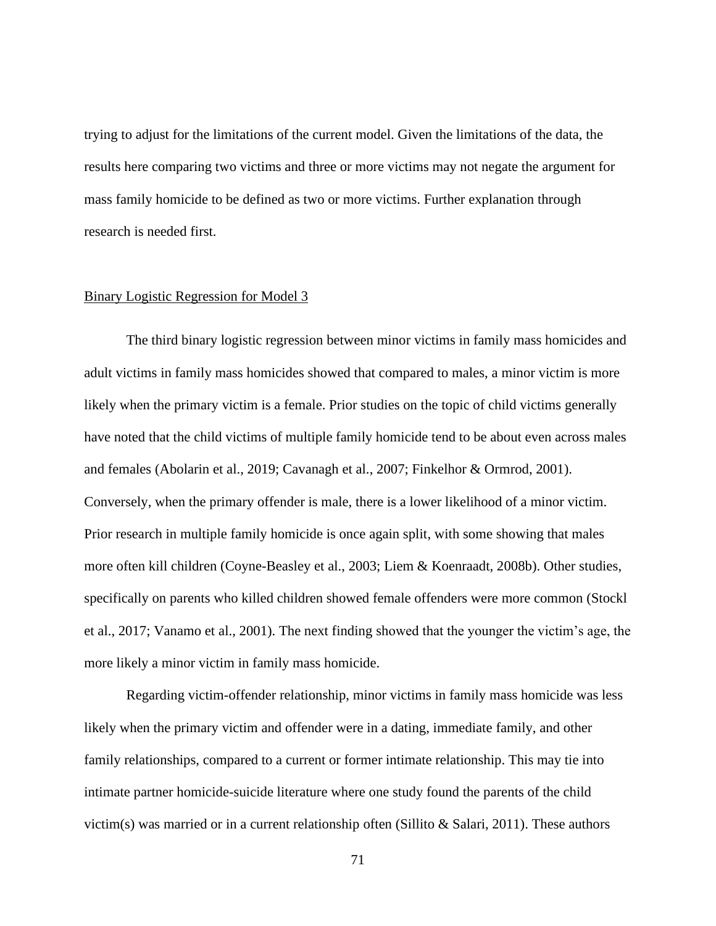trying to adjust for the limitations of the current model. Given the limitations of the data, the results here comparing two victims and three or more victims may not negate the argument for mass family homicide to be defined as two or more victims. Further explanation through research is needed first.

### Binary Logistic Regression for Model 3

The third binary logistic regression between minor victims in family mass homicides and adult victims in family mass homicides showed that compared to males, a minor victim is more likely when the primary victim is a female. Prior studies on the topic of child victims generally have noted that the child victims of multiple family homicide tend to be about even across males and females (Abolarin et al., 2019; Cavanagh et al., 2007; Finkelhor & Ormrod, 2001). Conversely, when the primary offender is male, there is a lower likelihood of a minor victim. Prior research in multiple family homicide is once again split, with some showing that males more often kill children (Coyne-Beasley et al., 2003; Liem & Koenraadt, 2008b). Other studies, specifically on parents who killed children showed female offenders were more common (Stockl et al., 2017; Vanamo et al., 2001). The next finding showed that the younger the victim's age, the more likely a minor victim in family mass homicide.

Regarding victim-offender relationship, minor victims in family mass homicide was less likely when the primary victim and offender were in a dating, immediate family, and other family relationships, compared to a current or former intimate relationship. This may tie into intimate partner homicide-suicide literature where one study found the parents of the child victim(s) was married or in a current relationship often (Sillito & Salari, 2011). These authors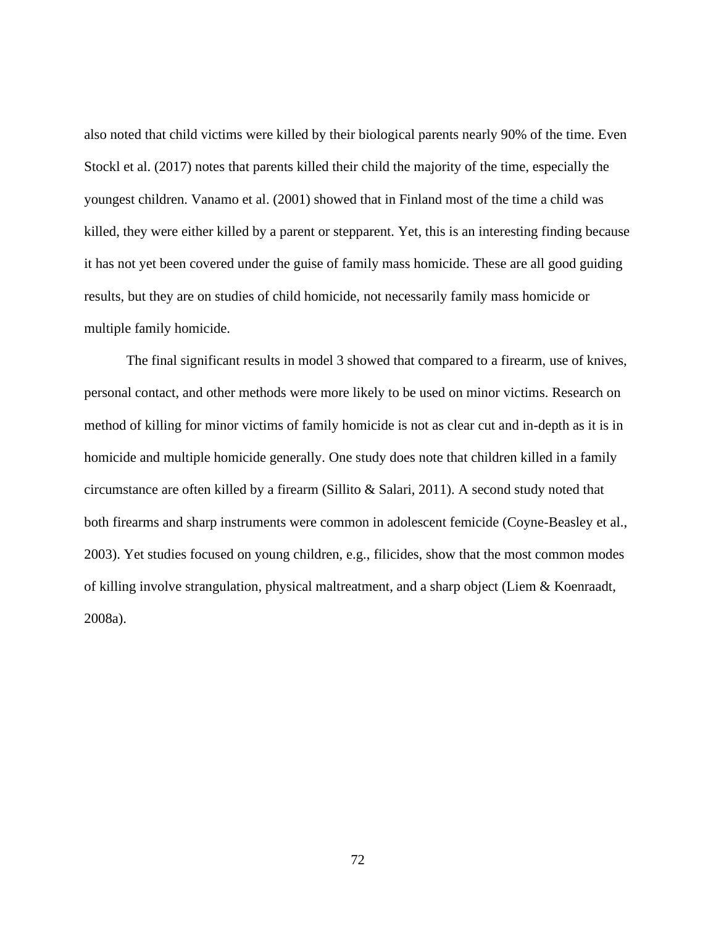also noted that child victims were killed by their biological parents nearly 90% of the time. Even Stockl et al. (2017) notes that parents killed their child the majority of the time, especially the youngest children. Vanamo et al. (2001) showed that in Finland most of the time a child was killed, they were either killed by a parent or stepparent. Yet, this is an interesting finding because it has not yet been covered under the guise of family mass homicide. These are all good guiding results, but they are on studies of child homicide, not necessarily family mass homicide or multiple family homicide.

The final significant results in model 3 showed that compared to a firearm, use of knives, personal contact, and other methods were more likely to be used on minor victims. Research on method of killing for minor victims of family homicide is not as clear cut and in-depth as it is in homicide and multiple homicide generally. One study does note that children killed in a family circumstance are often killed by a firearm (Sillito & Salari, 2011). A second study noted that both firearms and sharp instruments were common in adolescent femicide (Coyne-Beasley et al., 2003). Yet studies focused on young children, e.g., filicides, show that the most common modes of killing involve strangulation, physical maltreatment, and a sharp object (Liem & Koenraadt, 2008a).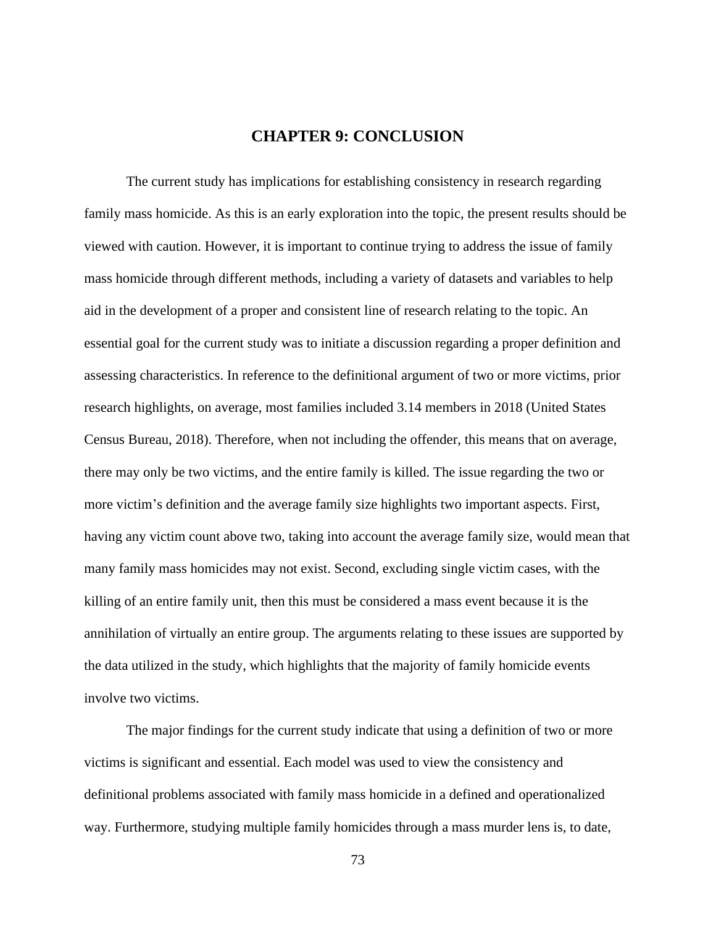# **CHAPTER 9: CONCLUSION**

The current study has implications for establishing consistency in research regarding family mass homicide. As this is an early exploration into the topic, the present results should be viewed with caution. However, it is important to continue trying to address the issue of family mass homicide through different methods, including a variety of datasets and variables to help aid in the development of a proper and consistent line of research relating to the topic. An essential goal for the current study was to initiate a discussion regarding a proper definition and assessing characteristics. In reference to the definitional argument of two or more victims, prior research highlights, on average, most families included 3.14 members in 2018 (United States Census Bureau, 2018). Therefore, when not including the offender, this means that on average, there may only be two victims, and the entire family is killed. The issue regarding the two or more victim's definition and the average family size highlights two important aspects. First, having any victim count above two, taking into account the average family size, would mean that many family mass homicides may not exist. Second, excluding single victim cases, with the killing of an entire family unit, then this must be considered a mass event because it is the annihilation of virtually an entire group. The arguments relating to these issues are supported by the data utilized in the study, which highlights that the majority of family homicide events involve two victims.

The major findings for the current study indicate that using a definition of two or more victims is significant and essential. Each model was used to view the consistency and definitional problems associated with family mass homicide in a defined and operationalized way. Furthermore, studying multiple family homicides through a mass murder lens is, to date,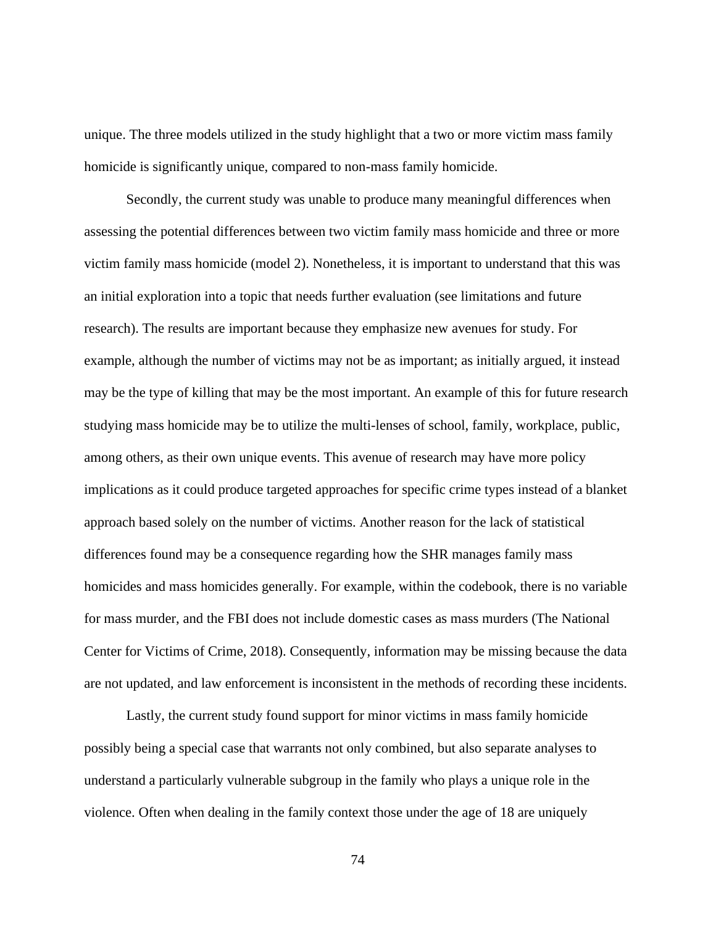unique. The three models utilized in the study highlight that a two or more victim mass family homicide is significantly unique, compared to non-mass family homicide.

Secondly, the current study was unable to produce many meaningful differences when assessing the potential differences between two victim family mass homicide and three or more victim family mass homicide (model 2). Nonetheless, it is important to understand that this was an initial exploration into a topic that needs further evaluation (see limitations and future research). The results are important because they emphasize new avenues for study. For example, although the number of victims may not be as important; as initially argued, it instead may be the type of killing that may be the most important. An example of this for future research studying mass homicide may be to utilize the multi-lenses of school, family, workplace, public, among others, as their own unique events. This avenue of research may have more policy implications as it could produce targeted approaches for specific crime types instead of a blanket approach based solely on the number of victims. Another reason for the lack of statistical differences found may be a consequence regarding how the SHR manages family mass homicides and mass homicides generally. For example, within the codebook, there is no variable for mass murder, and the FBI does not include domestic cases as mass murders (The National Center for Victims of Crime, 2018). Consequently, information may be missing because the data are not updated, and law enforcement is inconsistent in the methods of recording these incidents.

Lastly, the current study found support for minor victims in mass family homicide possibly being a special case that warrants not only combined, but also separate analyses to understand a particularly vulnerable subgroup in the family who plays a unique role in the violence. Often when dealing in the family context those under the age of 18 are uniquely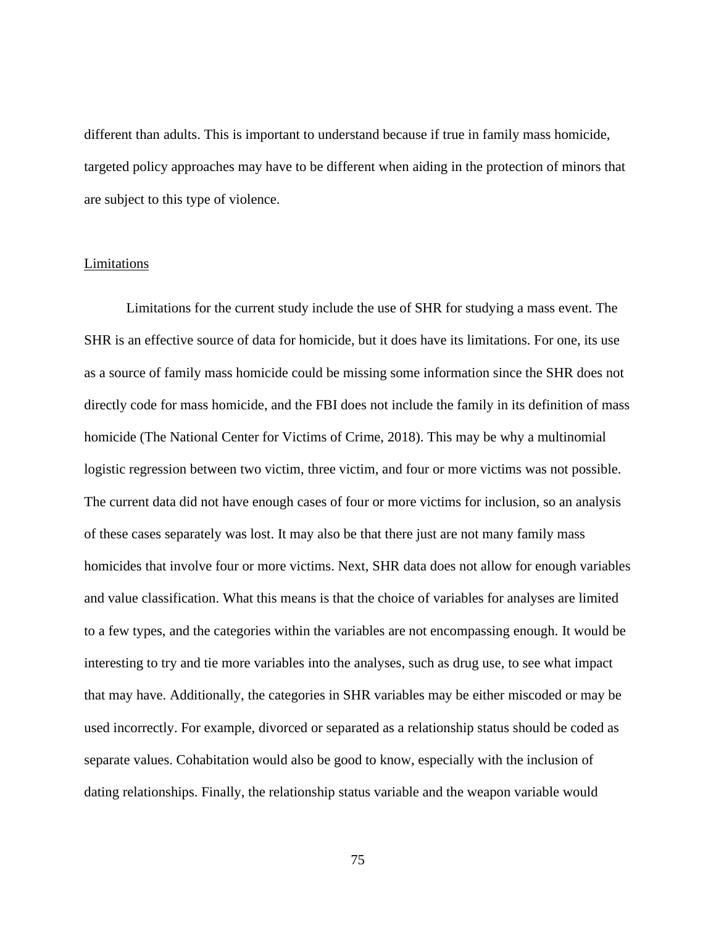different than adults. This is important to understand because if true in family mass homicide, targeted policy approaches may have to be different when aiding in the protection of minors that are subject to this type of violence.

#### Limitations

Limitations for the current study include the use of SHR for studying a mass event. The SHR is an effective source of data for homicide, but it does have its limitations. For one, its use as a source of family mass homicide could be missing some information since the SHR does not directly code for mass homicide, and the FBI does not include the family in its definition of mass homicide (The National Center for Victims of Crime, 2018). This may be why a multinomial logistic regression between two victim, three victim, and four or more victims was not possible. The current data did not have enough cases of four or more victims for inclusion, so an analysis of these cases separately was lost. It may also be that there just are not many family mass homicides that involve four or more victims. Next, SHR data does not allow for enough variables and value classification. What this means is that the choice of variables for analyses are limited to a few types, and the categories within the variables are not encompassing enough. It would be interesting to try and tie more variables into the analyses, such as drug use, to see what impact that may have. Additionally, the categories in SHR variables may be either miscoded or may be used incorrectly. For example, divorced or separated as a relationship status should be coded as separate values. Cohabitation would also be good to know, especially with the inclusion of dating relationships. Finally, the relationship status variable and the weapon variable would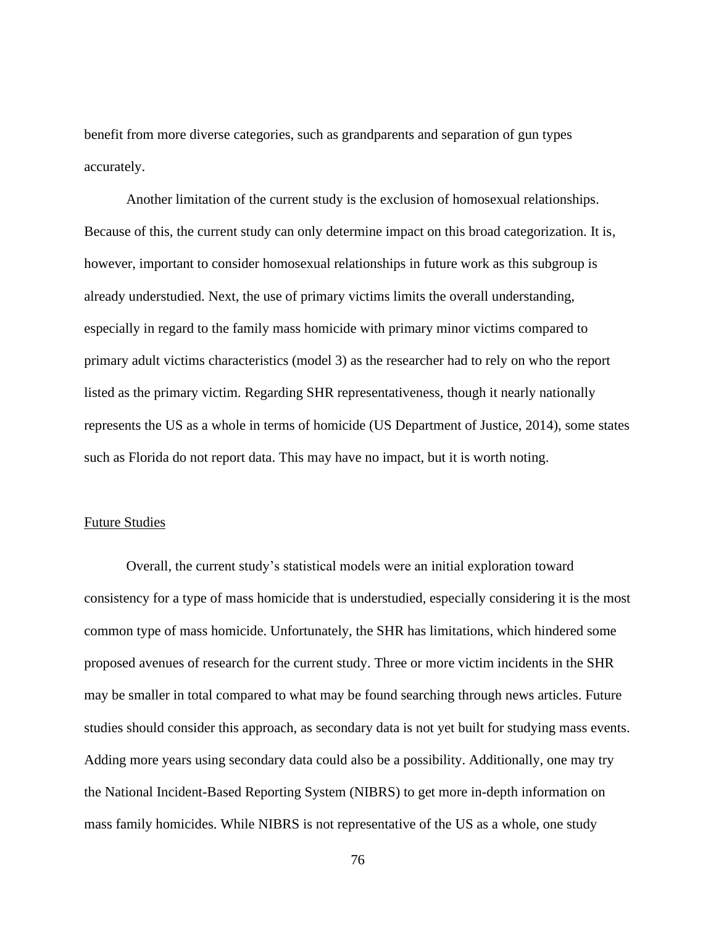benefit from more diverse categories, such as grandparents and separation of gun types accurately.

Another limitation of the current study is the exclusion of homosexual relationships. Because of this, the current study can only determine impact on this broad categorization. It is, however, important to consider homosexual relationships in future work as this subgroup is already understudied. Next, the use of primary victims limits the overall understanding, especially in regard to the family mass homicide with primary minor victims compared to primary adult victims characteristics (model 3) as the researcher had to rely on who the report listed as the primary victim. Regarding SHR representativeness, though it nearly nationally represents the US as a whole in terms of homicide (US Department of Justice, 2014), some states such as Florida do not report data. This may have no impact, but it is worth noting.

#### Future Studies

Overall, the current study's statistical models were an initial exploration toward consistency for a type of mass homicide that is understudied, especially considering it is the most common type of mass homicide. Unfortunately, the SHR has limitations, which hindered some proposed avenues of research for the current study. Three or more victim incidents in the SHR may be smaller in total compared to what may be found searching through news articles. Future studies should consider this approach, as secondary data is not yet built for studying mass events. Adding more years using secondary data could also be a possibility. Additionally, one may try the National Incident-Based Reporting System (NIBRS) to get more in-depth information on mass family homicides. While NIBRS is not representative of the US as a whole, one study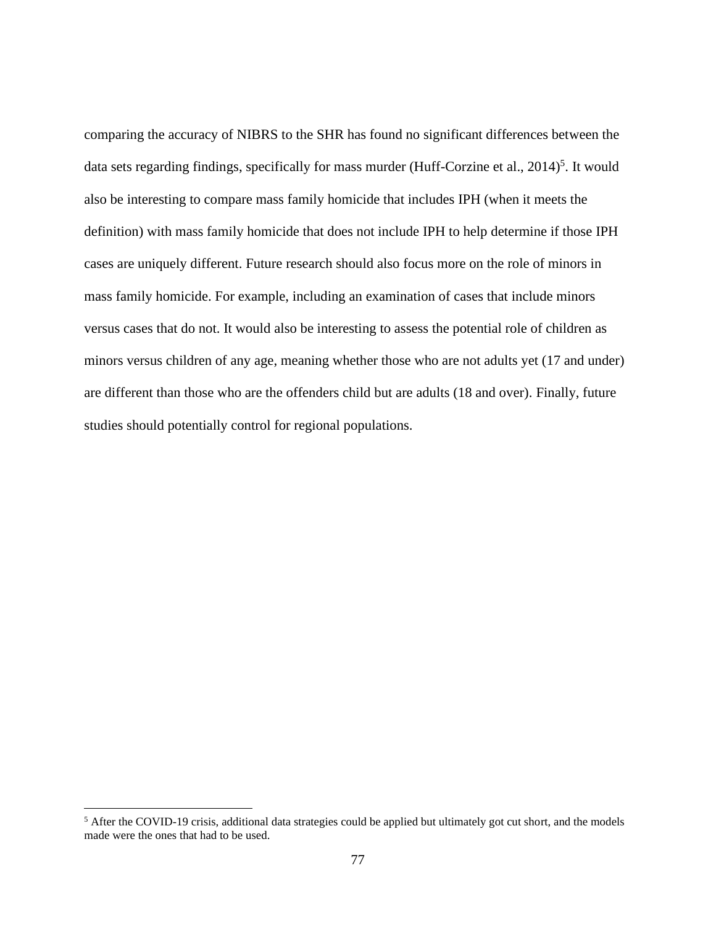comparing the accuracy of NIBRS to the SHR has found no significant differences between the data sets regarding findings, specifically for mass murder (Huff-Corzine et al., 2014)<sup>5</sup>. It would also be interesting to compare mass family homicide that includes IPH (when it meets the definition) with mass family homicide that does not include IPH to help determine if those IPH cases are uniquely different. Future research should also focus more on the role of minors in mass family homicide. For example, including an examination of cases that include minors versus cases that do not. It would also be interesting to assess the potential role of children as minors versus children of any age, meaning whether those who are not adults yet (17 and under) are different than those who are the offenders child but are adults (18 and over). Finally, future studies should potentially control for regional populations.

<sup>&</sup>lt;sup>5</sup> After the COVID-19 crisis, additional data strategies could be applied but ultimately got cut short, and the models made were the ones that had to be used.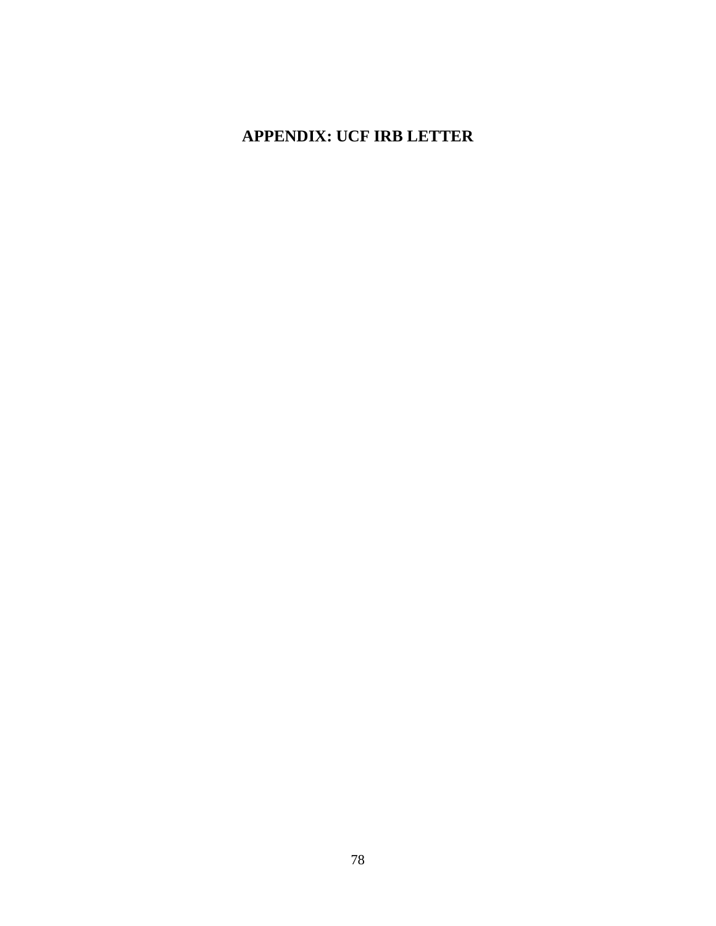# **APPENDIX: UCF IRB LETTER**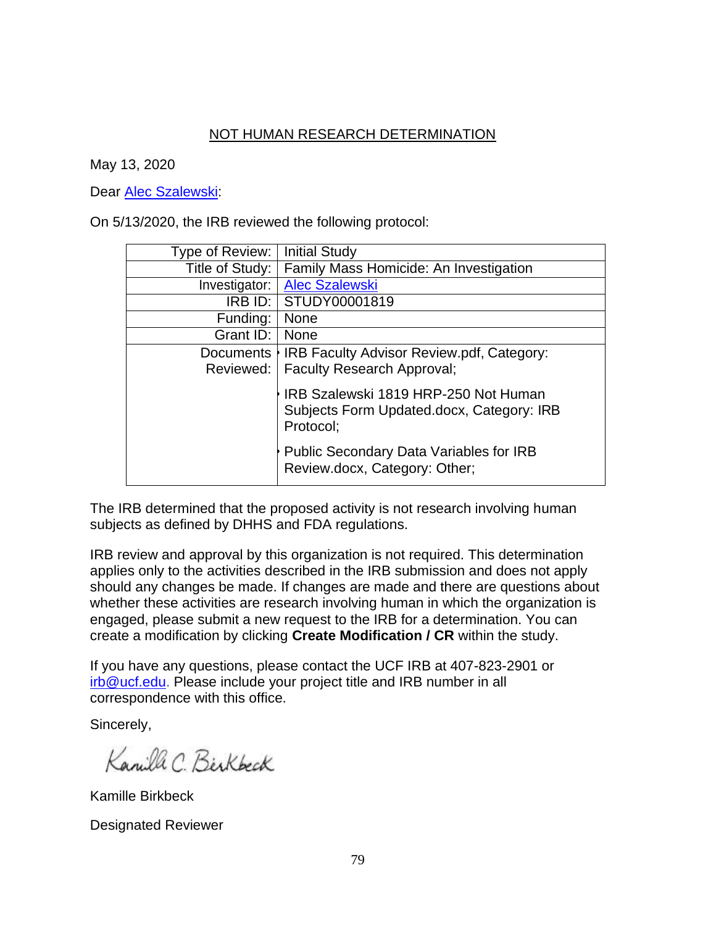## NOT HUMAN RESEARCH DETERMINATION

May 13, 2020

Dear [Alec Szalewski:](https://ucf1.huronresearchsuite.com/IRB/sd/Rooms/Misc/ResourceContainerFactory?target=com.webridge.account.Person%5bOID%5bB9AAC7057554584180E861548F0AB369%5d%5d)

On 5/13/2020, the IRB reviewed the following protocol:

| Type of Review: | <b>Initial Study</b>                                                                           |
|-----------------|------------------------------------------------------------------------------------------------|
| Title of Study: | Family Mass Homicide: An Investigation                                                         |
| Investigator:   | <b>Alec Szalewski</b>                                                                          |
|                 | <b>IRB ID: STUDY00001819</b>                                                                   |
| Funding:        | <b>None</b>                                                                                    |
| Grant ID:       | None                                                                                           |
| Documents       | IRB Faculty Advisor Review.pdf, Category:                                                      |
| Reviewed:       | <b>Faculty Research Approval;</b>                                                              |
|                 | IRB Szalewski 1819 HRP-250 Not Human<br>Subjects Form Updated.docx, Category: IRB<br>Protocol; |
|                 | Public Secondary Data Variables for IRB<br>Review.docx, Category: Other;                       |

The IRB determined that the proposed activity is not research involving human subjects as defined by DHHS and FDA regulations.

IRB review and approval by this organization is not required. This determination applies only to the activities described in the IRB submission and does not apply should any changes be made. If changes are made and there are questions about whether these activities are research involving human in which the organization is engaged, please submit a new request to the IRB for a determination. You can create a modification by clicking **Create Modification / CR** within the study.

If you have any questions, please contact the UCF IRB at 407-823-2901 or [irb@ucf.edu.](mailto:irb@ucf.edu) Please include your project title and IRB number in all correspondence with this office.

Sincerely,

Kanilla C. Berkbeck

Kamille Birkbeck

Designated Reviewer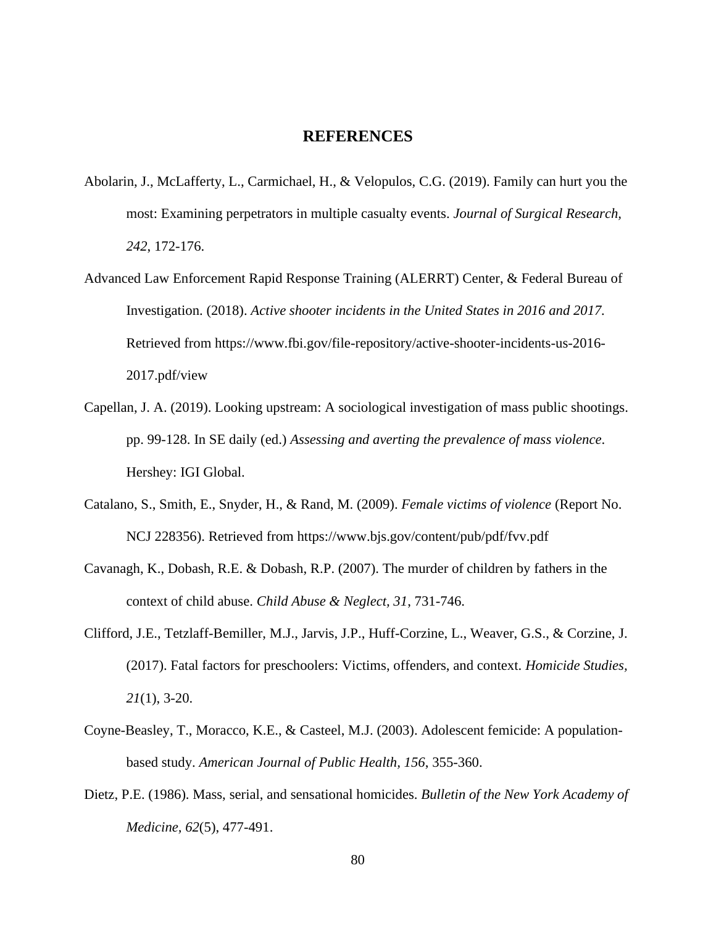### **REFERENCES**

- Abolarin, J., McLafferty, L., Carmichael, H., & Velopulos, C.G. (2019). Family can hurt you the most: Examining perpetrators in multiple casualty events. *Journal of Surgical Research, 242*, 172-176.
- Advanced Law Enforcement Rapid Response Training (ALERRT) Center, & Federal Bureau of Investigation. (2018). *Active shooter incidents in the United States in 2016 and 2017.* Retrieved from https://www.fbi.gov/file-repository/active-shooter-incidents-us-2016- 2017.pdf/view
- Capellan, J. A. (2019). Looking upstream: A sociological investigation of mass public shootings. pp. 99-128. In SE daily (ed.) *Assessing and averting the prevalence of mass violence*. Hershey: IGI Global.
- Catalano, S., Smith, E., Snyder, H., & Rand, M. (2009). *Female victims of violence* (Report No. NCJ 228356). Retrieved from https://www.bjs.gov/content/pub/pdf/fvv.pdf
- Cavanagh, K., Dobash, R.E. & Dobash, R.P. (2007). The murder of children by fathers in the context of child abuse. *Child Abuse & Neglect, 31*, 731-746.
- Clifford, J.E., Tetzlaff-Bemiller, M.J., Jarvis, J.P., Huff-Corzine, L., Weaver, G.S., & Corzine, J. (2017). Fatal factors for preschoolers: Victims, offenders, and context. *Homicide Studies, 21*(1), 3-20.
- Coyne-Beasley, T., Moracco, K.E., & Casteel, M.J. (2003). Adolescent femicide: A populationbased study. *American Journal of Public Health, 156*, 355-360.
- Dietz, P.E. (1986). Mass, serial, and sensational homicides. *Bulletin of the New York Academy of Medicine, 62*(5), 477-491.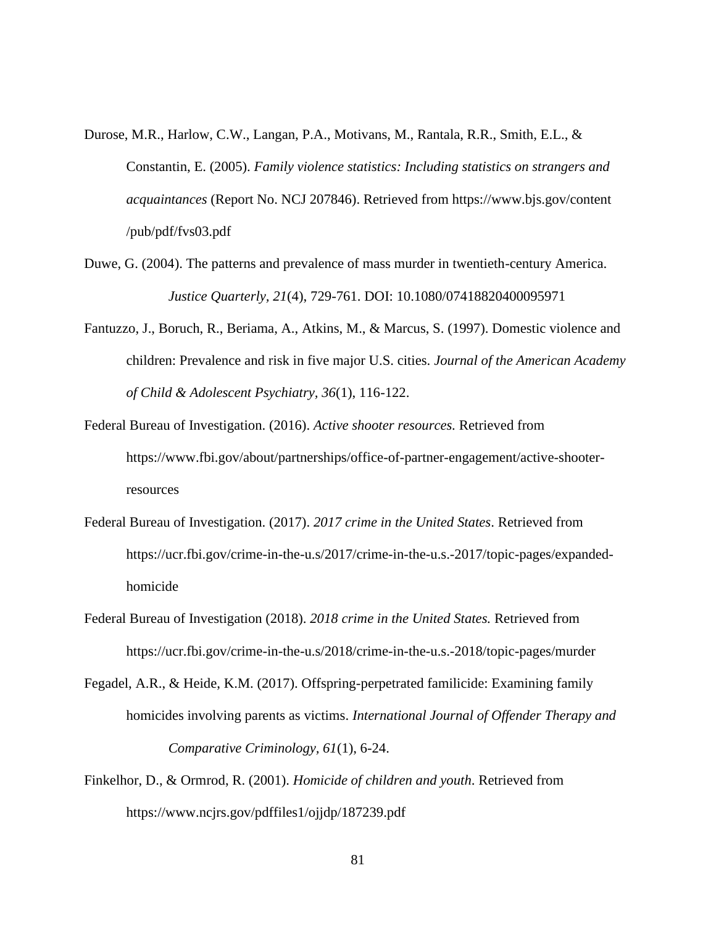- Durose, M.R., Harlow, C.W., Langan, P.A., Motivans, M., Rantala, R.R., Smith, E.L., & Constantin, E. (2005). *Family violence statistics: Including statistics on strangers and acquaintances* (Report No. NCJ 207846). Retrieved from https://www.bjs.gov/content /pub/pdf/fvs03.pdf
- Duwe, G. (2004). The patterns and prevalence of mass murder in twentieth-century America. *Justice Quarterly, 21*(4), 729-761. DOI: 10.1080/07418820400095971
- Fantuzzo, J., Boruch, R., Beriama, A., Atkins, M., & Marcus, S. (1997). Domestic violence and children: Prevalence and risk in five major U.S. cities. *Journal of the American Academy of Child & Adolescent Psychiatry, 36*(1), 116-122.
- Federal Bureau of Investigation. (2016). *Active shooter resources.* Retrieved from https://www.fbi.gov/about/partnerships/office-of-partner-engagement/active-shooterresources
- Federal Bureau of Investigation. (2017). *2017 crime in the United States*. Retrieved from https://ucr.fbi.gov/crime-in-the-u.s/2017/crime-in-the-u.s.-2017/topic-pages/expandedhomicide
- Federal Bureau of Investigation (2018). *2018 crime in the United States.* Retrieved from https://ucr.fbi.gov/crime-in-the-u.s/2018/crime-in-the-u.s.-2018/topic-pages/murder
- Fegadel, A.R., & Heide, K.M. (2017). Offspring-perpetrated familicide: Examining family homicides involving parents as victims. *International Journal of Offender Therapy and Comparative Criminology, 61*(1), 6-24.
- Finkelhor, D., & Ormrod, R. (2001). *Homicide of children and youth*. Retrieved from https://www.ncjrs.gov/pdffiles1/ojjdp/187239.pdf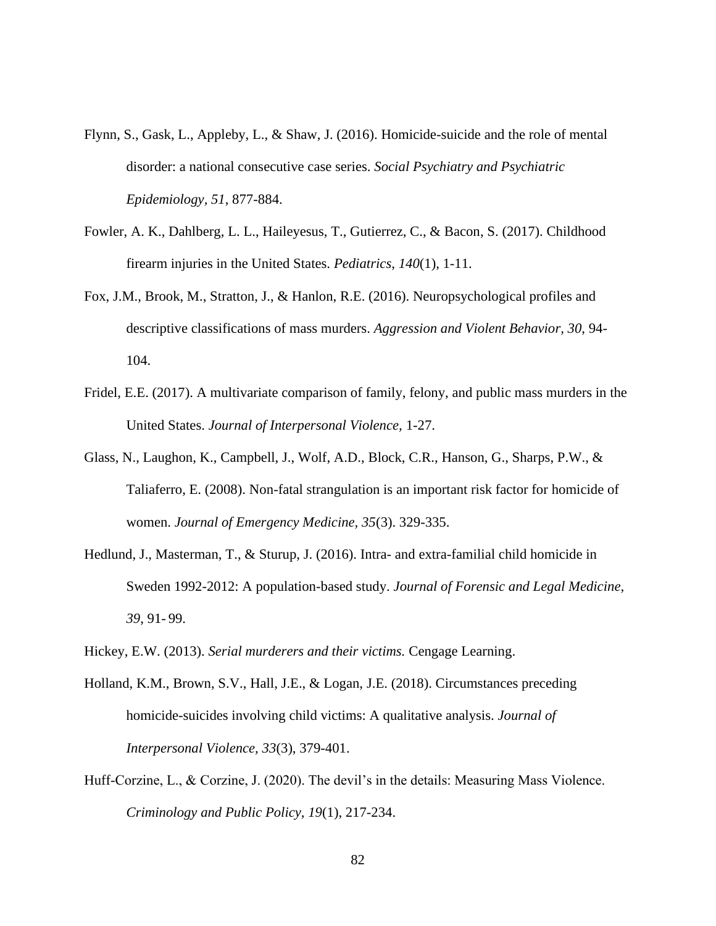- Flynn, S., Gask, L., Appleby, L., & Shaw, J. (2016). Homicide-suicide and the role of mental disorder: a national consecutive case series. *Social Psychiatry and Psychiatric Epidemiology, 51*, 877-884.
- Fowler, A. K., Dahlberg, L. L., Haileyesus, T., Gutierrez, C., & Bacon, S. (2017). Childhood firearm injuries in the United States. *Pediatrics*, *140*(1), 1-11.
- Fox, J.M., Brook, M., Stratton, J., & Hanlon, R.E. (2016). Neuropsychological profiles and descriptive classifications of mass murders. *Aggression and Violent Behavior, 30*, 94- 104.
- Fridel, E.E. (2017). A multivariate comparison of family, felony, and public mass murders in the United States. *Journal of Interpersonal Violence,* 1-27.
- Glass, N., Laughon, K., Campbell, J., Wolf, A.D., Block, C.R., Hanson, G., Sharps, P.W., & Taliaferro, E. (2008). Non-fatal strangulation is an important risk factor for homicide of women. *Journal of Emergency Medicine, 35*(3). 329-335.
- Hedlund, J., Masterman, T., & Sturup, J. (2016). Intra- and extra-familial child homicide in Sweden 1992-2012: A population-based study. *Journal of Forensic and Legal Medicine, 39*, 91- 99.
- Hickey, E.W. (2013). *Serial murderers and their victims.* Cengage Learning.
- Holland, K.M., Brown, S.V., Hall, J.E., & Logan, J.E. (2018). Circumstances preceding homicide-suicides involving child victims: A qualitative analysis. *Journal of Interpersonal Violence, 33*(3), 379-401.
- Huff-Corzine, L., & Corzine, J. (2020). The devil's in the details: Measuring Mass Violence. *Criminology and Public Policy, 19*(1), 217-234.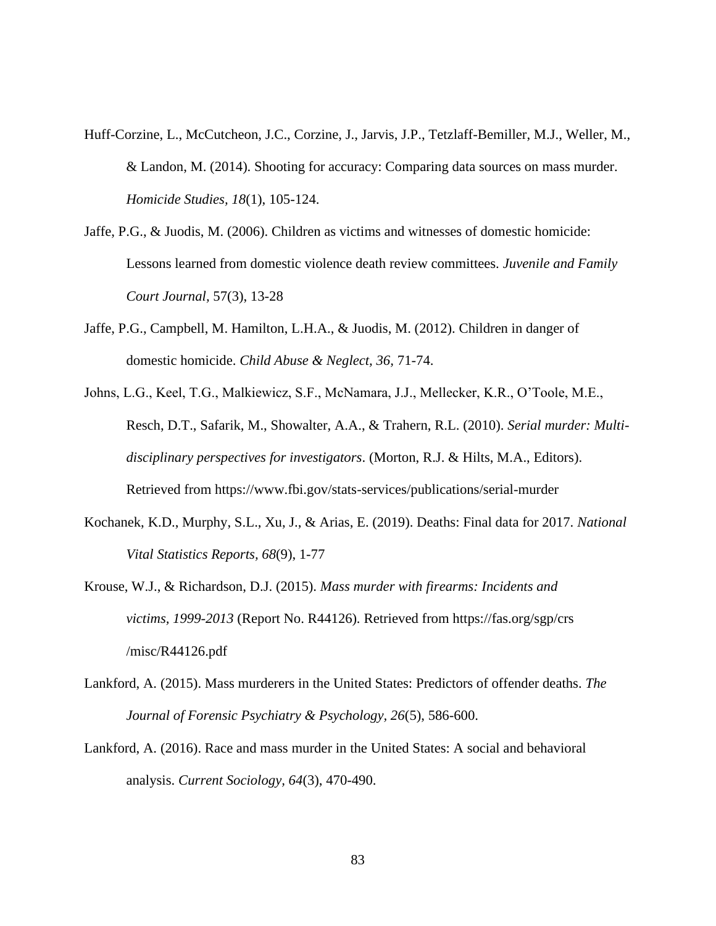- Huff-Corzine, L., McCutcheon, J.C., Corzine, J., Jarvis, J.P., Tetzlaff-Bemiller, M.J., Weller, M., & Landon, M. (2014). Shooting for accuracy: Comparing data sources on mass murder. *Homicide Studies, 18*(1), 105-124.
- Jaffe, P.G., & Juodis, M. (2006). Children as victims and witnesses of domestic homicide: Lessons learned from domestic violence death review committees. *Juvenile and Family Court Journal,* 57(3), 13-28
- Jaffe, P.G., Campbell, M. Hamilton, L.H.A., & Juodis, M. (2012). Children in danger of domestic homicide. *Child Abuse & Neglect, 36,* 71-74.
- Johns, L.G., Keel, T.G., Malkiewicz, S.F., McNamara, J.J., Mellecker, K.R., O'Toole, M.E., Resch, D.T., Safarik, M., Showalter, A.A., & Trahern, R.L. (2010). *Serial murder: Multidisciplinary perspectives for investigators*. (Morton, R.J. & Hilts, M.A., Editors). Retrieved from https://www.fbi.gov/stats-services/publications/serial-murder
- Kochanek, K.D., Murphy, S.L., Xu, J., & Arias, E. (2019). Deaths: Final data for 2017. *National Vital Statistics Reports, 68*(9), 1-77
- Krouse, W.J., & Richardson, D.J. (2015). *Mass murder with firearms: Incidents and victims, 1999-2013* (Report No. R44126)*.* Retrieved from https://fas.org/sgp/crs /misc/R44126.pdf
- Lankford, A. (2015). Mass murderers in the United States: Predictors of offender deaths. *The Journal of Forensic Psychiatry & Psychology, 26*(5), 586-600.
- Lankford, A. (2016). Race and mass murder in the United States: A social and behavioral analysis. *Current Sociology, 64*(3), 470-490.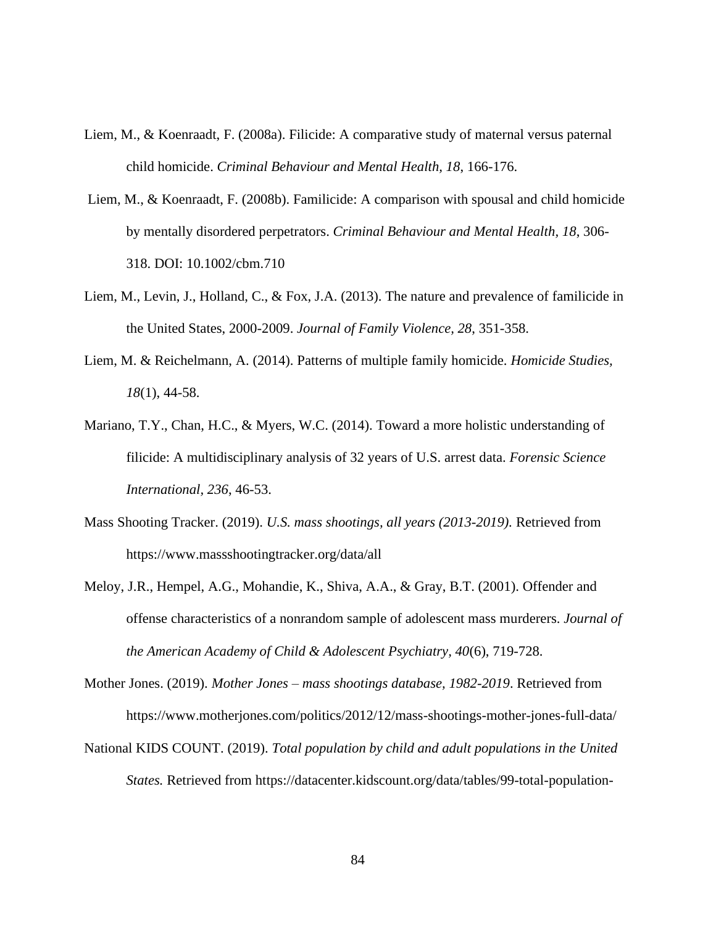- Liem, M., & Koenraadt, F. (2008a). Filicide: A comparative study of maternal versus paternal child homicide. *Criminal Behaviour and Mental Health, 18*, 166-176.
- Liem, M., & Koenraadt, F. (2008b). Familicide: A comparison with spousal and child homicide by mentally disordered perpetrators. *Criminal Behaviour and Mental Health, 18*, 306- 318. DOI: 10.1002/cbm.710
- Liem, M., Levin, J., Holland, C., & Fox, J.A. (2013). The nature and prevalence of familicide in the United States, 2000-2009. *Journal of Family Violence, 28*, 351-358.
- Liem, M. & Reichelmann, A. (2014). Patterns of multiple family homicide. *Homicide Studies, 18*(1), 44-58.
- Mariano, T.Y., Chan, H.C., & Myers, W.C. (2014). Toward a more holistic understanding of filicide: A multidisciplinary analysis of 32 years of U.S. arrest data. *Forensic Science International, 236*, 46-53.
- Mass Shooting Tracker. (2019). *U.S. mass shootings, all years (2013-2019).* Retrieved from https://www.massshootingtracker.org/data/all
- Meloy, J.R., Hempel, A.G., Mohandie, K., Shiva, A.A., & Gray, B.T. (2001). Offender and offense characteristics of a nonrandom sample of adolescent mass murderers. *Journal of the American Academy of Child & Adolescent Psychiatry, 40*(6), 719-728.

Mother Jones. (2019). *Mother Jones – mass shootings database, 1982-2019*. Retrieved from https://www.motherjones.com/politics/2012/12/mass-shootings-mother-jones-full-data/

National KIDS COUNT. (2019). *Total population by child and adult populations in the United States.* Retrieved from https://datacenter.kidscount.org/data/tables/99-total-population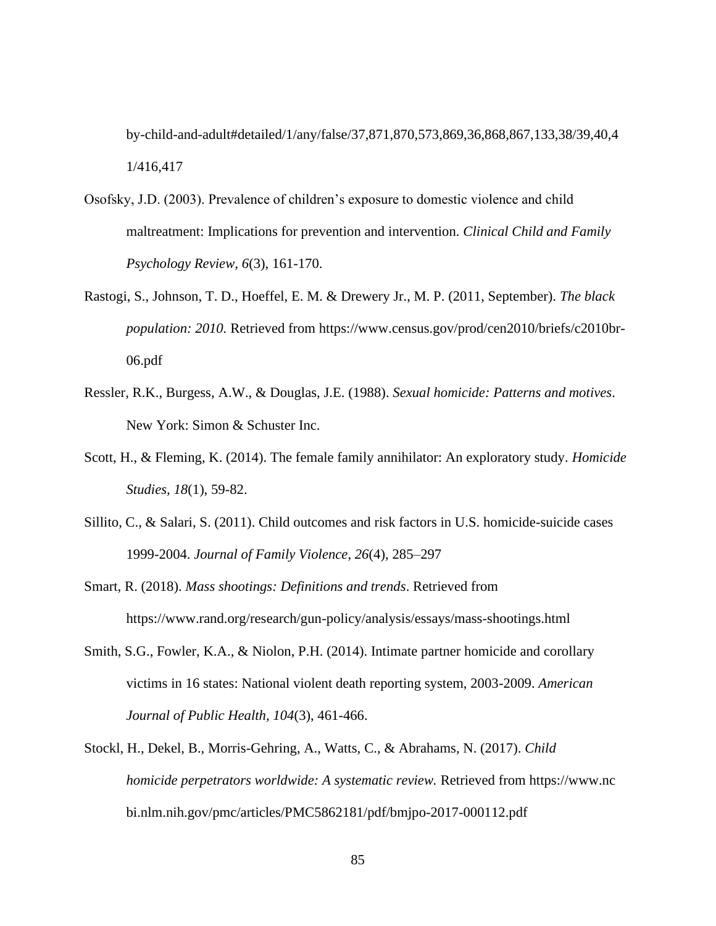by-child-and-adult#detailed/1/any/false/37,871,870,573,869,36,868,867,133,38/39,40,4 1/416,417

- Osofsky, J.D. (2003). Prevalence of children's exposure to domestic violence and child maltreatment: Implications for prevention and intervention. *Clinical Child and Family Psychology Review, 6*(3), 161-170.
- Rastogi, S., Johnson, T. D., Hoeffel, E. M. & Drewery Jr., M. P. (2011, September). *The black population: 2010.* Retrieved from https://www.census.gov/prod/cen2010/briefs/c2010br-06.pdf
- Ressler, R.K., Burgess, A.W., & Douglas, J.E. (1988). *Sexual homicide: Patterns and motives*. New York: Simon & Schuster Inc.
- Scott, H., & Fleming, K. (2014). The female family annihilator: An exploratory study. *Homicide Studies, 18*(1), 59-82.
- Sillito, C., & Salari, S. (2011). Child outcomes and risk factors in U.S. homicide-suicide cases 1999-2004. *Journal of Family Violence*, *26*(4), 285–297
- Smart, R. (2018). *Mass shootings: Definitions and trends*. Retrieved from https://www.rand.org/research/gun-policy/analysis/essays/mass-shootings.html
- Smith, S.G., Fowler, K.A., & Niolon, P.H. (2014). Intimate partner homicide and corollary victims in 16 states: National violent death reporting system, 2003-2009. *American Journal of Public Health, 104*(3), 461-466.
- Stockl, H., Dekel, B., Morris-Gehring, A., Watts, C., & Abrahams, N. (2017). *Child homicide perpetrators worldwide: A systematic review.* Retrieved from https://www.nc bi.nlm.nih.gov/pmc/articles/PMC5862181/pdf/bmjpo-2017-000112.pdf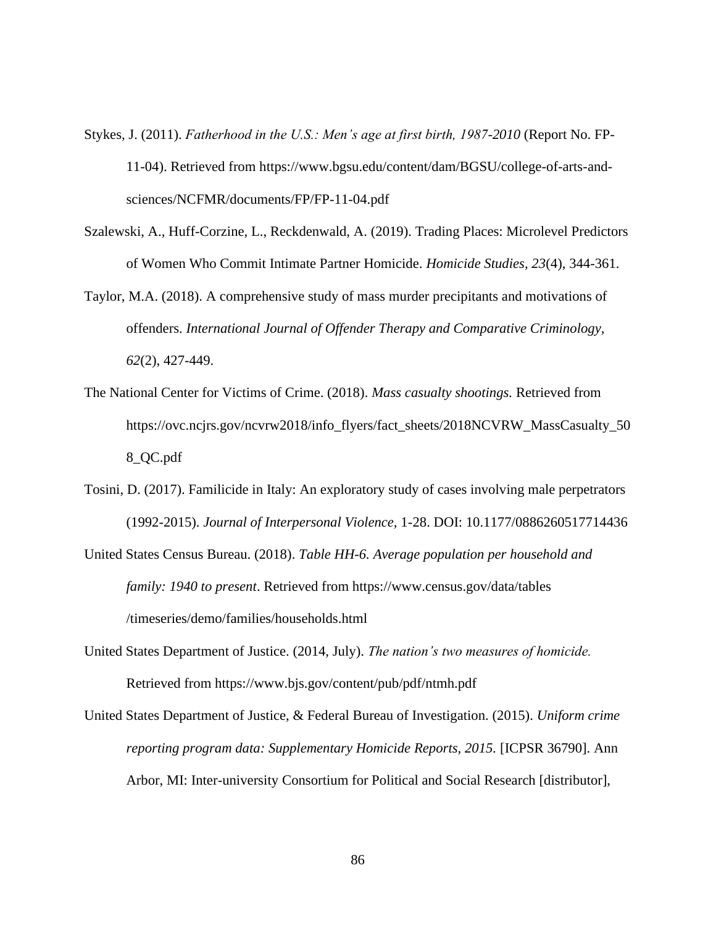- Stykes, J. (2011). *Fatherhood in the U.S.: Men's age at first birth, 1987-2010* (Report No. FP-11-04). Retrieved from https://www.bgsu.edu/content/dam/BGSU/college-of-arts-andsciences/NCFMR/documents/FP/FP-11-04.pdf
- Szalewski, A., Huff-Corzine, L., Reckdenwald, A. (2019). Trading Places: Microlevel Predictors of Women Who Commit Intimate Partner Homicide. *Homicide Studies, 23*(4), 344-361.
- Taylor, M.A. (2018). A comprehensive study of mass murder precipitants and motivations of offenders. *International Journal of Offender Therapy and Comparative Criminology, 62*(2), 427-449.
- The National Center for Victims of Crime. (2018). *Mass casualty shootings.* Retrieved from https://ovc.ncjrs.gov/ncvrw2018/info\_flyers/fact\_sheets/2018NCVRW\_MassCasualty\_50 8\_QC.pdf
- Tosini, D. (2017). Familicide in Italy: An exploratory study of cases involving male perpetrators (1992-2015). *Journal of Interpersonal Violence,* 1-28. DOI: 10.1177/0886260517714436
- United States Census Bureau. (2018). *Table HH-6. Average population per household and family: 1940 to present*. Retrieved from https://www.census.gov/data/tables /timeseries/demo/families/households.html
- United States Department of Justice. (2014, July). *The nation's two measures of homicide.* Retrieved from https://www.bjs.gov/content/pub/pdf/ntmh.pdf
- United States Department of Justice, & Federal Bureau of Investigation. (2015). *Uniform crime reporting program data: Supplementary Homicide Reports, 2015.* [ICPSR 36790]. Ann Arbor, MI: Inter-university Consortium for Political and Social Research [distributor],